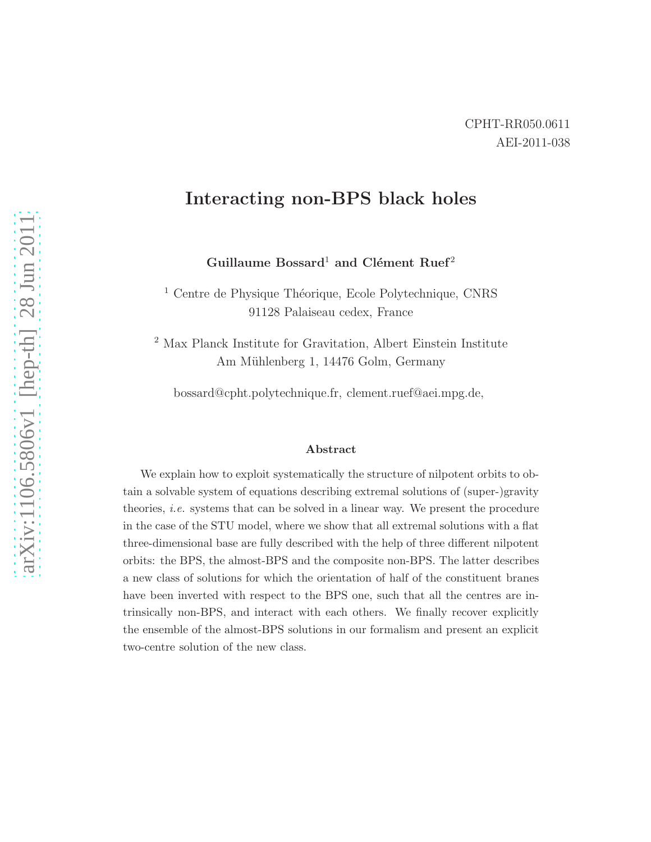# Interacting non-BPS black holes

Guillaume Bossard<sup>1</sup> and Clément Ruef<sup>2</sup>

<sup>1</sup> Centre de Physique Théorique, Ecole Polytechnique, CNRS 91128 Palaiseau cedex, France

<sup>2</sup> Max Planck Institute for Gravitation, Albert Einstein Institute Am Mühlenberg 1, 14476 Golm, Germany

bossard@cpht.polytechnique.fr, clement.ruef@aei.mpg.de,

#### Abstract

We explain how to exploit systematically the structure of nilpotent orbits to obtain a solvable system of equations describing extremal solutions of (super-)gravity theories, i.e. systems that can be solved in a linear way. We present the procedure in the case of the STU model, where we show that all extremal solutions with a flat three-dimensional base are fully described with the help of three different nilpotent orbits: the BPS, the almost-BPS and the composite non-BPS. The latter describes a new class of solutions for which the orientation of half of the constituent branes have been inverted with respect to the BPS one, such that all the centres are intrinsically non-BPS, and interact with each others. We finally recover explicitly the ensemble of the almost-BPS solutions in our formalism and present an explicit two-centre solution of the new class.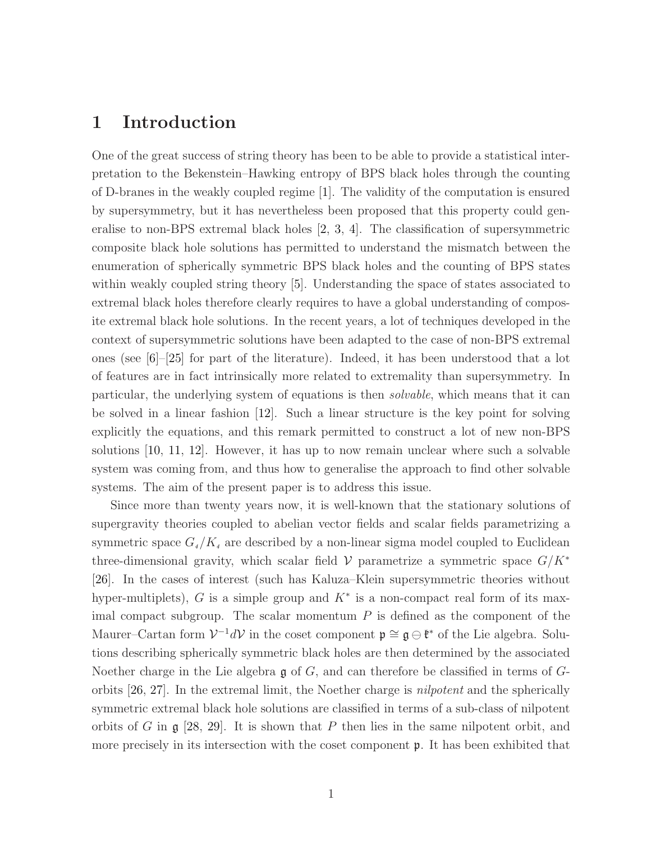# 1 Introduction

One of the great success of string theory has been to be able to provide a statistical interpretation to the Bekenstein–Hawking entropy of BPS black holes through the counting of D-branes in the weakly coupled regime [\[1\]](#page-46-0). The validity of the computation is ensured by supersymmetry, but it has nevertheless been proposed that this property could generalise to non-BPS extremal black holes [\[2,](#page-46-1) [3,](#page-46-2) [4\]](#page-46-3). The classification of supersymmetric composite black hole solutions has permitted to understand the mismatch between the enumeration of spherically symmetric BPS black holes and the counting of BPS states within weakly coupled string theory [\[5\]](#page-46-4). Understanding the space of states associated to extremal black holes therefore clearly requires to have a global understanding of composite extremal black hole solutions. In the recent years, a lot of techniques developed in the context of supersymmetric solutions have been adapted to the case of non-BPS extremal ones (see  $[6]-[25]$  $[6]-[25]$  for part of the literature). Indeed, it has been understood that a lot of features are in fact intrinsically more related to extremality than supersymmetry. In particular, the underlying system of equations is then solvable, which means that it can be solved in a linear fashion [\[12\]](#page-47-0). Such a linear structure is the key point for solving explicitly the equations, and this remark permitted to construct a lot of new non-BPS solutions [\[10,](#page-47-1) [11,](#page-47-2) [12\]](#page-47-0). However, it has up to now remain unclear where such a solvable system was coming from, and thus how to generalise the approach to find other solvable systems. The aim of the present paper is to address this issue.

Since more than twenty years now, it is well-known that the stationary solutions of supergravity theories coupled to abelian vector fields and scalar fields parametrizing a symmetric space  $G_4/K_4$  are described by a non-linear sigma model coupled to Euclidean three-dimensional gravity, which scalar field  $\mathcal V$  parametrize a symmetric space  $G/K^*$ [\[26\]](#page-48-1). In the cases of interest (such has Kaluza–Klein supersymmetric theories without hyper-multiplets), G is a simple group and  $K^*$  is a non-compact real form of its maximal compact subgroup. The scalar momentum  $P$  is defined as the component of the Maurer–Cartan form  $V^{-1}dV$  in the coset component  $\mathfrak{p} \cong \mathfrak{g} \ominus \mathfrak{k}^*$  of the Lie algebra. Solutions describing spherically symmetric black holes are then determined by the associated Noether charge in the Lie algebra  $\mathfrak g$  of  $G$ , and can therefore be classified in terms of  $G$ orbits [\[26,](#page-48-1) [27\]](#page-48-2). In the extremal limit, the Noether charge is nilpotent and the spherically symmetric extremal black hole solutions are classified in terms of a sub-class of nilpotent orbits of G in  $\mathfrak g$  [\[28,](#page-48-3) [29\]](#page-48-4). It is shown that P then lies in the same nilpotent orbit, and more precisely in its intersection with the coset component  $\mathfrak{p}$ . It has been exhibited that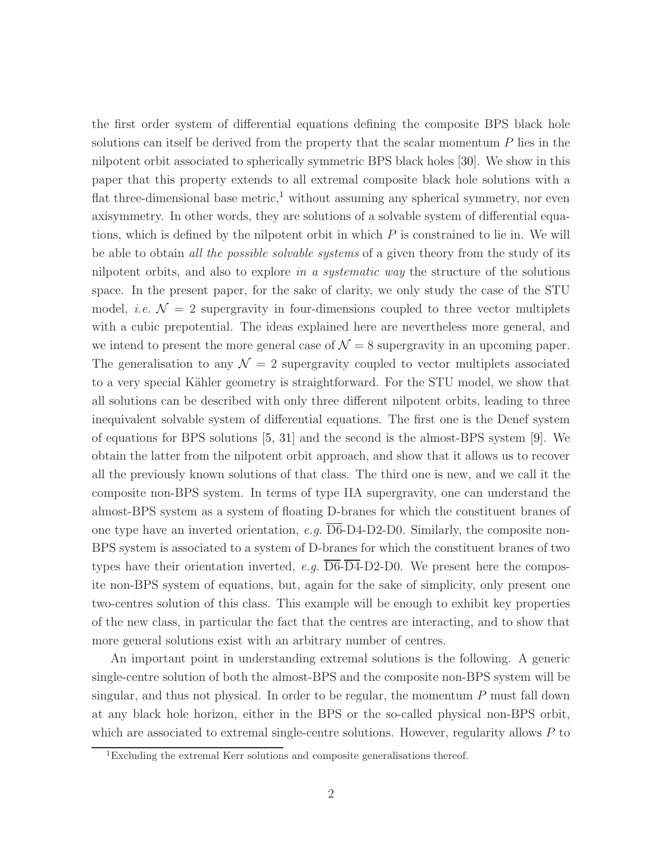the first order system of differential equations defining the composite BPS black hole solutions can itself be derived from the property that the scalar momentum  $P$  lies in the nilpotent orbit associated to spherically symmetric BPS black holes [\[30\]](#page-48-5). We show in this paper that this property extends to all extremal composite black hole solutions with a flat three-dimensional base metric,<sup>[1](#page-2-0)</sup> without assuming any spherical symmetry, nor even axisymmetry. In other words, they are solutions of a solvable system of differential equations, which is defined by the nilpotent orbit in which  $P$  is constrained to lie in. We will be able to obtain all the possible solvable systems of a given theory from the study of its nilpotent orbits, and also to explore in a systematic way the structure of the solutions space. In the present paper, for the sake of clarity, we only study the case of the STU model, *i.e.*  $\mathcal{N} = 2$  supergravity in four-dimensions coupled to three vector multiplets with a cubic prepotential. The ideas explained here are nevertheless more general, and we intend to present the more general case of  $\mathcal{N} = 8$  supergravity in an upcoming paper. The generalisation to any  $\mathcal{N} = 2$  supergravity coupled to vector multiplets associated to a very special Kähler geometry is straightforward. For the STU model, we show that all solutions can be described with only three different nilpotent orbits, leading to three inequivalent solvable system of differential equations. The first one is the Denef system of equations for BPS solutions [\[5,](#page-46-4) [31\]](#page-48-6) and the second is the almost-BPS system [\[9\]](#page-47-3). We obtain the latter from the nilpotent orbit approach, and show that it allows us to recover all the previously known solutions of that class. The third one is new, and we call it the composite non-BPS system. In terms of type IIA supergravity, one can understand the almost-BPS system as a system of floating D-branes for which the constituent branes of one type have an inverted orientation, e.g.  $\overline{\text{D6}}$ -D4-D2-D0. Similarly, the composite non-BPS system is associated to a system of D-branes for which the constituent branes of two types have their orientation inverted, e.g.  $\overline{\text{D6}}$ - $\overline{\text{D4}}$ -D2-D0. We present here the composite non-BPS system of equations, but, again for the sake of simplicity, only present one two-centres solution of this class. This example will be enough to exhibit key properties of the new class, in particular the fact that the centres are interacting, and to show that more general solutions exist with an arbitrary number of centres.

An important point in understanding extremal solutions is the following. A generic single-centre solution of both the almost-BPS and the composite non-BPS system will be singular, and thus not physical. In order to be regular, the momentum  $P$  must fall down at any black hole horizon, either in the BPS or the so-called physical non-BPS orbit, which are associated to extremal single-centre solutions. However, regularity allows  $P$  to

<span id="page-2-0"></span><sup>1</sup>Excluding the extremal Kerr solutions and composite generalisations thereof.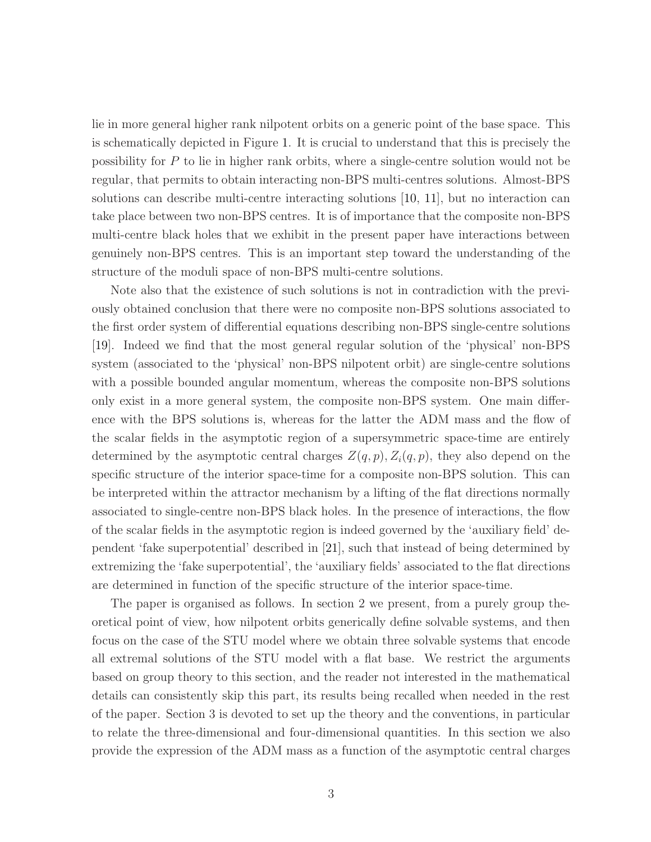lie in more general higher rank nilpotent orbits on a generic point of the base space. This is schematically depicted in Figure [1.](#page-4-0) It is crucial to understand that this is precisely the possibility for P to lie in higher rank orbits, where a single-centre solution would not be regular, that permits to obtain interacting non-BPS multi-centres solutions. Almost-BPS solutions can describe multi-centre interacting solutions [\[10,](#page-47-1) [11\]](#page-47-2), but no interaction can take place between two non-BPS centres. It is of importance that the composite non-BPS multi-centre black holes that we exhibit in the present paper have interactions between genuinely non-BPS centres. This is an important step toward the understanding of the structure of the moduli space of non-BPS multi-centre solutions.

Note also that the existence of such solutions is not in contradiction with the previously obtained conclusion that there were no composite non-BPS solutions associated to the first order system of differential equations describing non-BPS single-centre solutions [\[19\]](#page-47-4). Indeed we find that the most general regular solution of the 'physical' non-BPS system (associated to the 'physical' non-BPS nilpotent orbit) are single-centre solutions with a possible bounded angular momentum, whereas the composite non-BPS solutions only exist in a more general system, the composite non-BPS system. One main difference with the BPS solutions is, whereas for the latter the ADM mass and the flow of the scalar fields in the asymptotic region of a supersymmetric space-time are entirely determined by the asymptotic central charges  $Z(q, p), Z_i(q, p)$ , they also depend on the specific structure of the interior space-time for a composite non-BPS solution. This can be interpreted within the attractor mechanism by a lifting of the flat directions normally associated to single-centre non-BPS black holes. In the presence of interactions, the flow of the scalar fields in the asymptotic region is indeed governed by the 'auxiliary field' dependent 'fake superpotential' described in [\[21\]](#page-48-7), such that instead of being determined by extremizing the 'fake superpotential', the 'auxiliary fields' associated to the flat directions are determined in function of the specific structure of the interior space-time.

The paper is organised as follows. In section 2 we present, from a purely group theoretical point of view, how nilpotent orbits generically define solvable systems, and then focus on the case of the STU model where we obtain three solvable systems that encode all extremal solutions of the STU model with a flat base. We restrict the arguments based on group theory to this section, and the reader not interested in the mathematical details can consistently skip this part, its results being recalled when needed in the rest of the paper. Section 3 is devoted to set up the theory and the conventions, in particular to relate the three-dimensional and four-dimensional quantities. In this section we also provide the expression of the ADM mass as a function of the asymptotic central charges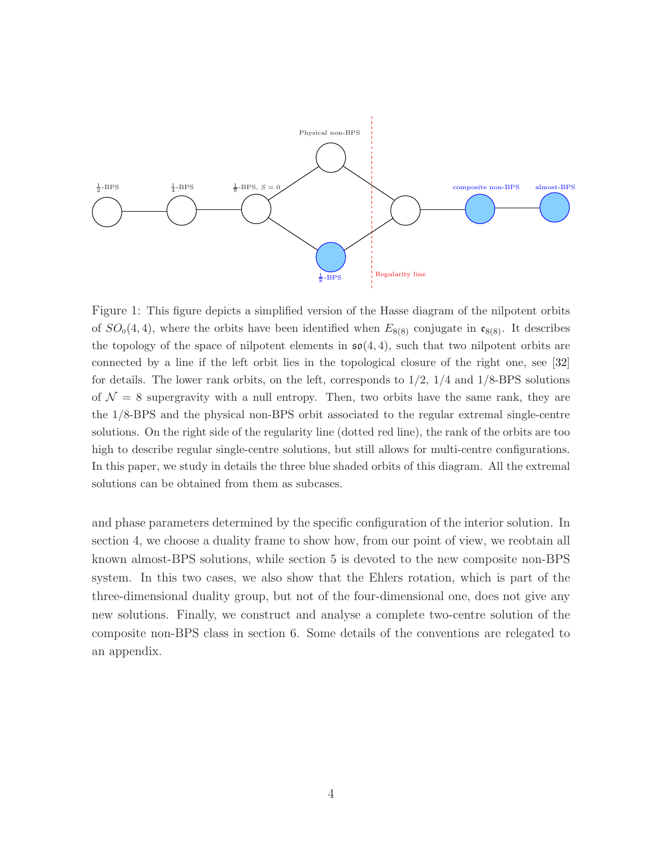<span id="page-4-0"></span>

Figure 1: This figure depicts a simplified version of the Hasse diagram of the nilpotent orbits of  $SO_0(4,4)$ , where the orbits have been identified when  $E_{8(8)}$  conjugate in  $\mathfrak{e}_{8(8)}$ . It describes the topology of the space of nilpotent elements in  $\mathfrak{so}(4,4)$ , such that two nilpotent orbits are connected by a line if the left orbit lies in the topological closure of the right one, see [\[32\]](#page-48-8) for details. The lower rank orbits, on the left, corresponds to  $1/2$ ,  $1/4$  and  $1/8$ -BPS solutions of  $\mathcal{N} = 8$  supergravity with a null entropy. Then, two orbits have the same rank, they are the 1/8-BPS and the physical non-BPS orbit associated to the regular extremal single-centre solutions. On the right side of the regularity line (dotted red line), the rank of the orbits are too high to describe regular single-centre solutions, but still allows for multi-centre configurations. In this paper, we study in details the three blue shaded orbits of this diagram. All the extremal solutions can be obtained from them as subcases.

and phase parameters determined by the specific configuration of the interior solution. In section 4, we choose a duality frame to show how, from our point of view, we reobtain all known almost-BPS solutions, while section 5 is devoted to the new composite non-BPS system. In this two cases, we also show that the Ehlers rotation, which is part of the three-dimensional duality group, but not of the four-dimensional one, does not give any new solutions. Finally, we construct and analyse a complete two-centre solution of the composite non-BPS class in section 6. Some details of the conventions are relegated to an appendix.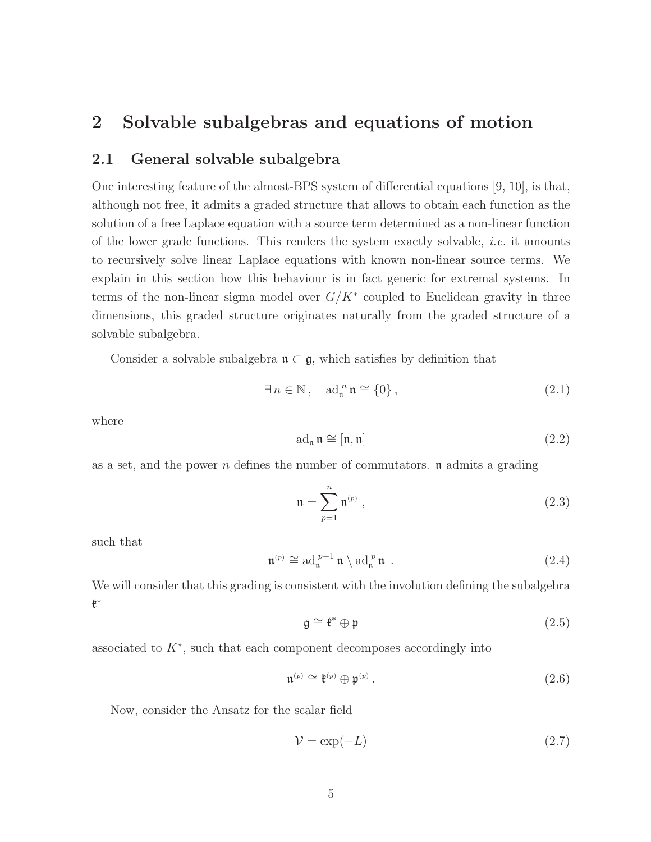# <span id="page-5-2"></span>2 Solvable subalgebras and equations of motion

### 2.1 General solvable subalgebra

One interesting feature of the almost-BPS system of differential equations [\[9,](#page-47-3) [10\]](#page-47-1), is that, although not free, it admits a graded structure that allows to obtain each function as the solution of a free Laplace equation with a source term determined as a non-linear function of the lower grade functions. This renders the system exactly solvable, i.e. it amounts to recursively solve linear Laplace equations with known non-linear source terms. We explain in this section how this behaviour is in fact generic for extremal systems. In terms of the non-linear sigma model over  $G/K^*$  coupled to Euclidean gravity in three dimensions, this graded structure originates naturally from the graded structure of a solvable subalgebra.

Consider a solvable subalgebra  $\mathfrak{n} \subset \mathfrak{g}$ , which satisfies by definition that

$$
\exists n \in \mathbb{N}, \quad \operatorname{ad}_{\mathfrak{n}}^n \mathfrak{n} \cong \{0\},\tag{2.1}
$$

where

<span id="page-5-0"></span>
$$
ad_{\mathfrak{n}} \mathfrak{n} \cong [\mathfrak{n}, \mathfrak{n}] \tag{2.2}
$$

as a set, and the power n defines the number of commutators.  $\bf{n}$  admits a grading

$$
\mathfrak{n} = \sum_{p=1}^{n} \mathfrak{n}^{(p)} , \qquad (2.3)
$$

such that

$$
\mathfrak{n}^{(p)} \cong \mathrm{ad}_{\mathfrak{n}}^{p-1} \mathfrak{n} \setminus \mathrm{ad}_{\mathfrak{n}}^{p} \mathfrak{n} \ . \tag{2.4}
$$

We will consider that this grading is consistent with the involution defining the subalgebra k ∗

$$
\mathfrak{g} \cong \mathfrak{k}^* \oplus \mathfrak{p} \tag{2.5}
$$

associated to  $K^*$ , such that each component decomposes accordingly into

$$
\mathfrak{n}^{(p)} \cong \mathfrak{k}^{(p)} \oplus \mathfrak{p}^{(p)}\,. \tag{2.6}
$$

Now, consider the Ansatz for the scalar field

<span id="page-5-1"></span>
$$
\mathcal{V} = \exp(-L) \tag{2.7}
$$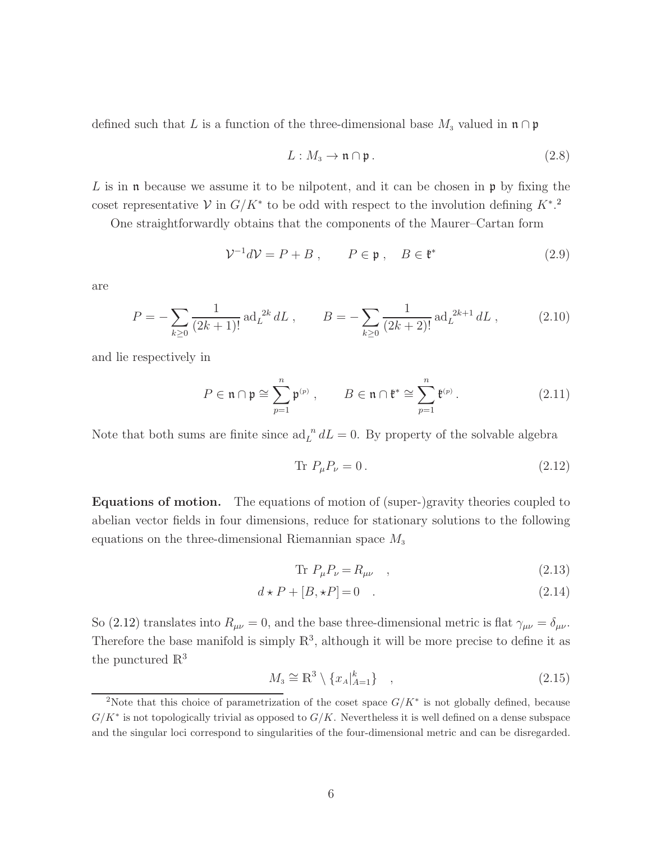defined such that L is a function of the three-dimensional base  $M_3$  valued in  $\mathfrak{n} \cap \mathfrak{p}$ 

<span id="page-6-3"></span>
$$
L: M_3 \to \mathfrak{n} \cap \mathfrak{p} \,. \tag{2.8}
$$

L is in  $\mathfrak n$  because we assume it to be nilpotent, and it can be chosen in  $\mathfrak p$  by fixing the coset representative  $\mathcal V$  in  $G/K^*$  to be odd with respect to the involution defining  $K^*$ .<sup>[2](#page-6-0)</sup>

One straightforwardly obtains that the components of the Maurer–Cartan form

$$
\mathcal{V}^{-1}d\mathcal{V} = P + B \,, \qquad P \in \mathfrak{p} \,, \quad B \in \mathfrak{k}^* \tag{2.9}
$$

are

$$
P = -\sum_{k\geq 0} \frac{1}{(2k+1)!} \operatorname{ad}_{L}^{2k} dL , \qquad B = -\sum_{k\geq 0} \frac{1}{(2k+2)!} \operatorname{ad}_{L}^{2k+1} dL , \qquad (2.10)
$$

and lie respectively in

$$
P \in \mathfrak{n} \cap \mathfrak{p} \cong \sum_{p=1}^{n} \mathfrak{p}^{(p)}, \qquad B \in \mathfrak{n} \cap \mathfrak{k}^* \cong \sum_{p=1}^{n} \mathfrak{k}^{(p)}.
$$
 (2.11)

Note that both sums are finite since  $ad_L^{\ n} dL = 0$ . By property of the solvable algebra

<span id="page-6-1"></span>
$$
\text{Tr } P_{\mu} P_{\nu} = 0. \tag{2.12}
$$

Equations of motion. The equations of motion of (super-)gravity theories coupled to abelian vector fields in four dimensions, reduce for stationary solutions to the following equations on the three-dimensional Riemannian space  $M_3$ 

<span id="page-6-2"></span>
$$
\text{Tr } P_{\mu} P_{\nu} = R_{\mu\nu} \quad , \tag{2.13}
$$

$$
d \star P + [B, \star P] = 0 \quad . \tag{2.14}
$$

So [\(2.12\)](#page-6-1) translates into  $R_{\mu\nu} = 0$ , and the base three-dimensional metric is flat  $\gamma_{\mu\nu} = \delta_{\mu\nu}$ . Therefore the base manifold is simply  $\mathbb{R}^3$ , although it will be more precise to define it as the punctured  $\mathbb{R}^3$ 

$$
M_3 \cong \mathbb{R}^3 \setminus \{x_A|_{A=1}^k\}, \tag{2.15}
$$

<span id="page-6-0"></span><sup>&</sup>lt;sup>2</sup>Note that this choice of parametrization of the coset space  $G/K^*$  is not globally defined, because  $G/K^*$  is not topologically trivial as opposed to  $G/K$ . Nevertheless it is well defined on a dense subspace and the singular loci correspond to singularities of the four-dimensional metric and can be disregarded.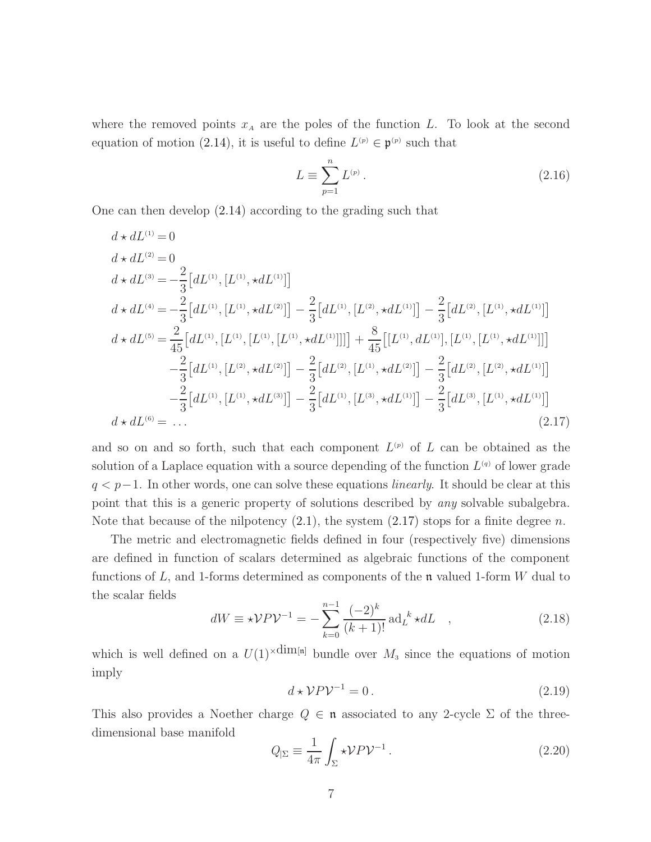where the removed points  $x_A$  are the poles of the function L. To look at the second equation of motion [\(2.14\)](#page-6-2), it is useful to define  $L^{(p)} \in \mathfrak{p}^{(p)}$  such that

$$
L \equiv \sum_{p=1}^{n} L^{(p)} \,. \tag{2.16}
$$

One can then develop [\(2.14\)](#page-6-2) according to the grading such that

<span id="page-7-0"></span>
$$
d \star dL^{(1)} = 0
$$
  
\n
$$
d \star dL^{(2)} = 0
$$
  
\n
$$
d \star dL^{(3)} = -\frac{2}{3} [dL^{(1)}, [L^{(1)}, \star dL^{(1)}]]
$$
  
\n
$$
d \star dL^{(4)} = -\frac{2}{3} [dL^{(1)}, [L^{(1)}, \star dL^{(2)}]] - \frac{2}{3} [dL^{(1)}, [L^{(2)}, \star dL^{(1)}]] - \frac{2}{3} [dL^{(2)}, [L^{(1)}, \star dL^{(1)}]]
$$
  
\n
$$
d \star dL^{(5)} = \frac{2}{45} [dL^{(1)}, [L^{(1)}, [L^{(1)}, \star dL^{(1)}]]]] + \frac{8}{45} [[L^{(1)}, dL^{(1)}], [L^{(1)}, [\star dL^{(1)}]]]
$$
  
\n
$$
-\frac{2}{3} [dL^{(1)}, [L^{(2)}, \star dL^{(2)}]] - \frac{2}{3} [dL^{(2)}, [L^{(1)}, \star dL^{(2)}]] - \frac{2}{3} [dL^{(2)}, [L^{(2)}, \star dL^{(1)}]]
$$
  
\n
$$
-\frac{2}{3} [dL^{(1)}, [L^{(1)}, \star dL^{(3)}]] - \frac{2}{3} [dL^{(1)}, [L^{(3)}, \star dL^{(1)}]] - \frac{2}{3} [dL^{(3)}, [L^{(1)}, \star dL^{(1)}]]
$$
  
\n
$$
d \star dL^{(6)} = \dots
$$
\n(2.17)

and so on and so forth, such that each component  $L^{(p)}$  of L can be obtained as the solution of a Laplace equation with a source depending of the function  $L^{(q)}$  of lower grade  $q < p-1$ . In other words, one can solve these equations *linearly*. It should be clear at this point that this is a generic property of solutions described by any solvable subalgebra. Note that because of the nilpotency  $(2.1)$ , the system  $(2.17)$  stops for a finite degree n.

The metric and electromagnetic fields defined in four (respectively five) dimensions are defined in function of scalars determined as algebraic functions of the component functions of  $L$ , and 1-forms determined as components of the  $\mathfrak n$  valued 1-form W dual to the scalar fields

$$
dW \equiv \star \mathcal{V} P \mathcal{V}^{-1} = -\sum_{k=0}^{n-1} \frac{(-2)^k}{(k+1)!} \operatorname{ad}_L^k \star dL \quad , \tag{2.18}
$$

which is well defined on a  $U(1) \times \dim[n]$  bundle over  $M_3$  since the equations of motion imply

$$
d \star \mathcal{V} P \mathcal{V}^{-1} = 0. \tag{2.19}
$$

This also provides a Noether charge  $Q \in \mathfrak{n}$  associated to any 2-cycle  $\Sigma$  of the threedimensional base manifold

$$
Q_{|\Sigma} \equiv \frac{1}{4\pi} \int_{\Sigma} \star \mathcal{V} P \mathcal{V}^{-1} . \tag{2.20}
$$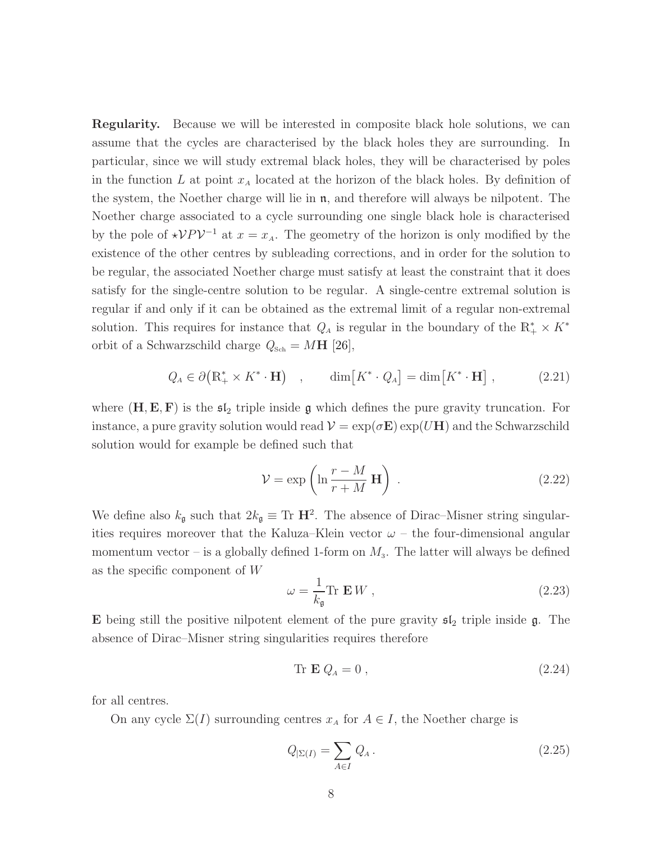Regularity. Because we will be interested in composite black hole solutions, we can assume that the cycles are characterised by the black holes they are surrounding. In particular, since we will study extremal black holes, they will be characterised by poles in the function L at point  $x_A$  located at the horizon of the black holes. By definition of the system, the Noether charge will lie in  $\mathfrak{n}$ , and therefore will always be nilpotent. The Noether charge associated to a cycle surrounding one single black hole is characterised by the pole of  $\star \mathcal{V} P \mathcal{V}^{-1}$  at  $x = x_A$ . The geometry of the horizon is only modified by the existence of the other centres by subleading corrections, and in order for the solution to be regular, the associated Noether charge must satisfy at least the constraint that it does satisfy for the single-centre solution to be regular. A single-centre extremal solution is regular if and only if it can be obtained as the extremal limit of a regular non-extremal solution. This requires for instance that  $Q_A$  is regular in the boundary of the  $\mathbb{R}_+^* \times K^*$ orbit of a Schwarzschild charge  $Q_{\rm Sch}=M{\bf H}$  [\[26\]](#page-48-1),

$$
Q_A \in \partial \big( \mathbb{R}_+^* \times K^* \cdot \mathbf{H} \big) \quad , \qquad \dim \big[ K^* \cdot Q_A \big] = \dim \big[ K^* \cdot \mathbf{H} \big] \quad , \tag{2.21}
$$

where  $(H, E, F)$  is the  $\mathfrak{sl}_2$  triple inside g which defines the pure gravity truncation. For instance, a pure gravity solution would read  $\mathcal{V} = \exp(\sigma \mathbf{E}) \exp(U\mathbf{H})$  and the Schwarzschild solution would for example be defined such that

$$
\mathcal{V} = \exp\left(\ln\frac{r-M}{r+M}\,\mathbf{H}\right) \,. \tag{2.22}
$$

We define also  $k_{\mathfrak{g}}$  such that  $2k_{\mathfrak{g}} \equiv \text{Tr } H^2$ . The absence of Dirac–Misner string singularities requires moreover that the Kaluza–Klein vector  $\omega$  – the four-dimensional angular momentum vector – is a globally defined 1-form on  $M_3$ . The latter will always be defined as the specific component of W

$$
\omega = \frac{1}{k_{\mathfrak{g}}} \text{Tr } \mathbf{E} W , \qquad (2.23)
$$

E being still the positive nilpotent element of the pure gravity  $\mathfrak{sl}_2$  triple inside  $\mathfrak{g}$ . The absence of Dirac–Misner string singularities requires therefore

$$
\text{Tr } \mathbf{E} Q_A = 0 \,, \tag{2.24}
$$

for all centres.

On any cycle  $\Sigma(I)$  surrounding centres  $x_A$  for  $A \in I$ , the Noether charge is

$$
Q_{\mid \Sigma(I)} = \sum_{A \in I} Q_A \,. \tag{2.25}
$$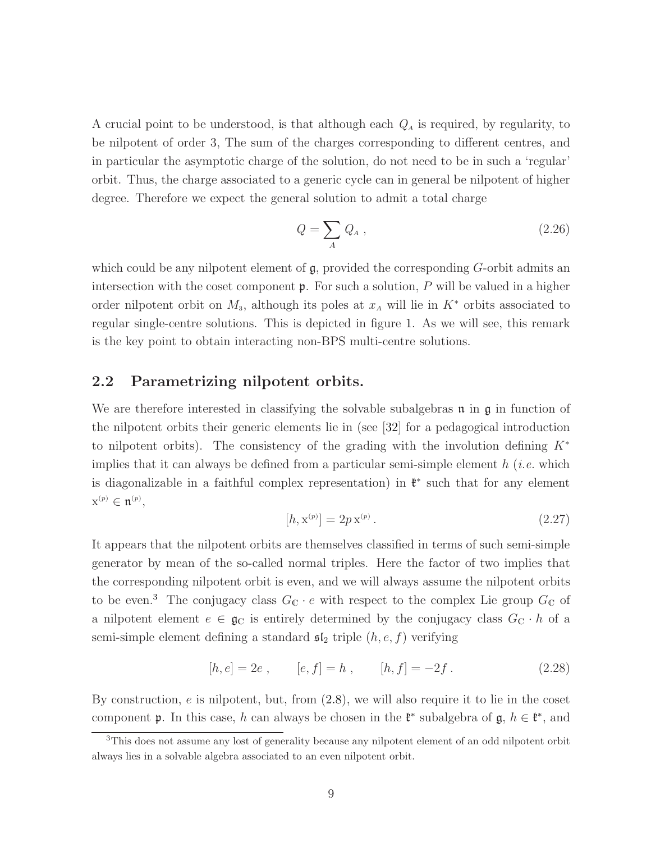A crucial point to be understood, is that although each  $Q_A$  is required, by regularity, to be nilpotent of order 3, The sum of the charges corresponding to different centres, and in particular the asymptotic charge of the solution, do not need to be in such a 'regular' orbit. Thus, the charge associated to a generic cycle can in general be nilpotent of higher degree. Therefore we expect the general solution to admit a total charge

$$
Q = \sum_{A} Q_A , \qquad (2.26)
$$

which could be any nilpotent element of  $\mathfrak{g}$ , provided the corresponding  $G$ -orbit admits an intersection with the coset component  $\mathfrak{p}$ . For such a solution, P will be valued in a higher order nilpotent orbit on  $M_3$ , although its poles at  $x_A$  will lie in  $K^*$  orbits associated to regular single-centre solutions. This is depicted in figure [1.](#page-4-0) As we will see, this remark is the key point to obtain interacting non-BPS multi-centre solutions.

## 2.2 Parametrizing nilpotent orbits.

We are therefore interested in classifying the solvable subalgebras  $\mathfrak n$  in  $\mathfrak g$  in function of the nilpotent orbits their generic elements lie in (see [\[32\]](#page-48-8) for a pedagogical introduction to nilpotent orbits). The consistency of the grading with the involution defining  $K^*$ implies that it can always be defined from a particular semi-simple element  $h(i.e.$  which is diagonalizable in a faithful complex representation) in  $\mathfrak{k}^*$  such that for any element  $x^{(p)} \in \mathfrak{n}^{(p)},$ 

$$
[h, \mathbf{x}^{(p)}] = 2p \mathbf{x}^{(p)}.
$$
\n(2.27)

<span id="page-9-1"></span>It appears that the nilpotent orbits are themselves classified in terms of such semi-simple generator by mean of the so-called normal triples. Here the factor of two implies that the corresponding nilpotent orbit is even, and we will always assume the nilpotent orbits to be even.<sup>[3](#page-9-0)</sup> The conjugacy class  $G_{\mathbb{C}} \cdot e$  with respect to the complex Lie group  $G_{\mathbb{C}}$  of a nilpotent element  $e \in \mathfrak{g}_{\mathbb{C}}$  is entirely determined by the conjugacy class  $G_{\mathbb{C}} \cdot h$  of a semi-simple element defining a standard  $\mathfrak{sl}_2$  triple  $(h, e, f)$  verifying

$$
[h, e] = 2e
$$
,  $[e, f] = h$ ,  $[h, f] = -2f$ . (2.28)

By construction,  $e$  is nilpotent, but, from  $(2.8)$ , we will also require it to lie in the coset component **p**. In this case, h can always be chosen in the  $\mathfrak{k}^*$  subalgebra of **g**,  $h \in \mathfrak{k}^*$ , and

<span id="page-9-0"></span><sup>&</sup>lt;sup>3</sup>This does not assume any lost of generality because any nilpotent element of an odd nilpotent orbit always lies in a solvable algebra associated to an even nilpotent orbit.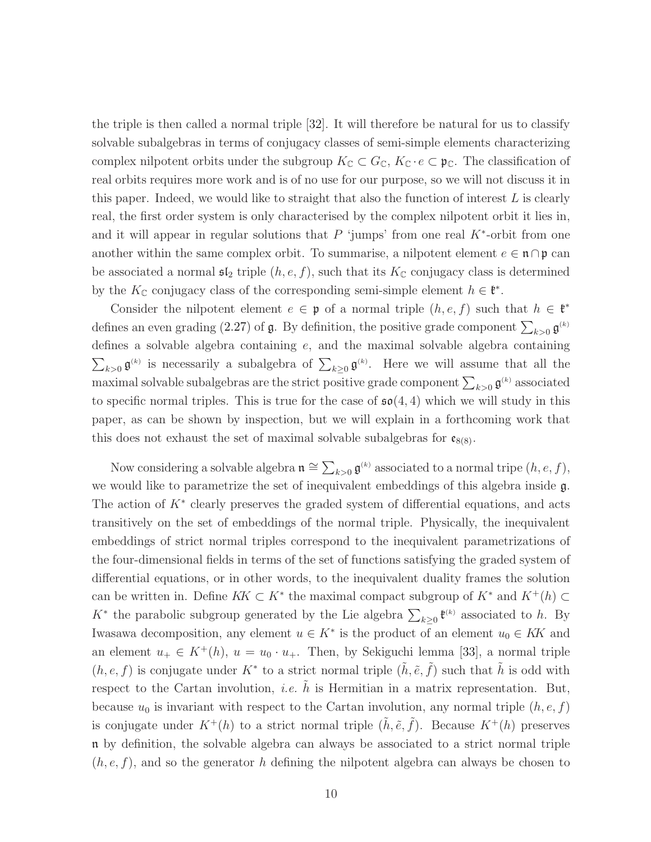the triple is then called a normal triple [\[32\]](#page-48-8). It will therefore be natural for us to classify solvable subalgebras in terms of conjugacy classes of semi-simple elements characterizing complex nilpotent orbits under the subgroup  $K_{\mathbb{C}} \subset G_{\mathbb{C}}$ ,  $K_{\mathbb{C}} \cdot e \subset \mathfrak{p}_{\mathbb{C}}$ . The classification of real orbits requires more work and is of no use for our purpose, so we will not discuss it in this paper. Indeed, we would like to straight that also the function of interest  $L$  is clearly real, the first order system is only characterised by the complex nilpotent orbit it lies in, and it will appear in regular solutions that  $P$  'jumps' from one real  $K^*$ -orbit from one another within the same complex orbit. To summarise, a nilpotent element  $e \in \mathfrak{n} \cap \mathfrak{p}$  can be associated a normal  $\mathfrak{sl}_2$  triple  $(h, e, f)$ , such that its  $K_{\mathbb{C}}$  conjugacy class is determined by the  $K_{\mathbb{C}}$  conjugacy class of the corresponding semi-simple element  $h \in \mathfrak{k}^*$ .

Consider the nilpotent element  $e \in \mathfrak{p}$  of a normal triple  $(h, e, f)$  such that  $h \in \mathfrak{k}^*$ defines an even grading [\(2.27\)](#page-9-1) of  $\mathfrak g$ . By definition, the positive grade component  $\sum_{k>0} \mathfrak g^{(k)}$ defines a solvable algebra containing e, and the maximal solvable algebra containing  $\sum_{k>0} \mathfrak{g}^{(k)}$  is necessarily a subalgebra of  $\sum_{k\geq 0} \mathfrak{g}^{(k)}$ . Here we will assume that all the maximal solvable subalgebras are the strict positive grade component  $\sum_{k>0}\mathfrak{g}^{(k)}$  associated to specific normal triples. This is true for the case of  $\mathfrak{so}(4,4)$  which we will study in this paper, as can be shown by inspection, but we will explain in a forthcoming work that this does not exhaust the set of maximal solvable subalgebras for  $\mathfrak{e}_{8(8)}$ .

Now considering a solvable algebra  $\mathfrak{n} \cong \sum_{k>0} \mathfrak{g}^{(k)}$  associated to a normal tripe  $(h, e, f)$ , we would like to parametrize the set of inequivalent embeddings of this algebra inside g. The action of  $K^*$  clearly preserves the graded system of differential equations, and acts transitively on the set of embeddings of the normal triple. Physically, the inequivalent embeddings of strict normal triples correspond to the inequivalent parametrizations of the four-dimensional fields in terms of the set of functions satisfying the graded system of differential equations, or in other words, to the inequivalent duality frames the solution can be written in. Define  $KK \subset K^*$  the maximal compact subgroup of  $K^*$  and  $K^+(h) \subset$ K<sup>\*</sup> the parabolic subgroup generated by the Lie algebra  $\sum_{k\geq 0} \mathfrak{k}^{(k)}$  associated to h. By Iwasawa decomposition, any element  $u \in K^*$  is the product of an element  $u_0 \in K$  and an element  $u_+ \in K^+(h)$ ,  $u = u_0 \cdot u_+$ . Then, by Sekiguchi lemma [\[33\]](#page-48-9), a normal triple  $(h, e, f)$  is conjugate under K<sup>\*</sup> to a strict normal triple  $(\tilde{h}, \tilde{e}, \tilde{f})$  such that  $\tilde{h}$  is odd with respect to the Cartan involution, *i.e.* h is Hermitian in a matrix representation. But, because  $u_0$  is invariant with respect to the Cartan involution, any normal triple  $(h, e, f)$ is conjugate under  $K^+(h)$  to a strict normal triple  $(\tilde{h}, \tilde{e}, \tilde{f})$ . Because  $K^+(h)$  preserves n by definition, the solvable algebra can always be associated to a strict normal triple  $(h, e, f)$ , and so the generator h defining the nilpotent algebra can always be chosen to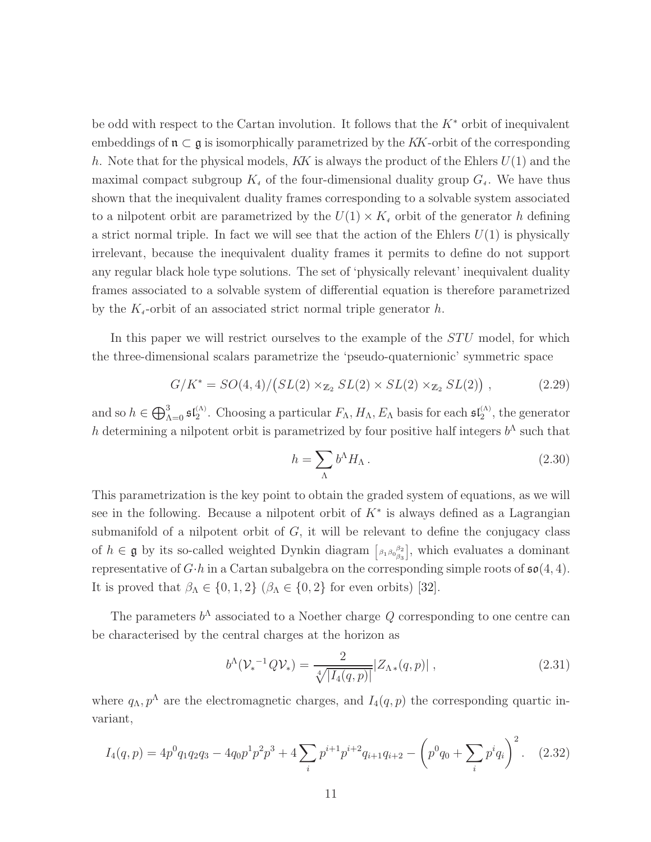be odd with respect to the Cartan involution. It follows that the  $K^*$  orbit of inequivalent embeddings of  $\mathfrak{n} \subset \mathfrak{g}$  is isomorphically parametrized by the KK-orbit of the corresponding h. Note that for the physical models, KK is always the product of the Ehlers  $U(1)$  and the maximal compact subgroup  $K_4$  of the four-dimensional duality group  $G_4$ . We have thus shown that the inequivalent duality frames corresponding to a solvable system associated to a nilpotent orbit are parametrized by the  $U(1) \times K_4$  orbit of the generator h defining a strict normal triple. In fact we will see that the action of the Ehlers  $U(1)$  is physically irrelevant, because the inequivalent duality frames it permits to define do not support any regular black hole type solutions. The set of 'physically relevant' inequivalent duality frames associated to a solvable system of differential equation is therefore parametrized by the  $K_4$ -orbit of an associated strict normal triple generator  $h$ .

In this paper we will restrict ourselves to the example of the  $STU$  model, for which the three-dimensional scalars parametrize the 'pseudo-quaternionic' symmetric space

$$
G/K^* = SO(4,4)/\big( SL(2) \times_{\mathbb{Z}_2} SL(2) \times SL(2) \times_{\mathbb{Z}_2} SL(2) \big) , \qquad (2.29)
$$

and so  $h \in \bigoplus_{\Lambda=0}^3 \mathfrak{sl}_2^{(\Lambda)}$ . Choosing a particular  $F_\Lambda, H_\Lambda, E_\Lambda$  basis for each  $\mathfrak{sl}_2^{(\Lambda)}$ , the generator h determining a nilpotent orbit is parametrized by four positive half integers  $b^{\Lambda}$  such that

$$
h = \sum_{\Lambda} b^{\Lambda} H_{\Lambda} \,. \tag{2.30}
$$

This parametrization is the key point to obtain the graded system of equations, as we will see in the following. Because a nilpotent orbit of  $K^*$  is always defined as a Lagrangian submanifold of a nilpotent orbit of  $G$ , it will be relevant to define the conjugacy class of  $h \in \mathfrak{g}$  by its so-called weighted Dynkin diagram  $\left[\begin{smallmatrix} \beta_1 & \beta_0 & \beta_2 \\ \beta_1 & \beta_0 & \beta_3 \end{smallmatrix}\right]$ , which evaluates a dominant representative of  $G \cdot h$  in a Cartan subalgebra on the corresponding simple roots of  $\mathfrak{so}(4,4)$ . It is proved that  $\beta_{\Lambda} \in \{0, 1, 2\}$  ( $\beta_{\Lambda} \in \{0, 2\}$  for even orbits) [\[32\]](#page-48-8).

The parameters  $b^{\Lambda}$  associated to a Noether charge Q corresponding to one centre can be characterised by the central charges at the horizon as

$$
b^{\Lambda}(\mathcal{V}_{*}^{-1}Q\mathcal{V}_{*}) = \frac{2}{\sqrt[4]{|I_{4}(q,p)|}}|Z_{\Lambda *}(q,p)|,
$$
\n(2.31)

where  $q_{\Lambda}, p^{\Lambda}$  are the electromagnetic charges, and  $I_4(q, p)$  the corresponding quartic invariant,

<span id="page-11-0"></span>
$$
I_4(q,p) = 4p^0q_1q_2q_3 - 4q_0p^1p^2p^3 + 4\sum_i p^{i+1}p^{i+2}q_{i+1}q_{i+2} - \left(p^0q_0 + \sum_i p^iq_i\right)^2.
$$
 (2.32)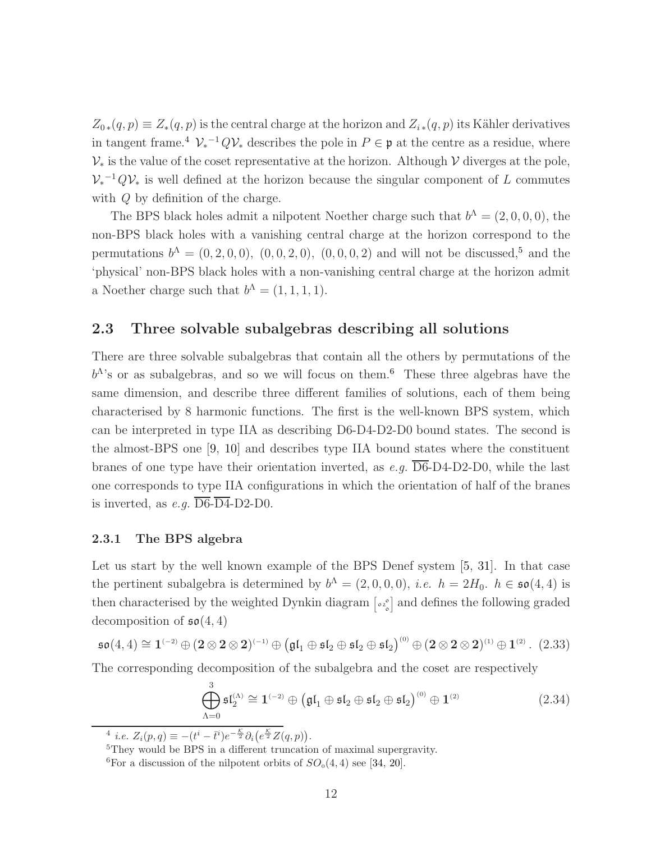$Z_{0\ast}(q,p) \equiv Z_{\ast}(q,p)$  is the central charge at the horizon and  $Z_{i\ast}(q,p)$  its Kähler derivatives in tangent frame.<sup>[4](#page-12-0)</sup>  $\mathcal{V}_*^{-1}Q\mathcal{V}_*$  describes the pole in  $P \in \mathfrak{p}$  at the centre as a residue, where  $\mathcal{V}_*$  is the value of the coset representative at the horizon. Although  $\mathcal V$  diverges at the pole,  $V_*^{-1}QV_*$  is well defined at the horizon because the singular component of L commutes with  $Q$  by definition of the charge.

The BPS black holes admit a nilpotent Noether charge such that  $b^{\Lambda} = (2, 0, 0, 0)$ , the non-BPS black holes with a vanishing central charge at the horizon correspond to the permutations  $b^{\Lambda} = (0, 2, 0, 0), (0, 0, 2, 0), (0, 0, 0, 2)$  and will not be discussed,<sup>[5](#page-12-1)</sup> and the 'physical' non-BPS black holes with a non-vanishing central charge at the horizon admit a Noether charge such that  $b^{\Lambda} = (1, 1, 1, 1)$ .

## 2.3 Three solvable subalgebras describing all solutions

There are three solvable subalgebras that contain all the others by permutations of the  $b^{\Lambda}$ 's or as subalgebras, and so we will focus on them.<sup>[6](#page-12-2)</sup> These three algebras have the same dimension, and describe three different families of solutions, each of them being characterised by 8 harmonic functions. The first is the well-known BPS system, which can be interpreted in type IIA as describing D6-D4-D2-D0 bound states. The second is the almost-BPS one [\[9,](#page-47-3) [10\]](#page-47-1) and describes type IIA bound states where the constituent branes of one type have their orientation inverted, as e.g.  $\overline{\text{D6}}$ -D4-D2-D0, while the last one corresponds to type IIA configurations in which the orientation of half of the branes is inverted, as e.g.  $\overline{\text{D6}}\text{-}\overline{\text{D4}}\text{-D2-D0}$ .

#### 2.3.1 The BPS algebra

Let us start by the well known example of the BPS Denef system [\[5,](#page-46-4) [31\]](#page-48-6). In that case the pertinent subalgebra is determined by  $b^{\Lambda} = (2, 0, 0, 0), i.e.$   $h = 2H_0$ .  $h \in \mathfrak{so}(4, 4)$  is then characterised by the weighted Dynkin diagram  $\left[\int_{\alpha}^{\infty}\right]$  and defines the following graded decomposition of  $\mathfrak{so}(4,4)$ 

$$
\mathfrak{so}(4,4) \cong \mathbf{1}^{(-2)} \oplus (\mathbf{2} \otimes \mathbf{2} \otimes \mathbf{2})^{(-1)} \oplus (\mathfrak{gl}_1 \oplus \mathfrak{sl}_2 \oplus \mathfrak{sl}_2 \oplus \mathfrak{sl}_2)^{(0)} \oplus (\mathbf{2} \otimes \mathbf{2} \otimes \mathbf{2})^{(1)} \oplus \mathbf{1}^{(2)}.
$$
 (2.33)

The corresponding decomposition of the subalgebra and the coset are respectively

$$
\bigoplus_{\Lambda=0}^{3} \mathfrak{sl}_2^{(\Lambda)} \cong \mathbf{1}^{(-2)} \oplus \left( \mathfrak{gl}_1 \oplus \mathfrak{sl}_2 \oplus \mathfrak{sl}_2 \oplus \mathfrak{sl}_2 \right)^{(0)} \oplus \mathbf{1}^{(2)} \tag{2.34}
$$

<sup>4</sup> *i.e.*  $Z_i(p,q) \equiv -(t^i - \bar{t}^i)e^{-\frac{\mathcal{K}}{2}}\partial_i(e^{\frac{\mathcal{K}}{2}}Z(q,p)).$ 

<span id="page-12-0"></span><sup>5</sup>They would be BPS in a different truncation of maximal supergravity.

<span id="page-12-2"></span><span id="page-12-1"></span><sup>&</sup>lt;sup>6</sup>For a discussion of the nilpotent orbits of  $SO_0(4,4)$  see [\[34,](#page-49-0) [20\]](#page-47-5).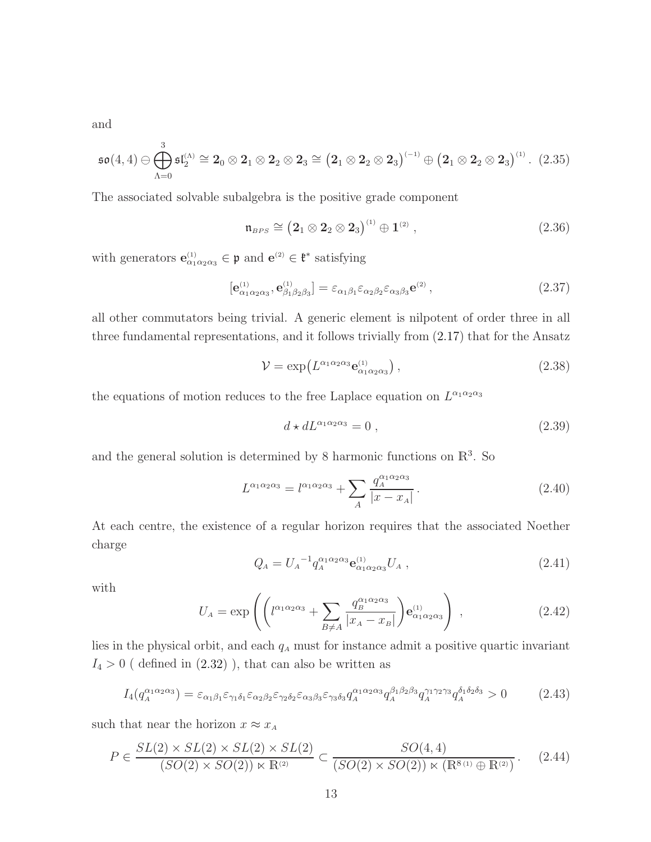and

$$
\mathfrak{so}(4,4)\ominus\bigoplus_{\Lambda=0}^3\mathfrak{sl}_2^{(\Lambda)}\cong 2_0\otimes 2_1\otimes 2_2\otimes 2_3\cong \big(2_1\otimes 2_2\otimes 2_3\big)^{(-1)}\oplus \big(2_1\otimes 2_2\otimes 2_3\big)^{(1)}.\tag{2.35}
$$

The associated solvable subalgebra is the positive grade component

$$
\mathfrak{n}_{BPS} \cong \left(2_1 \otimes 2_2 \otimes 2_3\right)^{(1)} \oplus 1^{(2)}\,,\tag{2.36}
$$

with generators  $\mathbf{e}_{\alpha_1 \alpha_2 \alpha_3}^{(1)} \in \mathfrak{p}$  and  $\mathbf{e}^{(2)} \in \mathfrak{k}^*$  satisfying

$$
[\mathbf{e}_{\alpha_1\alpha_2\alpha_3}^{(1)}, \mathbf{e}_{\beta_1\beta_2\beta_3}^{(1)}] = \varepsilon_{\alpha_1\beta_1}\varepsilon_{\alpha_2\beta_2}\varepsilon_{\alpha_3\beta_3}\mathbf{e}^{(2)},
$$
\n(2.37)

all other commutators being trivial. A generic element is nilpotent of order three in all three fundamental representations, and it follows trivially from [\(2.17\)](#page-7-0) that for the Ansatz

$$
\mathcal{V} = \exp\left(L^{\alpha_1 \alpha_2 \alpha_3} \mathbf{e}_{\alpha_1 \alpha_2 \alpha_3}^{(1)}\right),\tag{2.38}
$$

the equations of motion reduces to the free Laplace equation on  $L^{\alpha_1 \alpha_2 \alpha_3}$ 

$$
d \star dL^{\alpha_1 \alpha_2 \alpha_3} = 0 , \qquad (2.39)
$$

and the general solution is determined by 8 harmonic functions on  $\mathbb{R}^3$ . So

$$
L^{\alpha_1 \alpha_2 \alpha_3} = l^{\alpha_1 \alpha_2 \alpha_3} + \sum_A \frac{q_A^{\alpha_1 \alpha_2 \alpha_3}}{|x - x_A|}.
$$
 (2.40)

At each centre, the existence of a regular horizon requires that the associated Noether charge

$$
Q_A = U_A^{-1} q_A^{\alpha_1 \alpha_2 \alpha_3} \mathbf{e}_{\alpha_1 \alpha_2 \alpha_3}^{(1)} U_A , \qquad (2.41)
$$

with

$$
U_A = \exp\left( \left( l^{\alpha_1 \alpha_2 \alpha_3} + \sum_{B \neq A} \frac{q_B^{\alpha_1 \alpha_2 \alpha_3}}{|x_A - x_B|} \right) \mathbf{e}_{\alpha_1 \alpha_2 \alpha_3}^{(1)} \right) , \qquad (2.42)
$$

lies in the physical orbit, and each  $q_A$  must for instance admit a positive quartic invariant  $I_4 > 0$  ( defined in  $(2.32)$  ), that can also be written as

$$
I_4(q_A^{\alpha_1 \alpha_2 \alpha_3}) = \varepsilon_{\alpha_1 \beta_1} \varepsilon_{\gamma_1 \delta_1} \varepsilon_{\alpha_2 \beta_2} \varepsilon_{\gamma_2 \delta_2} \varepsilon_{\alpha_3 \beta_3} \varepsilon_{\gamma_3 \delta_3} q_A^{\alpha_1 \alpha_2 \alpha_3} q_A^{\beta_1 \beta_2 \beta_3} q_A^{\gamma_1 \gamma_2 \gamma_3} q_A^{\delta_1 \delta_2 \delta_3} > 0 \tag{2.43}
$$

such that near the horizon  $x \approx x_A$ 

$$
P \in \frac{SL(2) \times SL(2) \times SL(2) \times SL(2)}{(SO(2) \times SO(2)) \times \mathbb{R}^{(2)}} \subset \frac{SO(4,4)}{(SO(2) \times SO(2)) \times (\mathbb{R}^{8}^{(1)} \oplus \mathbb{R}^{(2)})}. \tag{2.44}
$$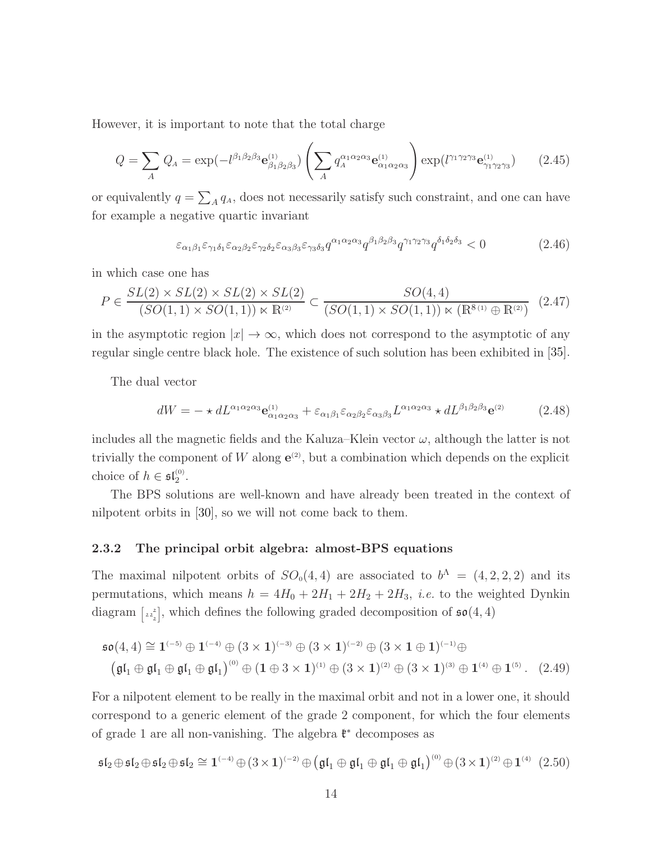However, it is important to note that the total charge

$$
Q = \sum_{A} Q_{A} = \exp(-l^{\beta_{1}\beta_{2}\beta_{3}} \mathbf{e}_{\beta_{1}\beta_{2}\beta_{3}}^{(1)}) \left(\sum_{A} q_{A}^{\alpha_{1}\alpha_{2}\alpha_{3}} \mathbf{e}_{\alpha_{1}\alpha_{2}\alpha_{3}}^{(1)}\right) \exp(l^{\gamma_{1}\gamma_{2}\gamma_{3}} \mathbf{e}_{\gamma_{1}\gamma_{2}\gamma_{3}}^{(1)}) \tag{2.45}
$$

or equivalently  $q = \sum_A q_A$ , does not necessarily satisfy such constraint, and one can have for example a negative quartic invariant

$$
\varepsilon_{\alpha_1\beta_1}\varepsilon_{\gamma_1\delta_1}\varepsilon_{\alpha_2\beta_2}\varepsilon_{\gamma_2\delta_2}\varepsilon_{\alpha_3\beta_3}\varepsilon_{\gamma_3\delta_3}q^{\alpha_1\alpha_2\alpha_3}q^{\beta_1\beta_2\beta_3}q^{\gamma_1\gamma_2\gamma_3}q^{\delta_1\delta_2\delta_3} < 0
$$
\n(2.46)

in which case one has

$$
P \in \frac{SL(2) \times SL(2) \times SL(2) \times SL(2)}{(SO(1,1) \times SO(1,1)) \times \mathbb{R}^{(2)}} \subset \frac{SO(4,4)}{(SO(1,1) \times SO(1,1)) \times (\mathbb{R}^{8(1)} \oplus \mathbb{R}^{(2)})} (2.47)
$$

in the asymptotic region  $|x| \to \infty$ , which does not correspond to the asymptotic of any regular single centre black hole. The existence of such solution has been exhibited in [\[35\]](#page-49-1).

The dual vector

$$
dW = -\star dL^{\alpha_1 \alpha_2 \alpha_3} \mathbf{e}_{\alpha_1 \alpha_2 \alpha_3}^{(1)} + \varepsilon_{\alpha_1 \beta_1} \varepsilon_{\alpha_2 \beta_2} \varepsilon_{\alpha_3 \beta_3} L^{\alpha_1 \alpha_2 \alpha_3} \star dL^{\beta_1 \beta_2 \beta_3} \mathbf{e}^{(2)} \tag{2.48}
$$

includes all the magnetic fields and the Kaluza–Klein vector  $\omega$ , although the latter is not trivially the component of W along  $e^{(2)}$ , but a combination which depends on the explicit choice of  $h \in \mathfrak{sl}_2^{(0)}$ .

The BPS solutions are well-known and have already been treated in the context of nilpotent orbits in [\[30\]](#page-48-5), so we will not come back to them.

#### <span id="page-14-0"></span>2.3.2 The principal orbit algebra: almost-BPS equations

The maximal nilpotent orbits of  $SO_0(4,4)$  are associated to  $b^{\Lambda} = (4,2,2,2)$  and its permutations, which means  $h = 4H_0 + 2H_1 + 2H_2 + 2H_3$ , *i.e.* to the weighted Dynkin diagram  $[z_2^2]$ , which defines the following graded decomposition of  $\mathfrak{so}(4,4)$ 

$$
\mathfrak{so}(4,4) \cong \mathbf{1}^{(-5)} \oplus \mathbf{1}^{(-4)} \oplus (3 \times \mathbf{1})^{(-3)} \oplus (3 \times \mathbf{1})^{(-2)} \oplus (3 \times \mathbf{1} \oplus \mathbf{1})^{(-1)} \oplus \n(\mathfrak{gl}_1 \oplus \mathfrak{gl}_1 \oplus \mathfrak{gl}_1 \oplus \mathfrak{gl}_1)^{(0)} \oplus (\mathbf{1} \oplus 3 \times \mathbf{1})^{(1)} \oplus (3 \times \mathbf{1})^{(2)} \oplus (3 \times \mathbf{1})^{(3)} \oplus \mathbf{1}^{(4)} \oplus \mathbf{1}^{(5)}.
$$
 (2.49)

For a nilpotent element to be really in the maximal orbit and not in a lower one, it should correspond to a generic element of the grade 2 component, for which the four elements of grade 1 are all non-vanishing. The algebra  $\mathfrak{k}^*$  decomposes as

$$
\mathfrak{sl}_2\oplus\mathfrak{sl}_2\oplus\mathfrak{sl}_2\oplus\mathfrak{sl}_2\cong \mathbf{1}^{(-4)}\oplus (3\times1)^{(-2)}\oplus \big(\mathfrak{gl}_1\oplus\mathfrak{gl}_1\oplus\mathfrak{gl}_1\oplus\mathfrak{gl}_1\big)^{(0)}\oplus (3\times1)^{(2)}\oplus\mathbf{1}^{(4)}\hspace{0.2cm}(2.50)
$$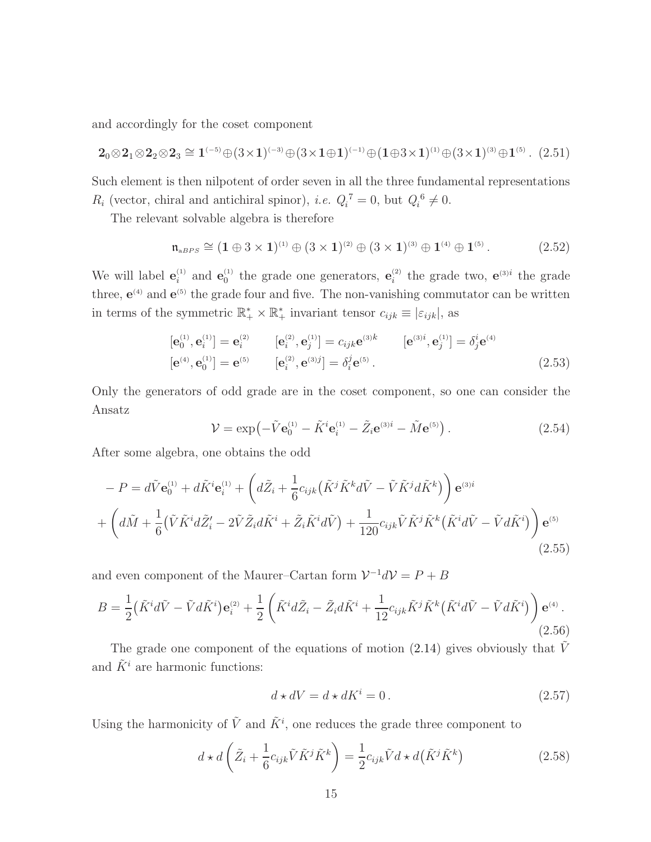and accordingly for the coset component

$$
2_0 \otimes 2_1 \otimes 2_2 \otimes 2_3 \cong 1^{(-5)} \oplus (3 \times 1)^{(-3)} \oplus (3 \times 1 \oplus 1)^{(-1)} \oplus (1 \oplus 3 \times 1)^{(1)} \oplus (3 \times 1)^{(3)} \oplus 1^{(5)}.
$$
 (2.51)

Such element is then nilpotent of order seven in all the three fundamental representations  $R_i$  (vector, chiral and antichiral spinor), *i.e.*  $Q_i^7 = 0$ , but  $Q_i^6 \neq 0$ .

The relevant solvable algebra is therefore

$$
\mathfrak{n}_{\text{aBPS}} \cong (1 \oplus 3 \times 1)^{(1)} \oplus (3 \times 1)^{(2)} \oplus (3 \times 1)^{(3)} \oplus 1^{(4)} \oplus 1^{(5)}.
$$
 (2.52)

We will label  $e_i^{(1)}$  and  $e_0^{(1)}$  the grade one generators,  $e_i^{(2)}$  the grade two,  $e^{(3)i}$  the grade three,  $e^{(4)}$  and  $e^{(5)}$  the grade four and five. The non-vanishing commutator can be written in terms of the symmetric  $\mathbb{R}_+^* \times \mathbb{R}_+^*$  invariant tensor  $c_{ijk} \equiv |\varepsilon_{ijk}|$ , as

$$
[\mathbf{e}_{0}^{(1)}, \mathbf{e}_{i}^{(1)}] = \mathbf{e}_{i}^{(2)} \qquad [\mathbf{e}_{i}^{(2)}, \mathbf{e}_{j}^{(1)}] = c_{ijk} \mathbf{e}^{(3)k} \qquad [\mathbf{e}^{(3)i}, \mathbf{e}_{j}^{(1)}] = \delta_{j}^{i} \mathbf{e}^{(4)} [\mathbf{e}^{(4)}, \mathbf{e}_{0}^{(1)}] = \mathbf{e}^{(5)} \qquad [\mathbf{e}_{i}^{(2)}, \mathbf{e}^{(3)j}] = \delta_{i}^{j} \mathbf{e}^{(5)}.
$$
 (2.53)

Only the generators of odd grade are in the coset component, so one can consider the Ansatz

$$
\mathcal{V} = \exp\left(-\tilde{V}\mathbf{e}_0^{(1)} - \tilde{K}^i \mathbf{e}_i^{(1)} - \tilde{Z}_i \mathbf{e}^{(3)i} - \tilde{M} \mathbf{e}^{(5)}\right).
$$
(2.54)

After some algebra, one obtains the odd

$$
-P = d\tilde{V}\mathbf{e}_{0}^{(1)} + d\tilde{K}^{i}\mathbf{e}_{i}^{(1)} + \left(d\tilde{Z}_{i} + \frac{1}{6}c_{ijk}(\tilde{K}^{j}\tilde{K}^{k}d\tilde{V} - \tilde{V}\tilde{K}^{j}d\tilde{K}^{k})\right)\mathbf{e}^{(3)i} + \left(d\tilde{M} + \frac{1}{6}(\tilde{V}\tilde{K}^{i}d\tilde{Z}_{i}^{\prime} - 2\tilde{V}\tilde{Z}_{i}d\tilde{K}^{i} + \tilde{Z}_{i}\tilde{K}^{i}d\tilde{V}) + \frac{1}{120}c_{ijk}\tilde{V}\tilde{K}^{j}\tilde{K}^{k}(\tilde{K}^{i}d\tilde{V} - \tilde{V}d\tilde{K}^{i})\right)\mathbf{e}^{(5)}
$$
\n(2.55)

and even component of the Maurer–Cartan form  $\mathcal{V}^{-1}d\mathcal{V}=P+B$ 

$$
B = \frac{1}{2} \left( \tilde{K}^i d\tilde{V} - \tilde{V} d\tilde{K}^i \right) \mathbf{e}_i^{(2)} + \frac{1}{2} \left( \tilde{K}^i d\tilde{Z}_i - \tilde{Z}_i d\tilde{K}^i + \frac{1}{12} c_{ijk} \tilde{K}^j \tilde{K}^k \left( \tilde{K}^i d\tilde{V} - \tilde{V} d\tilde{K}^i \right) \right) \mathbf{e}^{(4)}.
$$
\n(2.56)

The grade one component of the equations of motion [\(2.14\)](#page-6-2) gives obviously that  $\tilde{V}$ and  $\tilde{K}^i$  are harmonic functions:

<span id="page-15-0"></span>
$$
d \star dV = d \star dK^i = 0.
$$
\n
$$
(2.57)
$$

Using the harmonicity of  $\tilde{V}$  and  $\tilde{K}^i$ , one reduces the grade three component to

$$
d \star d\left(\tilde{Z}_i + \frac{1}{6}c_{ijk}\tilde{V}\tilde{K}^j\tilde{K}^k\right) = \frac{1}{2}c_{ijk}\tilde{V}d \star d\left(\tilde{K}^j\tilde{K}^k\right)
$$
(2.58)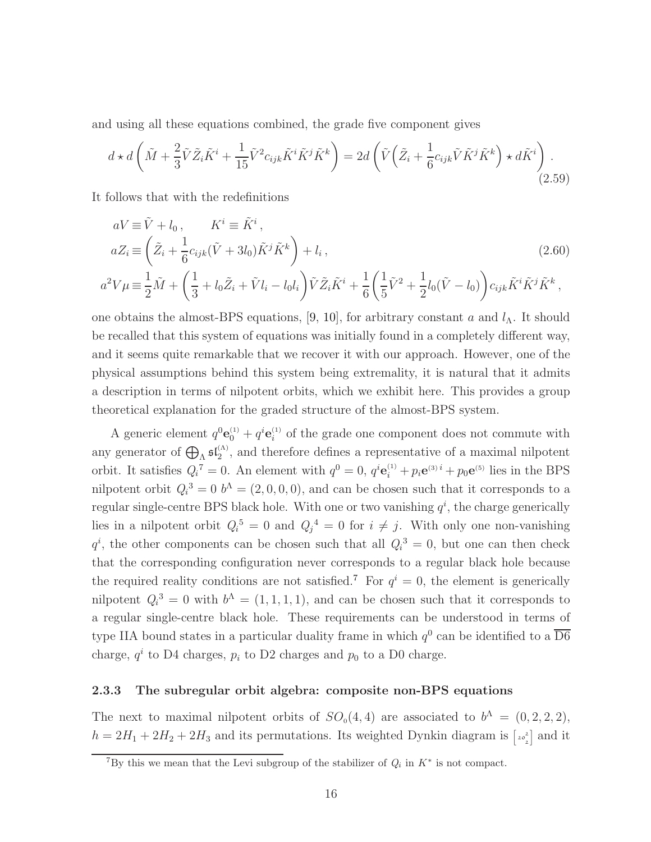and using all these equations combined, the grade five component gives

$$
d \star d\left(\tilde{M} + \frac{2}{3}\tilde{V}\tilde{Z}_{i}\tilde{K}^{i} + \frac{1}{15}\tilde{V}^{2}c_{ijk}\tilde{K}^{i}\tilde{K}^{j}\tilde{K}^{k}\right) = 2d\left(\tilde{V}\left(\tilde{Z}_{i} + \frac{1}{6}c_{ijk}\tilde{V}\tilde{K}^{j}\tilde{K}^{k}\right) \star d\tilde{K}^{i}\right).
$$
\n(2.59)

It follows that with the redefinitions

2

<span id="page-16-1"></span>
$$
aV \equiv \tilde{V} + l_0, \qquad K^i \equiv \tilde{K}^i, \naZ_i \equiv \left(\tilde{Z}_i + \frac{1}{6}c_{ijk}(\tilde{V} + 3l_0)\tilde{K}^j\tilde{K}^k\right) + l_i, \na^2V\mu \equiv \frac{1}{2}\tilde{M} + \left(\frac{1}{3} + l_0\tilde{Z}_i + \tilde{V}l_i - l_0l_i\right)\tilde{V}\tilde{Z}_i\tilde{K}^i + \frac{1}{6}\left(\frac{1}{5}\tilde{V}^2 + \frac{1}{2}l_0(\tilde{V} - l_0)\right)c_{ijk}\tilde{K}^i\tilde{K}^j\tilde{K}^k,
$$
\n(2.60)

6

<span id="page-16-2"></span>5

one obtains the almost-BPS equations, [\[9,](#page-47-3) [10\]](#page-47-1), for arbitrary constant a and  $l<sub>\Lambda</sub>$ . It should be recalled that this system of equations was initially found in a completely different way, and it seems quite remarkable that we recover it with our approach. However, one of the physical assumptions behind this system being extremality, it is natural that it admits a description in terms of nilpotent orbits, which we exhibit here. This provides a group theoretical explanation for the graded structure of the almost-BPS system.

A generic element  $q^0$ **e**<sup>(1)</sup> +  $q^i$ **e**<sup>(1)</sup> of the grade one component does not commute with any generator of  $\bigoplus_{\Lambda} \mathfrak{sl}_2^{(\Lambda)}$ , and therefore defines a representative of a maximal nilpotent orbit. It satisfies  $Q_i^7 = 0$ . An element with  $q^0 = 0$ ,  $q^i \mathbf{e}_i^{(1)} + p_i \mathbf{e}^{(3)i} + p_0 \mathbf{e}^{(5)}$  lies in the BPS nilpotent orbit  $Q_i^3 = 0$   $b^A = (2, 0, 0, 0)$ , and can be chosen such that it corresponds to a regular single-centre BPS black hole. With one or two vanishing  $q^i$ , the charge generically lies in a nilpotent orbit  $Q_i^5 = 0$  and  $Q_j^4 = 0$  for  $i \neq j$ . With only one non-vanishing  $q^i$ , the other components can be chosen such that all  $Q_i^3 = 0$ , but one can then check that the corresponding configuration never corresponds to a regular black hole because the required reality conditions are not satisfied.<sup>[7](#page-16-0)</sup> For  $q^i = 0$ , the element is generically nilpotent  $Q_i^3 = 0$  with  $b^4 = (1, 1, 1, 1)$ , and can be chosen such that it corresponds to a regular single-centre black hole. These requirements can be understood in terms of type IIA bound states in a particular duality frame in which  $q^0$  can be identified to a  $\overline{D6}$ charge,  $q^i$  to D4 charges,  $p_i$  to D2 charges and  $p_0$  to a D0 charge.

#### <span id="page-16-3"></span>2.3.3 The subregular orbit algebra: composite non-BPS equations

The next to maximal nilpotent orbits of  $SO_0(4,4)$  are associated to  $b^{\Lambda} = (0, 2, 2, 2),$  $h = 2H_1 + 2H_2 + 2H_3$  and its permutations. Its weighted Dynkin diagram is  $\begin{bmatrix} 2\sigma_2^2 \end{bmatrix}$  and it

<span id="page-16-0"></span><sup>&</sup>lt;sup>7</sup>By this we mean that the Levi subgroup of the stabilizer of  $Q_i$  in  $K^*$  is not compact.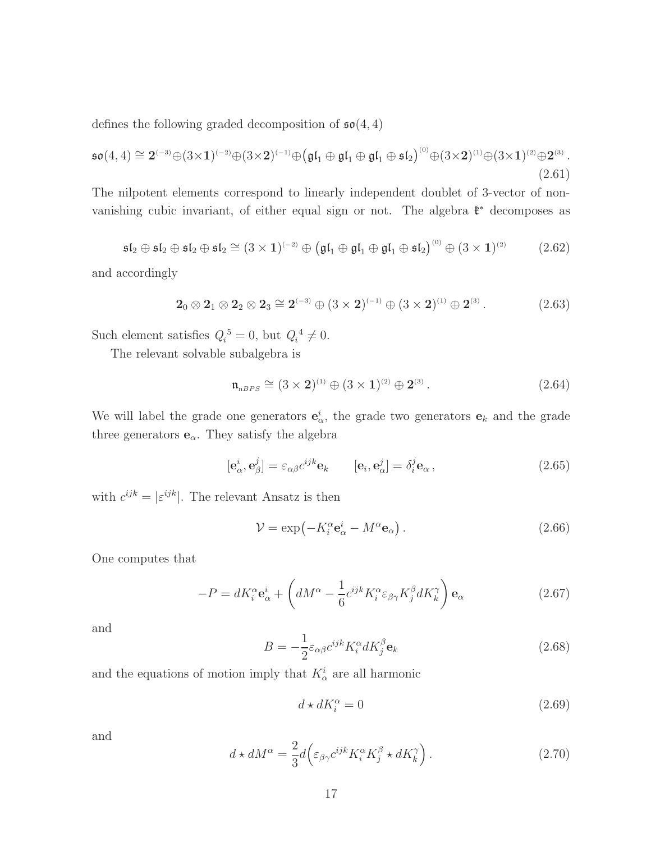defines the following graded decomposition of  $\mathfrak{so}(4,4)$ 

$$
\mathfrak{so}(4,4) \cong 2^{(-3)} \oplus (3 \times 1)^{(-2)} \oplus (3 \times 2)^{(-1)} \oplus (\mathfrak{gl}_1 \oplus \mathfrak{gl}_1 \oplus \mathfrak{gl}_1 \oplus \mathfrak{sl}_2)^{(0)} \oplus (3 \times 2)^{(1)} \oplus (3 \times 1)^{(2)} \oplus 2^{(3)}.
$$
\n(2.61)

The nilpotent elements correspond to linearly independent doublet of 3-vector of nonvanishing cubic invariant, of either equal sign or not. The algebra  $\mathfrak{k}^*$  decomposes as

$$
\mathfrak{sl}_2 \oplus \mathfrak{sl}_2 \oplus \mathfrak{sl}_2 \oplus \mathfrak{sl}_2 \cong (3 \times 1)^{(-2)} \oplus (\mathfrak{gl}_1 \oplus \mathfrak{gl}_1 \oplus \mathfrak{gl}_1 \oplus \mathfrak{sl}_2)^{(0)} \oplus (3 \times 1)^{(2)} \tag{2.62}
$$

and accordingly

$$
2_0 \otimes 2_1 \otimes 2_2 \otimes 2_3 \cong 2^{(-3)} \oplus (3 \times 2)^{(-1)} \oplus (3 \times 2)^{(1)} \oplus 2^{(3)}.
$$
 (2.63)

Such element satisfies  $Q_i^5 = 0$ , but  $Q_i^4 \neq 0$ .

The relevant solvable subalgebra is

$$
\mathfrak{n}_{nBPS} \cong (3 \times 2)^{(1)} \oplus (3 \times 1)^{(2)} \oplus 2^{(3)}.
$$
 (2.64)

We will label the grade one generators  $\mathbf{e}_{\alpha}^{i}$ , the grade two generators  $\mathbf{e}_{k}$  and the grade three generators  $\mathbf{e}_{\alpha}.$  They satisfy the algebra

$$
[\mathbf{e}_{\alpha}^{i}, \mathbf{e}_{\beta}^{j}] = \varepsilon_{\alpha\beta} c^{ijk} \mathbf{e}_{k} \qquad [\mathbf{e}_{i}, \mathbf{e}_{\alpha}^{j}] = \delta_{i}^{j} \mathbf{e}_{\alpha}, \qquad (2.65)
$$

with  $c^{ijk} = |\varepsilon^{ijk}|$ . The relevant Ansatz is then

$$
\mathcal{V} = \exp(-K_i^{\alpha} \mathbf{e}_{\alpha}^i - M^{\alpha} \mathbf{e}_{\alpha}).
$$
\n(2.66)

One computes that

$$
-P = dK_i^{\alpha} \mathbf{e}_{\alpha}^i + \left( dM^{\alpha} - \frac{1}{6} c^{ijk} K_i^{\alpha} \varepsilon_{\beta \gamma} K_j^{\beta} dK_k^{\gamma} \right) \mathbf{e}_{\alpha}
$$
 (2.67)

and

$$
B = -\frac{1}{2} \varepsilon_{\alpha\beta} c^{ijk} K_i^{\alpha} dK_j^{\beta} \mathbf{e}_k
$$
 (2.68)

and the equations of motion imply that  $K^i_\alpha$  are all harmonic

$$
d \star dK_i^{\alpha} = 0 \tag{2.69}
$$

and

$$
d \star dM^{\alpha} = \frac{2}{3} d \Big( \varepsilon_{\beta \gamma} c^{ijk} K_i^{\alpha} K_j^{\beta} \star dK_k^{\gamma} \Big) . \tag{2.70}
$$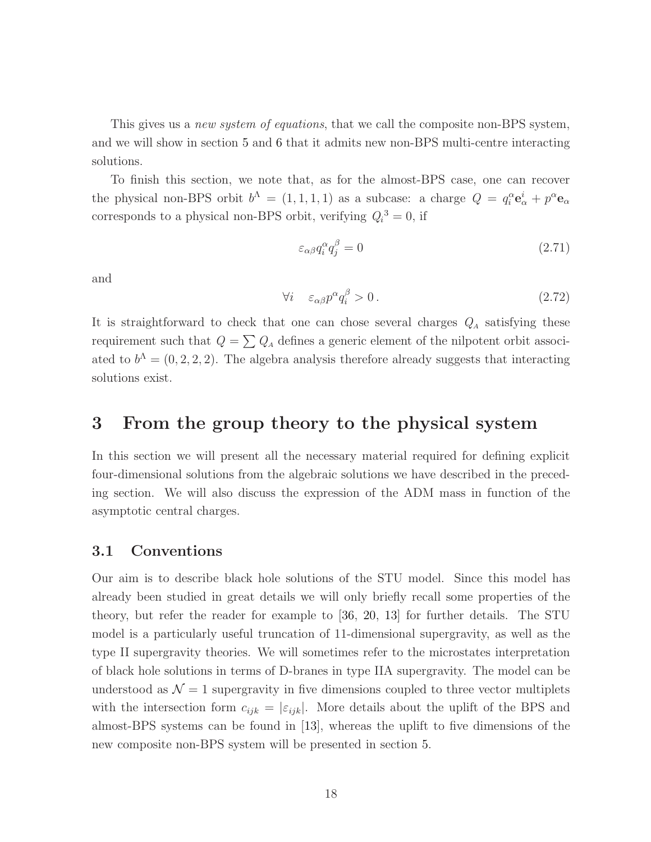This gives us a *new system of equations*, that we call the composite non-BPS system, and we will show in section [5](#page-30-0) and [6](#page-34-0) that it admits new non-BPS multi-centre interacting solutions.

To finish this section, we note that, as for the almost-BPS case, one can recover the physical non-BPS orbit  $b^{\Lambda} = (1, 1, 1, 1)$  as a subcase: a charge  $Q = q_i^{\alpha} \mathbf{e}_{\alpha}^i + p^{\alpha} \mathbf{e}_{\alpha}$ corresponds to a physical non-BPS orbit, verifying  $Q_i^3 = 0$ , if

$$
\varepsilon_{\alpha\beta}q_i^{\alpha}q_j^{\beta} = 0\tag{2.71}
$$

and

$$
\forall i \quad \varepsilon_{\alpha\beta} p^{\alpha} q_i^{\beta} > 0. \tag{2.72}
$$

It is straightforward to check that one can chose several charges  $Q_A$  satisfying these requirement such that  $Q = \sum Q_A$  defines a generic element of the nilpotent orbit associated to  $b^{\Lambda} = (0, 2, 2, 2)$ . The algebra analysis therefore already suggests that interacting solutions exist.

# <span id="page-18-0"></span>3 From the group theory to the physical system

In this section we will present all the necessary material required for defining explicit four-dimensional solutions from the algebraic solutions we have described in the preceding section. We will also discuss the expression of the ADM mass in function of the asymptotic central charges.

#### 3.1 Conventions

Our aim is to describe black hole solutions of the STU model. Since this model has already been studied in great details we will only briefly recall some properties of the theory, but refer the reader for example to [\[36,](#page-49-2) [20,](#page-47-5) [13\]](#page-47-6) for further details. The STU model is a particularly useful truncation of 11-dimensional supergravity, as well as the type II supergravity theories. We will sometimes refer to the microstates interpretation of black hole solutions in terms of D-branes in type IIA supergravity. The model can be understood as  $\mathcal{N} = 1$  supergravity in five dimensions coupled to three vector multiplets with the intersection form  $c_{ijk} = |\varepsilon_{ijk}|$ . More details about the uplift of the BPS and almost-BPS systems can be found in [\[13\]](#page-47-6), whereas the uplift to five dimensions of the new composite non-BPS system will be presented in section [5.](#page-30-0)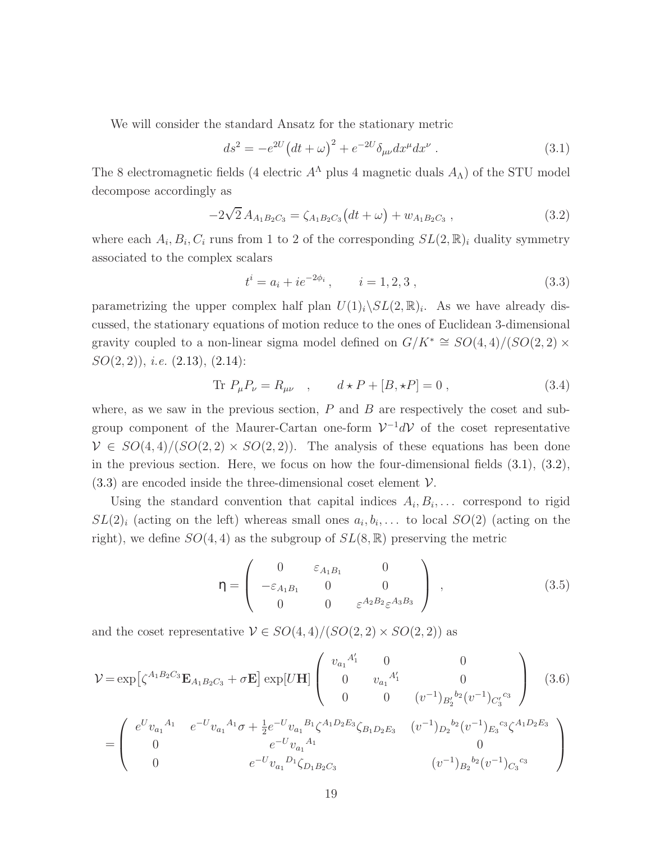We will consider the standard Ansatz for the stationary metric

<span id="page-19-0"></span>
$$
ds^{2} = -e^{2U} (dt + \omega)^{2} + e^{-2U} \delta_{\mu\nu} dx^{\mu} dx^{\nu} . \qquad (3.1)
$$

The 8 electromagnetic fields (4 electric  $A^{\Lambda}$  plus 4 magnetic duals  $A_{\Lambda}$ ) of the STU model decompose accordingly as

<span id="page-19-1"></span>
$$
-2\sqrt{2}A_{A_1B_2C_3} = \zeta_{A_1B_2C_3}(dt+\omega) + w_{A_1B_2C_3}, \qquad (3.2)
$$

where each  $A_i, B_i, C_i$  runs from 1 to 2 of the corresponding  $SL(2, \mathbb{R})_i$  duality symmetry associated to the complex scalars

<span id="page-19-2"></span>
$$
t^{i} = a_{i} + ie^{-2\phi_{i}}, \t i = 1, 2, 3,
$$
\t(3.3)

parametrizing the upper complex half plan  $U(1)_i \setminus SL(2, \mathbb{R})_i$ . As we have already discussed, the stationary equations of motion reduce to the ones of Euclidean 3-dimensional gravity coupled to a non-linear sigma model defined on  $G/K^* \cong SO(4,4)/(SO(2,2) \times$  $SO(2,2)$ , *i.e.*  $(2.13)$ ,  $(2.14)$ :

$$
\text{Tr } P_{\mu} P_{\nu} = R_{\mu\nu} \quad , \qquad d \star P + [B, \star P] = 0 \; , \tag{3.4}
$$

where, as we saw in the previous section,  $P$  and  $B$  are respectively the coset and subgroup component of the Maurer-Cartan one-form  $\mathcal{V}^{-1}d\mathcal{V}$  of the coset representative  $V \in SO(4,4)/(SO(2,2) \times SO(2,2)).$  The analysis of these equations has been done in the previous section. Here, we focus on how the four-dimensional fields  $(3.1)$ ,  $(3.2)$ ,  $(3.3)$  are encoded inside the three-dimensional coset element  $\mathcal V$ .

Using the standard convention that capital indices  $A_i, B_i, \ldots$  correspond to rigid  $SL(2)_i$  (acting on the left) whereas small ones  $a_i, b_i, \ldots$  to local  $SO(2)$  (acting on the right), we define  $SO(4,4)$  as the subgroup of  $SL(8,\mathbb{R})$  preserving the metric

<span id="page-19-3"></span>
$$
\eta = \begin{pmatrix} 0 & \varepsilon_{A_1 B_1} & 0 \\ -\varepsilon_{A_1 B_1} & 0 & 0 \\ 0 & 0 & \varepsilon^{A_2 B_2} \varepsilon^{A_3 B_3} \end{pmatrix} , \qquad (3.5)
$$

and the coset representative  $V \in SO(4,4)/(SO(2,2) \times SO(2,2))$  as

<span id="page-19-4"></span>
$$
\mathcal{V} = \exp\left[\zeta^{A_1 B_2 C_3} \mathbf{E}_{A_1 B_2 C_3} + \sigma \mathbf{E}\right] \exp[U\mathbf{H}] \begin{pmatrix} v_{a_1}^{A'_1} & 0 & 0 \\ 0 & v_{a_1}^{A'_1} & 0 \\ 0 & 0 & (v^{-1})_{B'_2}^{b_2} (v^{-1})_{C'_3}^{c_3} \end{pmatrix}
$$
(3.6)  

$$
= \begin{pmatrix} e^U v_{a_1}^{A_1} & e^{-U} v_{a_1}^{A_1} \sigma + \frac{1}{2} e^{-U} v_{a_1}^{B_1} \zeta^{A_1 D_2 E_3} \zeta_{B_1 D_2 E_3} & (v^{-1})_{D_2}^{b_2} (v^{-1})_{E_3}^{c_3} \zeta^{A_1 D_2 E_3} \\ 0 & e^{-U} v_{a_1}^{A_1} & 0 \\ 0 & e^{-U} v_{a_1}^{D_1} \zeta_{D_1 B_2 C_3} & (v^{-1})_{B_2}^{b_2} (v^{-1})_{C_3}^{c_3} \end{pmatrix}
$$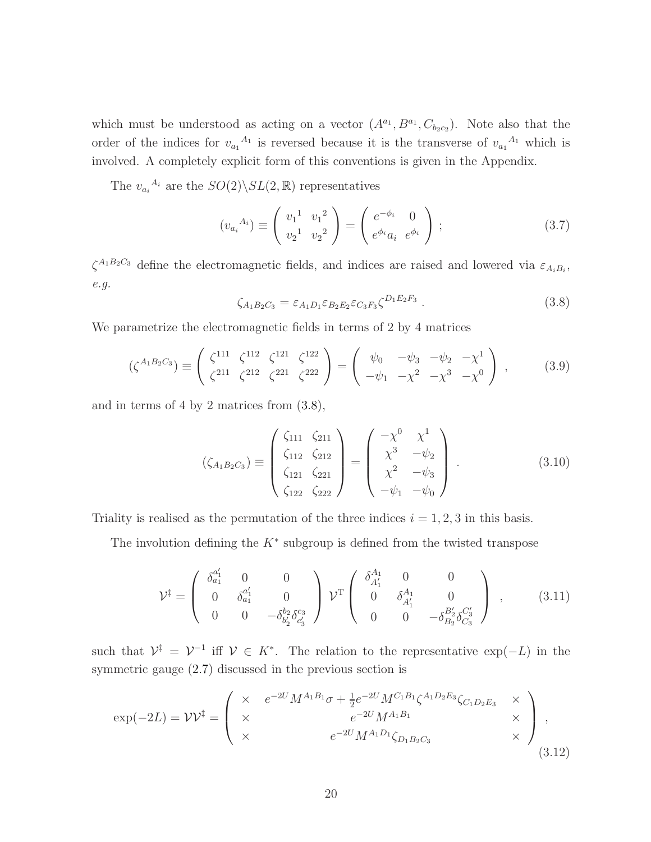which must be understood as acting on a vector  $(A^{a_1}, B^{a_1}, C_{b_2c_2})$ . Note also that the order of the indices for  $v_{a_1}^{A_1}$  is reversed because it is the transverse of  $v_{a_1}^{A_1}$  which is involved. A completely explicit form of this conventions is given in the Appendix.

The  $v_{a_i}^{A_i}$  are the  $SO(2)\backslash SL(2,\mathbb{R})$  representatives

$$
(v_{a_i}{}^{A_i}) \equiv \begin{pmatrix} v_1{}^1 & v_1{}^2 \\ v_2{}^1 & v_2{}^2 \end{pmatrix} = \begin{pmatrix} e^{-\phi_i} & 0 \\ e^{\phi_i} a_i & e^{\phi_i} \end{pmatrix} ; \tag{3.7}
$$

<span id="page-20-0"></span> $\zeta^{A_1B_2C_3}$  define the electromagnetic fields, and indices are raised and lowered via  $\varepsilon_{A_iB_i}$ , e.g.

<span id="page-20-2"></span>
$$
\zeta_{A_1B_2C_3} = \varepsilon_{A_1D_1}\varepsilon_{B_2E_2}\varepsilon_{C_3F_3}\zeta^{D_1E_2F_3} \,. \tag{3.8}
$$

We parametrize the electromagnetic fields in terms of 2 by 4 matrices

$$
(\zeta^{A_1 B_2 C_3}) \equiv \begin{pmatrix} \zeta^{111} & \zeta^{112} & \zeta^{121} & \zeta^{122} \\ \zeta^{211} & \zeta^{212} & \zeta^{221} & \zeta^{222} \end{pmatrix} = \begin{pmatrix} \psi_0 & -\psi_3 & -\psi_2 & -\chi^1 \\ -\psi_1 & -\chi^2 & -\chi^3 & -\chi^0 \end{pmatrix},
$$
(3.9)

and in terms of 4 by 2 matrices from [\(3.8\)](#page-20-0),

<span id="page-20-3"></span>
$$
(\zeta_{A_1B_2C_3}) \equiv \begin{pmatrix} \zeta_{111} & \zeta_{211} \\ \zeta_{112} & \zeta_{212} \\ \zeta_{121} & \zeta_{221} \\ \zeta_{122} & \zeta_{222} \end{pmatrix} = \begin{pmatrix} -\chi^0 & \chi^1 \\ \chi^3 & -\psi_2 \\ \chi^2 & -\psi_3 \\ -\psi_1 & -\psi_0 \end{pmatrix} . \tag{3.10}
$$

Triality is realised as the permutation of the three indices  $i = 1, 2, 3$  in this basis.

The involution defining the  $K^*$  subgroup is defined from the twisted transpose

<span id="page-20-1"></span>
$$
\mathcal{V}^{\ddagger} = \begin{pmatrix} \delta_{a_1}^{a'_1} & 0 & 0 \\ 0 & \delta_{a_1}^{a'_1} & 0 \\ 0 & 0 & -\delta_{b'_2}^{b_2} \delta_{c'_3}^{c_3} \end{pmatrix} \mathcal{V}^{\text{T}} \begin{pmatrix} \delta_{A'_1}^{A_1} & 0 & 0 \\ 0 & \delta_{A'_1}^{A_1} & 0 \\ 0 & 0 & -\delta_{B_2}^{B'_2} \delta_{C_3}^{C'_3} \end{pmatrix} , \qquad (3.11)
$$

such that  $\mathcal{V}^{\ddagger} = \mathcal{V}^{-1}$  iff  $\mathcal{V} \in K^*$ . The relation to the representative  $\exp(-L)$  in the symmetric gauge [\(2.7\)](#page-5-1) discussed in the previous section is

$$
\exp(-2L) = \mathcal{V}\mathcal{V}^{\ddagger} = \begin{pmatrix} \times & e^{-2U} M^{A_1 B_1} \sigma + \frac{1}{2} e^{-2U} M^{C_1 B_1} \zeta^{A_1 D_2 E_3} \zeta_{C_1 D_2 E_3} & \times \\ \times & & e^{-2U} M^{A_1 B_1} & \times \\ \times & & & e^{-2U} M^{A_1 D_1} \zeta_{D_1 B_2 C_3} & \times \end{pmatrix},
$$
\n(3.12)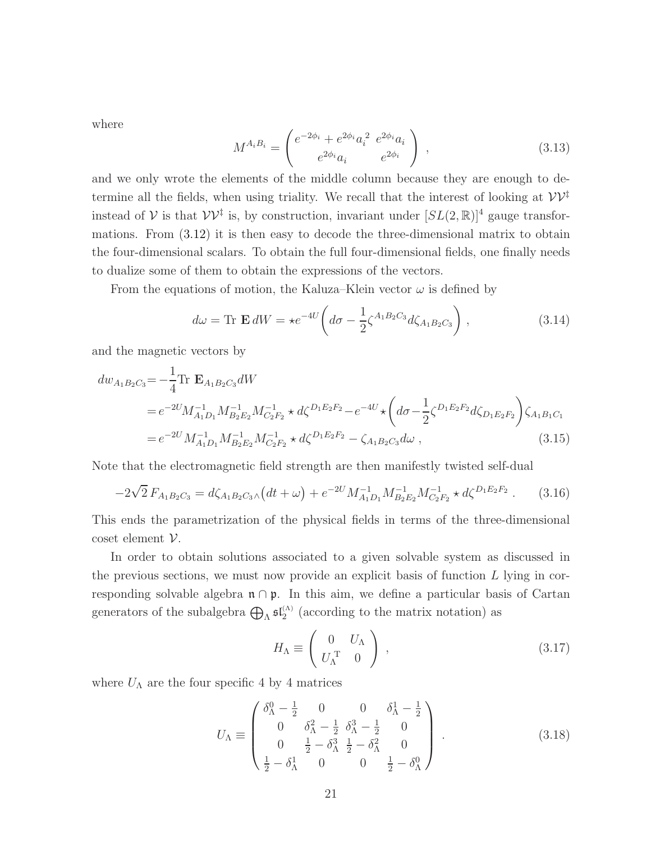where

<span id="page-21-2"></span>
$$
M^{A_i B_i} = \begin{pmatrix} e^{-2\phi_i} + e^{2\phi_i} a_i^2 & e^{2\phi_i} a_i \\ e^{2\phi_i} a_i & e^{2\phi_i} \end{pmatrix} , \qquad (3.13)
$$

and we only wrote the elements of the middle column because they are enough to determine all the fields, when using triality. We recall that the interest of looking at  $\mathcal{V}\mathcal{V}^{\ddagger}$ instead of  $V$  is that  $VV^{\ddagger}$  is, by construction, invariant under  $[SL(2,\mathbb{R})]^4$  gauge transformations. From [\(3.12\)](#page-20-1) it is then easy to decode the three-dimensional matrix to obtain the four-dimensional scalars. To obtain the full four-dimensional fields, one finally needs to dualize some of them to obtain the expressions of the vectors.

From the equations of motion, the Kaluza–Klein vector  $\omega$  is defined by

$$
d\omega = \text{Tr } \mathbf{E} dW = \star e^{-4U} \left( d\sigma - \frac{1}{2} \zeta^{A_1 B_2 C_3} d\zeta_{A_1 B_2 C_3} \right), \qquad (3.14)
$$

and the magnetic vectors by

<span id="page-21-3"></span>
$$
dw_{A_1B_2C_3} = -\frac{1}{4} \text{Tr } \mathbf{E}_{A_1B_2C_3} dW
$$
  
=  $e^{-2U} M_{A_1D_1}^{-1} M_{B_2E_2}^{-1} M_{C_2F_2}^{-1} \star d\zeta^{D_1E_2F_2} - e^{-4U} \star \left( d\sigma - \frac{1}{2} \zeta^{D_1E_2F_2} d\zeta_{D_1E_2F_2} \right) \zeta_{A_1B_1C_1}$   
=  $e^{-2U} M_{A_1D_1}^{-1} M_{B_2E_2}^{-1} M_{C_2F_2}^{-1} \star d\zeta^{D_1E_2F_2} - \zeta_{A_1B_2C_3} d\omega ,$  (3.15)

Note that the electromagnetic field strength are then manifestly twisted self-dual

$$
-2\sqrt{2} F_{A_1 B_2 C_3} = d\zeta_{A_1 B_2 C_3} \wedge \left(dt + \omega\right) + e^{-2U} M_{A_1 D_1}^{-1} M_{B_2 E_2}^{-1} M_{C_2 F_2}^{-1} \star d\zeta^{D_1 E_2 F_2} \,. \tag{3.16}
$$

This ends the parametrization of the physical fields in terms of the three-dimensional coset element  $V$ .

In order to obtain solutions associated to a given solvable system as discussed in the previous sections, we must now provide an explicit basis of function  $L$  lying in corresponding solvable algebra  $\mathfrak{n} \cap \mathfrak{p}$ . In this aim, we define a particular basis of Cartan generators of the subalgebra  $\bigoplus_{\Lambda} \mathfrak{sl}_2^{(\Lambda)}$  (according to the matrix notation) as

<span id="page-21-1"></span><span id="page-21-0"></span>
$$
H_{\Lambda} \equiv \left( \begin{array}{cc} 0 & U_{\Lambda} \\ U_{\Lambda}^{\mathrm{T}} & 0 \end{array} \right) , \qquad (3.17)
$$

where  $U_{\Lambda}$  are the four specific 4 by 4 matrices

$$
U_{\Lambda} \equiv \begin{pmatrix} \delta_{\Lambda}^{0} - \frac{1}{2} & 0 & 0 & \delta_{\Lambda}^{1} - \frac{1}{2} \\ 0 & \delta_{\Lambda}^{2} - \frac{1}{2} & \delta_{\Lambda}^{3} - \frac{1}{2} & 0 \\ 0 & \frac{1}{2} - \delta_{\Lambda}^{3} & \frac{1}{2} - \delta_{\Lambda}^{2} & 0 \\ \frac{1}{2} - \delta_{\Lambda}^{1} & 0 & 0 & \frac{1}{2} - \delta_{\Lambda}^{0} \end{pmatrix} .
$$
 (3.18)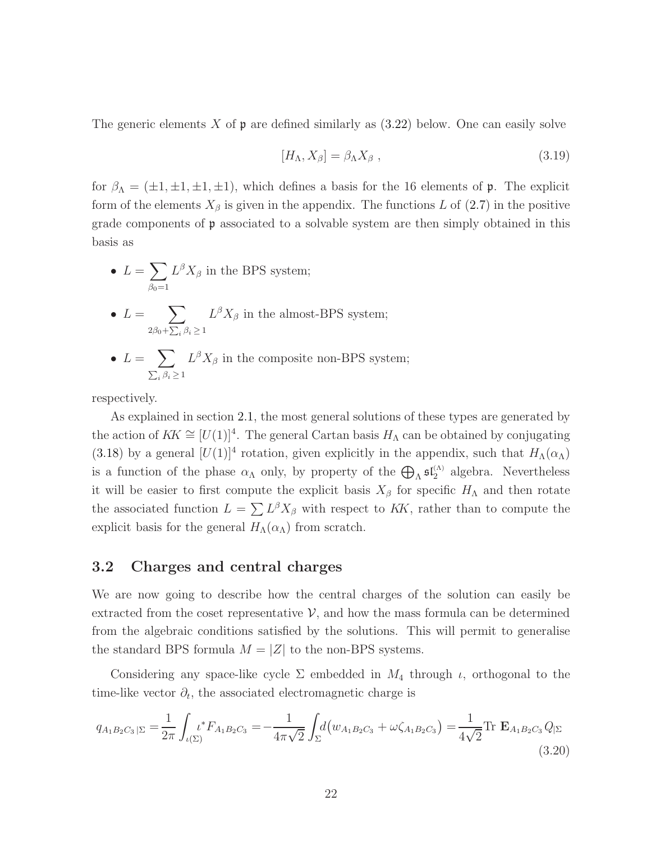The generic elements X of  $\mathfrak p$  are defined similarly as  $(3.22)$  below. One can easily solve

<span id="page-22-0"></span>
$$
[H_{\Lambda}, X_{\beta}] = \beta_{\Lambda} X_{\beta} , \qquad (3.19)
$$

for  $\beta_{\Lambda} = (\pm 1, \pm 1, \pm 1, \pm 1)$ , which defines a basis for the 16 elements of **p**. The explicit form of the elements  $X_{\beta}$  is given in the appendix. The functions L of [\(2.7\)](#page-5-1) in the positive grade components of p associated to a solvable system are then simply obtained in this basis as

- $L = \sum$  $\beta_0=1$  $L^{\beta}X_{\beta}$  in the BPS system;
- $L = \sum$  $2\beta_0 + \sum_i \beta_i \geq 1$  $L^{\beta}X_{\beta}$  in the almost-BPS system;
- $L = \sum$  $\sum_i \beta_i \geq 1$  $L^{\beta}X_{\beta}$  in the composite non-BPS system;

respectively.

As explained in section [2.1,](#page-5-2) the most general solutions of these types are generated by the action of  $KK \cong [U(1)]^4$ . The general Cartan basis  $H_\Lambda$  can be obtained by conjugating [\(3.18\)](#page-21-0) by a general  $[U(1)]^4$  rotation, given explicitly in the appendix, such that  $H_\Lambda(\alpha_\Lambda)$ is a function of the phase  $\alpha_{\Lambda}$  only, by property of the  $\bigoplus_{\Lambda} \mathfrak{sl}_2^{(\Lambda)}$  algebra. Nevertheless it will be easier to first compute the explicit basis  $X_\beta$  for specific  $H_\Lambda$  and then rotate the associated function  $L = \sum L^{\beta} X_{\beta}$  with respect to KK, rather than to compute the explicit basis for the general  $H_\Lambda(\alpha_\Lambda)$  from scratch.

## 3.2 Charges and central charges

We are now going to describe how the central charges of the solution can easily be extracted from the coset representative  $\mathcal{V}$ , and how the mass formula can be determined from the algebraic conditions satisfied by the solutions. This will permit to generalise the standard BPS formula  $M = |Z|$  to the non-BPS systems.

Considering any space-like cycle  $\Sigma$  embedded in  $M_4$  through  $\iota$ , orthogonal to the time-like vector  $\partial_t$ , the associated electromagnetic charge is

$$
q_{A_1B_2C_3|\Sigma} = \frac{1}{2\pi} \int_{\iota(\Sigma)} \iota^* F_{A_1B_2C_3} = -\frac{1}{4\pi\sqrt{2}} \int_{\Sigma} d(w_{A_1B_2C_3} + \omega\zeta_{A_1B_2C_3}) = \frac{1}{4\sqrt{2}} \text{Tr } \mathbf{E}_{A_1B_2C_3} Q_{|\Sigma}
$$
\n(3.20)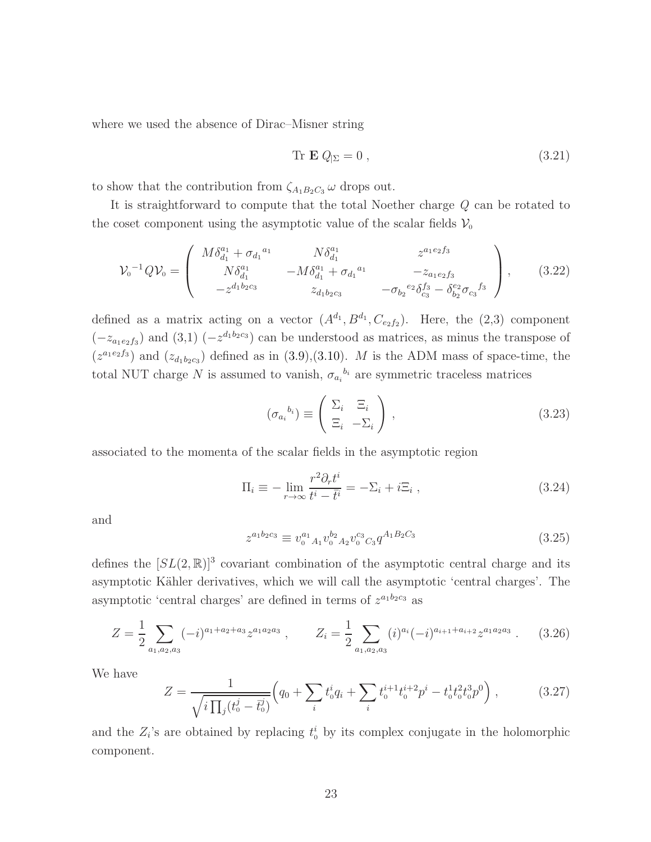where we used the absence of Dirac–Misner string

<span id="page-23-0"></span>
$$
\text{Tr } \mathbf{E} Q_{|\Sigma} = 0 \,, \tag{3.21}
$$

to show that the contribution from  $\zeta_{A_1B_2C_3}$   $\omega$  drops out.

It is straightforward to compute that the total Noether charge Q can be rotated to the coset component using the asymptotic value of the scalar fields  $\mathcal{V}_0$ 

$$
\mathcal{V}_0^{-1} Q \mathcal{V}_0 = \begin{pmatrix} M \delta_{d_1}^{a_1} + \sigma_{d_1}^{a_1} & N \delta_{d_1}^{a_1} & z^{a_1 e_2 f_3} \\ N \delta_{d_1}^{a_1} & -M \delta_{d_1}^{a_1} + \sigma_{d_1}^{a_1} & -z_{a_1 e_2 f_3} \\ -z^{d_1 b_2 c_3} & z_{d_1 b_2 c_3} & -\sigma_{b_2}^{e_2} \delta_{c_3}^{f_3} - \delta_{b_2}^{e_2} \sigma_{c_3}^{f_3} \end{pmatrix}, \quad (3.22)
$$

defined as a matrix acting on a vector  $(A^{d_1}, B^{d_1}, C_{e_2f_2})$ . Here, the  $(2,3)$  component  $(-z_{a_1e_2f_3})$  and  $(3,1)$   $(-z^{d_1b_2c_3})$  can be understood as matrices, as minus the transpose of  $(z^{a_1e_2f_3})$  and  $(z_{d_1b_2c_3})$  defined as in [\(3.9\)](#page-20-2),[\(3.10\)](#page-20-3). M is the ADM mass of space-time, the total NUT charge N is assumed to vanish,  $\sigma_{a_i}^{b_i}$  are symmetric traceless matrices

$$
(\sigma_{a_i}^{b_i}) \equiv \begin{pmatrix} \Sigma_i & \Xi_i \\ \Xi_i & -\Sigma_i \end{pmatrix}, \qquad (3.23)
$$

associated to the momenta of the scalar fields in the asymptotic region

$$
\Pi_i \equiv -\lim_{r \to \infty} \frac{r^2 \partial_r t^i}{t^i - \bar{t}^i} = -\Sigma_i + i\Xi_i , \qquad (3.24)
$$

and

$$
z^{a_1b_2c_3} \equiv v_0^{a_1}{}_{A_1}v_0^{b_2}{}_{A_2}v_0^{c_3}{}_{C_3}q^{A_1B_2C_3}
$$
\n
$$
(3.25)
$$

defines the  $[SL(2,\mathbb{R})]^3$  covariant combination of the asymptotic central charge and its asymptotic Kähler derivatives, which we will call the asymptotic 'central charges'. The asymptotic 'central charges' are defined in terms of  $z^{a_1b_2c_3}$  as

$$
Z = \frac{1}{2} \sum_{a_1, a_2, a_3} (-i)^{a_1 + a_2 + a_3} z^{a_1 a_2 a_3} , \qquad Z_i = \frac{1}{2} \sum_{a_1, a_2, a_3} (i)^{a_i} (-i)^{a_{i+1} + a_{i+2}} z^{a_1 a_2 a_3} . \tag{3.26}
$$

We have

$$
Z = \frac{1}{\sqrt{i \prod_j (t_0^j - \bar{t}_0^j)}} \Big( q_0 + \sum_i t_0^i q_i + \sum_i t_0^{i+1} t_0^{i+2} p^i - t_0^1 t_0^2 t_0^3 p^0 \Big) , \qquad (3.27)
$$

and the  $Z_i$ 's are obtained by replacing  $t_0^i$  by its complex conjugate in the holomorphic component.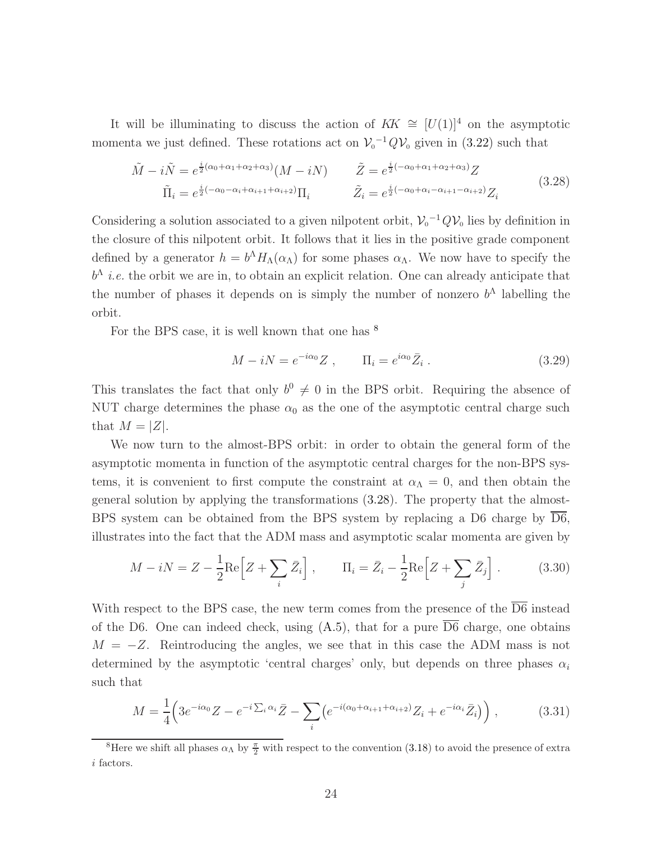It will be illuminating to discuss the action of  $KK \cong [U(1)]^4$  on the asymptotic momenta we just defined. These rotations act on  $V_0^{-1}QV_0$  given in [\(3.22\)](#page-23-0) such that

$$
\tilde{M} - i\tilde{N} = e^{\frac{i}{2}(\alpha_0 + \alpha_1 + \alpha_2 + \alpha_3)} (M - iN) \qquad \tilde{Z} = e^{\frac{i}{2}(-\alpha_0 + \alpha_1 + \alpha_2 + \alpha_3)} Z
$$
\n
$$
\tilde{\Pi}_i = e^{\frac{i}{2}(-\alpha_0 - \alpha_i + \alpha_{i+1} + \alpha_{i+2})} \Pi_i \qquad \tilde{Z}_i = e^{\frac{i}{2}(-\alpha_0 + \alpha_i - \alpha_{i+1} - \alpha_{i+2})} Z_i
$$
\n(3.28)

Considering a solution associated to a given nilpotent orbit,  $\mathcal{V}_0^{-1} Q \mathcal{V}_0$  lies by definition in the closure of this nilpotent orbit. It follows that it lies in the positive grade component defined by a generator  $h = b^{\Lambda} H_{\Lambda}(\alpha_{\Lambda})$  for some phases  $\alpha_{\Lambda}$ . We now have to specify the  $b^{\Lambda}$  *i.e.* the orbit we are in, to obtain an explicit relation. One can already anticipate that the number of phases it depends on is simply the number of nonzero  $b^{\Lambda}$  labelling the orbit.

For the BPS case, it is well known that one has  $\delta$ 

<span id="page-24-1"></span>
$$
M - iN = e^{-i\alpha_0} Z , \qquad \Pi_i = e^{i\alpha_0} \bar{Z}_i . \qquad (3.29)
$$

This translates the fact that only  $b^0 \neq 0$  in the BPS orbit. Requiring the absence of NUT charge determines the phase  $\alpha_0$  as the one of the asymptotic central charge such that  $M = |Z|$ .

We now turn to the almost-BPS orbit: in order to obtain the general form of the asymptotic momenta in function of the asymptotic central charges for the non-BPS systems, it is convenient to first compute the constraint at  $\alpha_{\Lambda} = 0$ , and then obtain the general solution by applying the transformations [\(3.28\)](#page-24-1). The property that the almost-BPS system can be obtained from the BPS system by replacing a D6 charge by D6, illustrates into the fact that the ADM mass and asymptotic scalar momenta are given by

$$
M - iN = Z - \frac{1}{2}\text{Re}\left[Z + \sum_{i} \bar{Z}_i\right], \qquad \Pi_i = \bar{Z}_i - \frac{1}{2}\text{Re}\left[Z + \sum_{j} \bar{Z}_j\right].
$$
 (3.30)

With respect to the BPS case, the new term comes from the presence of the  $\overline{D6}$  instead of the D6. One can indeed check, using  $(A.5)$ , that for a pure  $\overline{D6}$  charge, one obtains  $M = -Z$ . Reintroducing the angles, we see that in this case the ADM mass is not determined by the asymptotic 'central charges' only, but depends on three phases  $\alpha_i$ such that

$$
M = \frac{1}{4} \left( 3e^{-i\alpha_0} Z - e^{-i\sum_i \alpha_i} \bar{Z} - \sum_i \left( e^{-i(\alpha_0 + \alpha_{i+1} + \alpha_{i+2})} Z_i + e^{-i\alpha_i} \bar{Z}_i \right) \right), \tag{3.31}
$$

<span id="page-24-0"></span><sup>&</sup>lt;sup>8</sup>Here we shift all phases  $\alpha_{\Lambda}$  by  $\frac{\pi}{2}$  with respect to the convention [\(3.18\)](#page-21-0) to avoid the presence of extra i factors.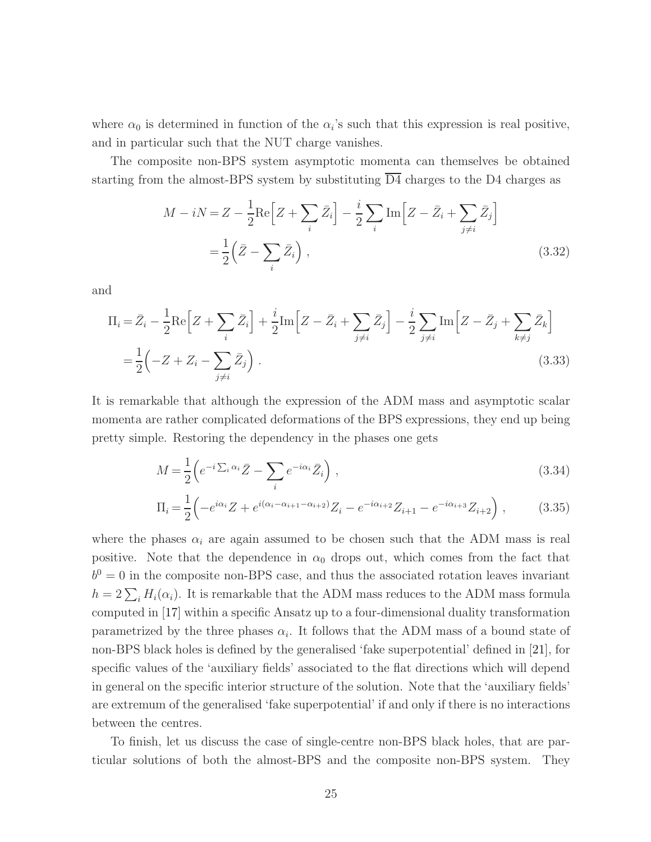where  $\alpha_0$  is determined in function of the  $\alpha_i$ 's such that this expression is real positive, and in particular such that the NUT charge vanishes.

The composite non-BPS system asymptotic momenta can themselves be obtained starting from the almost-BPS system by substituting  $\overline{D4}$  charges to the D4 charges as

$$
M - iN = Z - \frac{1}{2}\text{Re}\left[Z + \sum_{i} \bar{Z}_{i}\right] - \frac{i}{2}\sum_{i} \text{Im}\left[Z - \bar{Z}_{i} + \sum_{j \neq i} \bar{Z}_{j}\right]
$$

$$
= \frac{1}{2}\left(\bar{Z} - \sum_{i} \bar{Z}_{i}\right), \tag{3.32}
$$

and

$$
\Pi_i = \bar{Z}_i - \frac{1}{2} \text{Re}\left[Z + \sum_i \bar{Z}_i\right] + \frac{i}{2} \text{Im}\left[Z - \bar{Z}_i + \sum_{j \neq i} \bar{Z}_j\right] - \frac{i}{2} \sum_{j \neq i} \text{Im}\left[Z - \bar{Z}_j + \sum_{k \neq j} \bar{Z}_k\right]
$$
\n
$$
= \frac{1}{2} \left(-Z + Z_i - \sum_{j \neq i} \bar{Z}_j\right). \tag{3.33}
$$

It is remarkable that although the expression of the ADM mass and asymptotic scalar momenta are rather complicated deformations of the BPS expressions, they end up being pretty simple. Restoring the dependency in the phases one gets

<span id="page-25-0"></span>
$$
M = \frac{1}{2} \left( e^{-i \sum_{i} \alpha_i} \bar{Z} - \sum_{i} e^{-i \alpha_i} \bar{Z}_i \right), \qquad (3.34)
$$

$$
\Pi_i = \frac{1}{2} \left( -e^{i\alpha_i} Z + e^{i(\alpha_i - \alpha_{i+1} - \alpha_{i+2})} Z_i - e^{-i\alpha_{i+2}} Z_{i+1} - e^{-i\alpha_{i+3}} Z_{i+2} \right),\tag{3.35}
$$

where the phases  $\alpha_i$  are again assumed to be chosen such that the ADM mass is real positive. Note that the dependence in  $\alpha_0$  drops out, which comes from the fact that  $b<sup>0</sup> = 0$  in the composite non-BPS case, and thus the associated rotation leaves invariant  $h = 2\sum_i H_i(\alpha_i)$ . It is remarkable that the ADM mass reduces to the ADM mass formula computed in [\[17\]](#page-47-7) within a specific Ansatz up to a four-dimensional duality transformation parametrized by the three phases  $\alpha_i$ . It follows that the ADM mass of a bound state of non-BPS black holes is defined by the generalised 'fake superpotential' defined in [\[21\]](#page-48-7), for specific values of the 'auxiliary fields' associated to the flat directions which will depend in general on the specific interior structure of the solution. Note that the 'auxiliary fields' are extremum of the generalised 'fake superpotential' if and only if there is no interactions between the centres.

To finish, let us discuss the case of single-centre non-BPS black holes, that are particular solutions of both the almost-BPS and the composite non-BPS system. They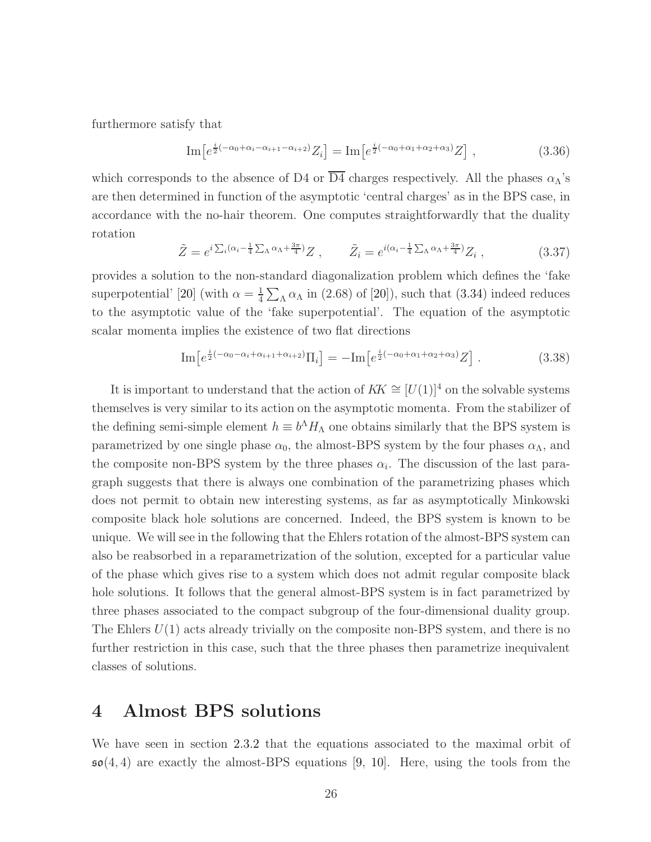furthermore satisfy that

$$
\mathrm{Im}\big[e^{\frac{i}{2}(-\alpha_0 + \alpha_i - \alpha_{i+1} - \alpha_{i+2})} Z_i\big] = \mathrm{Im}\big[e^{\frac{i}{2}(-\alpha_0 + \alpha_1 + \alpha_2 + \alpha_3)} Z\big] \;, \tag{3.36}
$$

which corresponds to the absence of D4 or  $\overline{D4}$  charges respectively. All the phases  $\alpha_{\Lambda}$ 's are then determined in function of the asymptotic 'central charges' as in the BPS case, in accordance with the no-hair theorem. One computes straightforwardly that the duality rotation

$$
\tilde{Z} = e^{i\sum_i(\alpha_i - \frac{1}{4}\sum_{\Lambda}\alpha_{\Lambda} + \frac{3\pi}{4})}Z \ , \qquad \tilde{Z}_i = e^{i(\alpha_i - \frac{1}{4}\sum_{\Lambda}\alpha_{\Lambda} + \frac{3\pi}{4})}Z_i \ , \tag{3.37}
$$

provides a solution to the non-standard diagonalization problem which defines the 'fake superpotential' [\[20\]](#page-47-5) (with  $\alpha = \frac{1}{4}$  $\frac{1}{4}\sum_{\Lambda} \alpha_{\Lambda}$  in (2.68) of [\[20\]](#page-47-5)), such that [\(3.34\)](#page-25-0) indeed reduces to the asymptotic value of the 'fake superpotential'. The equation of the asymptotic scalar momenta implies the existence of two flat directions

$$
\mathrm{Im}\left[e^{\frac{i}{2}(-\alpha_0-\alpha_i+\alpha_{i+1}+\alpha_{i+2})}\Pi_i\right] = -\mathrm{Im}\left[e^{\frac{i}{2}(-\alpha_0+\alpha_1+\alpha_2+\alpha_3)}Z\right].\tag{3.38}
$$

It is important to understand that the action of  $KK \cong [U(1)]^4$  on the solvable systems themselves is very similar to its action on the asymptotic momenta. From the stabilizer of the defining semi-simple element  $h \equiv b^{\Lambda} H_{\Lambda}$  one obtains similarly that the BPS system is parametrized by one single phase  $\alpha_0$ , the almost-BPS system by the four phases  $\alpha_\Lambda$ , and the composite non-BPS system by the three phases  $\alpha_i$ . The discussion of the last paragraph suggests that there is always one combination of the parametrizing phases which does not permit to obtain new interesting systems, as far as asymptotically Minkowski composite black hole solutions are concerned. Indeed, the BPS system is known to be unique. We will see in the following that the Ehlers rotation of the almost-BPS system can also be reabsorbed in a reparametrization of the solution, excepted for a particular value of the phase which gives rise to a system which does not admit regular composite black hole solutions. It follows that the general almost-BPS system is in fact parametrized by three phases associated to the compact subgroup of the four-dimensional duality group. The Ehlers  $U(1)$  acts already trivially on the composite non-BPS system, and there is no further restriction in this case, such that the three phases then parametrize inequivalent classes of solutions.

## 4 Almost BPS solutions

We have seen in section [2.3.2](#page-14-0) that the equations associated to the maximal orbit of  $\mathfrak{so}(4,4)$  are exactly the almost-BPS equations [\[9,](#page-47-3) [10\]](#page-47-1). Here, using the tools from the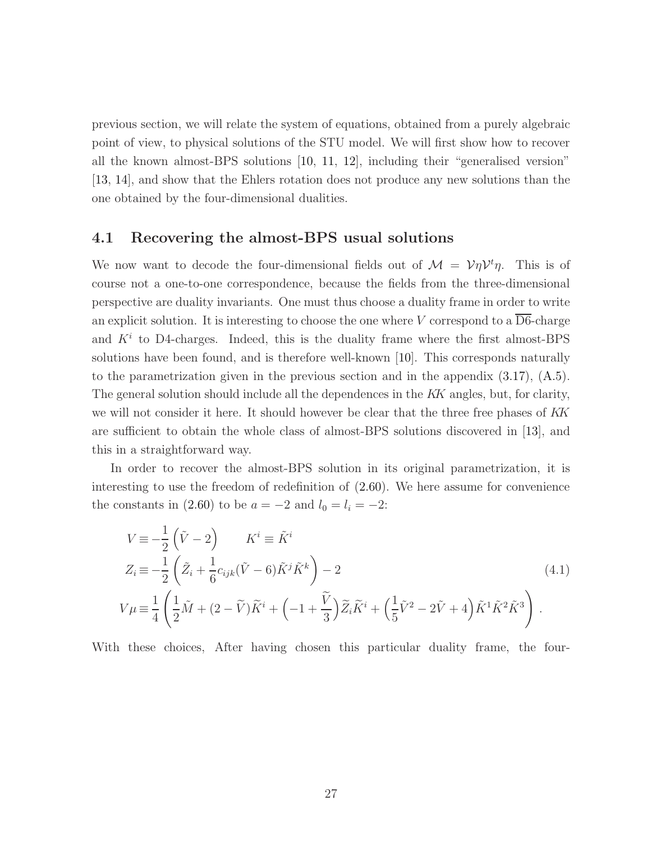previous section, we will relate the system of equations, obtained from a purely algebraic point of view, to physical solutions of the STU model. We will first show how to recover all the known almost-BPS solutions [\[10,](#page-47-1) [11,](#page-47-2) [12\]](#page-47-0), including their "generalised version" [\[13,](#page-47-6) [14\]](#page-47-8), and show that the Ehlers rotation does not produce any new solutions than the one obtained by the four-dimensional dualities.

#### 4.1 Recovering the almost-BPS usual solutions

We now want to decode the four-dimensional fields out of  $\mathcal{M} = \mathcal{V}\eta\mathcal{V}^t\eta$ . This is of course not a one-to-one correspondence, because the fields from the three-dimensional perspective are duality invariants. One must thus choose a duality frame in order to write an explicit solution. It is interesting to choose the one where V correspond to a  $\overline{\mathrm{D6}}$ -charge and  $K<sup>i</sup>$  to D4-charges. Indeed, this is the duality frame where the first almost-BPS solutions have been found, and is therefore well-known [\[10\]](#page-47-1). This corresponds naturally to the parametrization given in the previous section and in the appendix [\(3.17\)](#page-21-1), [\(A.5\)](#page-45-0). The general solution should include all the dependences in the KK angles, but, for clarity, we will not consider it here. It should however be clear that the three free phases of KK are sufficient to obtain the whole class of almost-BPS solutions discovered in [\[13\]](#page-47-6), and this in a straightforward way.

In order to recover the almost-BPS solution in its original parametrization, it is interesting to use the freedom of redefinition of [\(2.60\)](#page-16-1). We here assume for convenience the constants in [\(2.60\)](#page-16-1) to be  $a = -2$  and  $l_0 = l_i = -2$ :

$$
V = -\frac{1}{2} (\tilde{V} - 2) \qquad K^{i} \equiv \tilde{K}^{i}
$$
  
\n
$$
Z_{i} = -\frac{1}{2} (\tilde{Z}_{i} + \frac{1}{6} c_{ijk} (\tilde{V} - 6) \tilde{K}^{j} \tilde{K}^{k}) - 2
$$
  
\n
$$
V \mu \equiv \frac{1}{4} \left( \frac{1}{2} \tilde{M} + (2 - \tilde{V}) \tilde{K}^{i} + \left( -1 + \frac{\tilde{V}}{3} \right) \tilde{Z}_{i} \tilde{K}^{i} + \left( \frac{1}{5} \tilde{V}^{2} - 2 \tilde{V} + 4 \right) \tilde{K}^{1} \tilde{K}^{2} \tilde{K}^{3} \right).
$$
\n(4.1)

With these choices, After having chosen this particular duality frame, the four-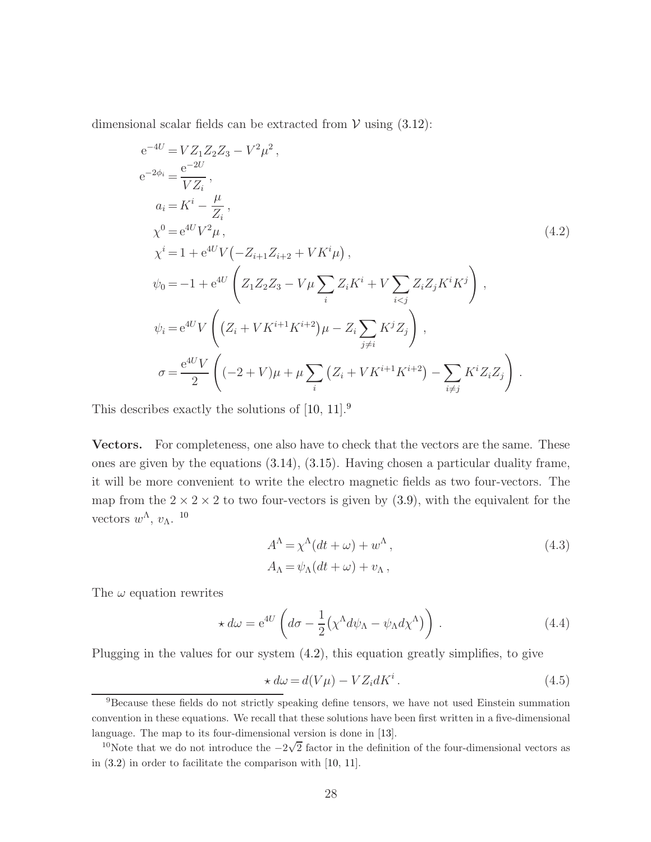dimensional scalar fields can be extracted from  $V$  using  $(3.12)$ :

<span id="page-28-2"></span>
$$
e^{-4U} = VZ_1Z_2Z_3 - V^2\mu^2,
$$
  
\n
$$
e^{-2\phi_i} = \frac{e^{-2U}}{VZ_i},
$$
  
\n
$$
a_i = K^i - \frac{\mu}{Z_i},
$$
  
\n
$$
\chi^0 = e^{4U}V^2\mu,
$$
  
\n
$$
\chi^i = 1 + e^{4U}V(-Z_{i+1}Z_{i+2} + VK^i\mu),
$$
  
\n
$$
\psi_0 = -1 + e^{4U}\left(Z_1Z_2Z_3 - V\mu\sum_i Z_iK^i + V\sum_{i  
\n
$$
\psi_i = e^{4U}V\left((Z_i + VK^{i+1}K^{i+2})\mu - Z_i\sum_{j\neq i} K^jZ_j\right),
$$
  
\n
$$
\sigma = \frac{e^{4U}V}{2}\left((-2+V)\mu + \mu\sum_i (Z_i + VK^{i+1}K^{i+2}) - \sum_{i\neq j} K^iZ_iZ_j\right).
$$
$$

This describes exactly the solutions of [\[10,](#page-47-1) [11\]](#page-47-2).[9](#page-28-0)

Vectors. For completeness, one also have to check that the vectors are the same. These ones are given by the equations [\(3.14\)](#page-21-2), [\(3.15\)](#page-21-3). Having chosen a particular duality frame, it will be more convenient to write the electro magnetic fields as two four-vectors. The map from the  $2 \times 2 \times 2$  to two four-vectors is given by [\(3.9\)](#page-20-2), with the equivalent for the vectors  $w^{\Lambda}, v_{\Lambda}$ . <sup>[10](#page-28-1)</sup>

$$
A^{\Lambda} = \chi^{\Lambda}(dt + \omega) + w^{\Lambda},
$$
  
\n
$$
A_{\Lambda} = \psi_{\Lambda}(dt + \omega) + v_{\Lambda},
$$
\n(4.3)

The  $\omega$  equation rewrites

$$
\star d\omega = e^{4U} \left( d\sigma - \frac{1}{2} (\chi^{\Lambda} d\psi_{\Lambda} - \psi_{\Lambda} d\chi^{\Lambda}) \right). \tag{4.4}
$$

Plugging in the values for our system [\(4.2\)](#page-28-2), this equation greatly simplifies, to give

$$
\star d\omega = d(V\mu) - VZ_i dK^i. \tag{4.5}
$$

<span id="page-28-0"></span><sup>9</sup>Because these fields do not strictly speaking define tensors, we have not used Einstein summation convention in these equations. We recall that these solutions have been first written in a five-dimensional language. The map to its four-dimensional version is done in [\[13\]](#page-47-6).

<span id="page-28-1"></span><sup>&</sup>lt;sup>10</sup>Note that we do not introduce the  $-2\sqrt{2}$  factor in the definition of the four-dimensional vectors as in [\(3.2\)](#page-19-1) in order to facilitate the comparison with [\[10,](#page-47-1) [11\]](#page-47-2).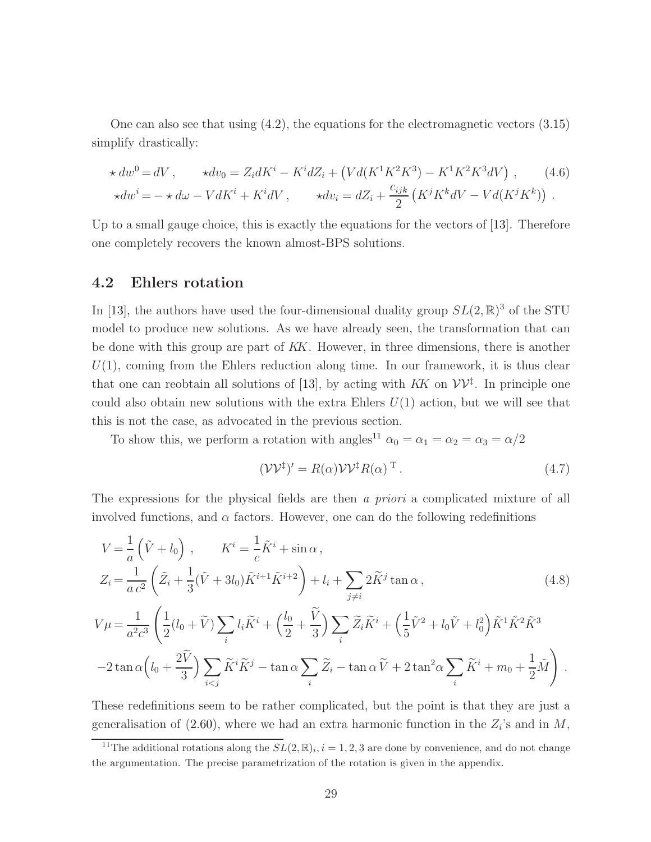One can also see that using [\(4.2\)](#page-28-2), the equations for the electromagnetic vectors [\(3.15\)](#page-21-3) simplify drastically:

$$
\star dw^{0} = dV, \qquad \star dv_{0} = Z_{i}dK^{i} - K^{i}dZ_{i} + (Vd(K^{1}K^{2}K^{3}) - K^{1}K^{2}K^{3}dV), \qquad (4.6)
$$
  

$$
\star dw^{i} = -\star d\omega - VdK^{i} + K^{i}dV, \qquad \star dv_{i} = dZ_{i} + \frac{c_{ijk}}{2} (K^{j}K^{k}dV - Vd(K^{j}K^{k})) .
$$

Up to a small gauge choice, this is exactly the equations for the vectors of [\[13\]](#page-47-6). Therefore one completely recovers the known almost-BPS solutions.

#### 4.2 Ehlers rotation

In [\[13\]](#page-47-6), the authors have used the four-dimensional duality group  $SL(2,\mathbb{R})^3$  of the STU model to produce new solutions. As we have already seen, the transformation that can be done with this group are part of KK. However, in three dimensions, there is another  $U(1)$ , coming from the Ehlers reduction along time. In our framework, it is thus clear that one can reobtain all solutions of [\[13\]](#page-47-6), by acting with  $KK$  on  $VV^{\ddagger}$ . In principle one could also obtain new solutions with the extra Ehlers  $U(1)$  action, but we will see that this is not the case, as advocated in the previous section.

To show this, we perform a rotation with angles<sup>[11](#page-29-0)</sup>  $\alpha_0 = \alpha_1 = \alpha_2 = \alpha_3 = \alpha/2$ 

$$
(\mathcal{V}\mathcal{V}^{\dagger})' = R(\alpha)\mathcal{V}\mathcal{V}^{\dagger}R(\alpha)^{\mathrm{T}}.
$$
\n(4.7)

The expressions for the physical fields are then a priori a complicated mixture of all involved functions, and  $\alpha$  factors. However, one can do the following redefinitions

$$
V = \frac{1}{a} (\tilde{V} + l_0) , \qquad K^i = \frac{1}{c} \tilde{K}^i + \sin \alpha ,
$$
  
\n
$$
Z_i = \frac{1}{a c^2} \left( \tilde{Z}_i + \frac{1}{3} (\tilde{V} + 3l_0) \tilde{K}^{i+1} \tilde{K}^{i+2} \right) + l_i + \sum_{j \neq i} 2 \tilde{K}^j \tan \alpha ,
$$
  
\n
$$
V \mu = \frac{1}{a^2 c^3} \left( \frac{1}{2} (l_0 + \tilde{V}) \sum_i l_i \tilde{K}^i + \left( \frac{l_0}{2} + \frac{\tilde{V}}{3} \right) \sum_i \tilde{Z}_i \tilde{K}^i + \left( \frac{1}{5} \tilde{V}^2 + l_0 \tilde{V} + l_0^2 \right) \tilde{K}^1 \tilde{K}^2 \tilde{K}^3
$$
  
\n
$$
-2 \tan \alpha \left( l_0 + \frac{2 \tilde{V}}{3} \right) \sum_{i < j} \tilde{K}^i \tilde{K}^j - \tan \alpha \sum_i \tilde{Z}_i - \tan \alpha \tilde{V} + 2 \tan^2 \alpha \sum_i \tilde{K}^i + m_0 + \frac{1}{2} \tilde{M} \right) .
$$
\n(A.8)

These redefinitions seem to be rather complicated, but the point is that they are just a generalisation of [\(2.60\)](#page-16-1), where we had an extra harmonic function in the  $Z_i$ 's and in M,

<span id="page-29-0"></span><sup>&</sup>lt;sup>11</sup>The additional rotations along the  $SL(2,\mathbb{R})_i$ ,  $i = 1, 2, 3$  are done by convenience, and do not change the argumentation. The precise parametrization of the rotation is given in the appendix.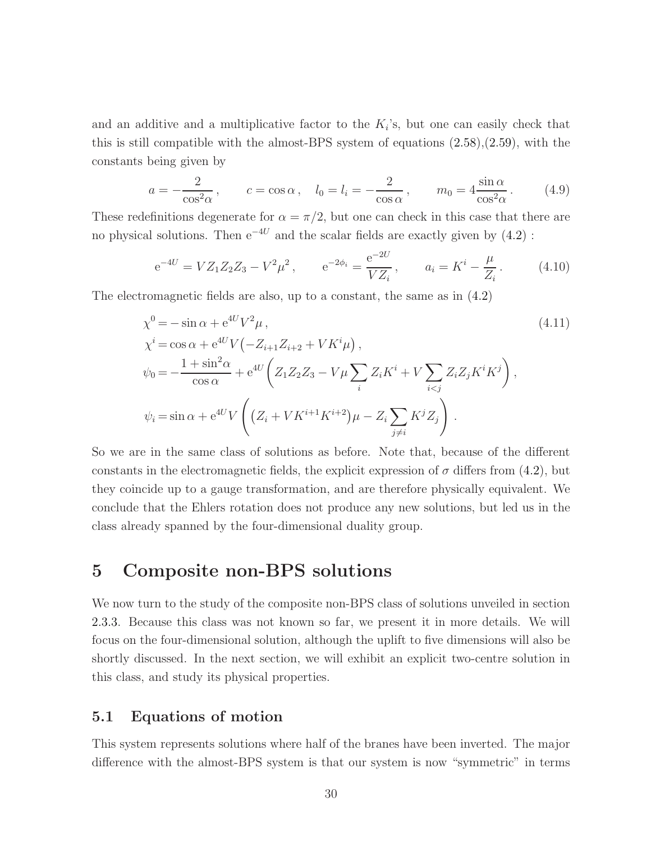and an additive and a multiplicative factor to the  $K_i$ 's, but one can easily check that this is still compatible with the almost-BPS system of equations [\(2.58\)](#page-15-0),[\(2.59\)](#page-16-2), with the constants being given by

$$
a = -\frac{2}{\cos^2 \alpha}, \qquad c = \cos \alpha, \quad l_0 = l_i = -\frac{2}{\cos \alpha}, \qquad m_0 = 4 \frac{\sin \alpha}{\cos^2 \alpha}.
$$
 (4.9)

These redefinitions degenerate for  $\alpha = \pi/2$ , but one can check in this case that there are no physical solutions. Then  $e^{-4U}$  and the scalar fields are exactly given by [\(4.2\)](#page-28-2):

$$
e^{-4U} = VZ_1Z_2Z_3 - V^2\mu^2
$$
,  $e^{-2\phi_i} = \frac{e^{-2U}}{VZ_i}$ ,  $a_i = K^i - \frac{\mu}{Z_i}$ . (4.10)

The electromagnetic fields are also, up to a constant, the same as in  $(4.2)$ 

$$
\chi^{0} = -\sin \alpha + e^{4U} V^{2} \mu, \qquad (4.11)
$$
\n
$$
\chi^{i} = \cos \alpha + e^{4U} V \left( -Z_{i+1} Z_{i+2} + V K^{i} \mu \right),
$$
\n
$$
\psi_{0} = -\frac{1 + \sin^{2} \alpha}{\cos \alpha} + e^{4U} \left( Z_{1} Z_{2} Z_{3} - V \mu \sum_{i} Z_{i} K^{i} + V \sum_{i < j} Z_{i} Z_{j} K^{i} K^{j} \right),
$$
\n
$$
\psi_{i} = \sin \alpha + e^{4U} V \left( \left( Z_{i} + V K^{i+1} K^{i+2} \right) \mu - Z_{i} \sum_{j \neq i} K^{j} Z_{j} \right).
$$
\n(4.11)

So we are in the same class of solutions as before. Note that, because of the different constants in the electromagnetic fields, the explicit expression of  $\sigma$  differs from [\(4.2\)](#page-28-2), but they coincide up to a gauge transformation, and are therefore physically equivalent. We conclude that the Ehlers rotation does not produce any new solutions, but led us in the class already spanned by the four-dimensional duality group.

# <span id="page-30-0"></span>5 Composite non-BPS solutions

We now turn to the study of the composite non-BPS class of solutions unveiled in section [2.3.3.](#page-16-3) Because this class was not known so far, we present it in more details. We will focus on the four-dimensional solution, although the uplift to five dimensions will also be shortly discussed. In the next section, we will exhibit an explicit two-centre solution in this class, and study its physical properties.

## 5.1 Equations of motion

This system represents solutions where half of the branes have been inverted. The major difference with the almost-BPS system is that our system is now "symmetric" in terms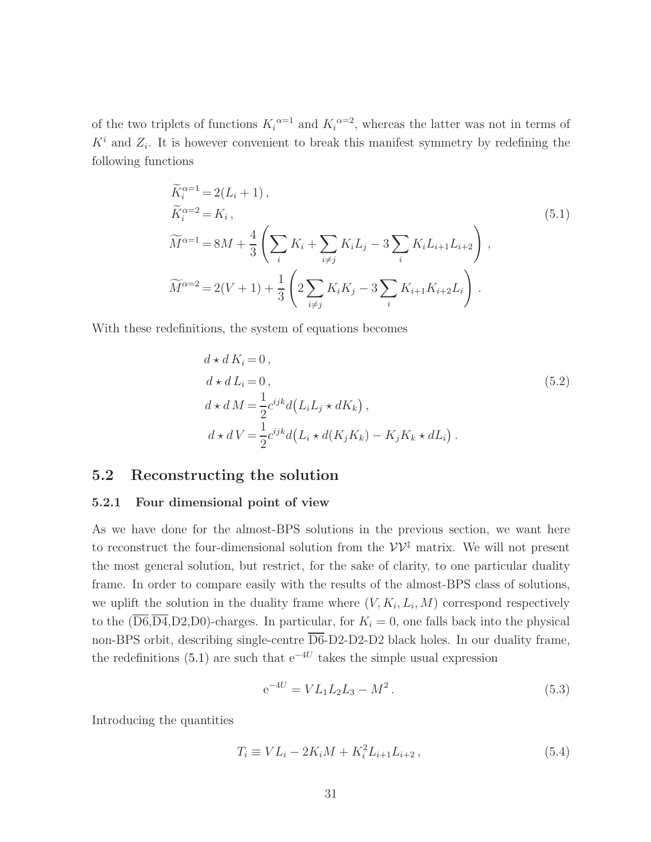of the two triplets of functions  $K_i^{\alpha=1}$  and  $K_i^{\alpha=2}$ , whereas the latter was not in terms of  $K^i$  and  $Z_i$ . It is however convenient to break this manifest symmetry by redefining the following functions

<span id="page-31-0"></span>
$$
\widetilde{K}_{i}^{\alpha=1} = 2(L_{i} + 1), \n\widetilde{K}_{i}^{\alpha=2} = K_{i}, \n\widetilde{M}^{\alpha=1} = 8M + \frac{4}{3} \left( \sum_{i} K_{i} + \sum_{i \neq j} K_{i} L_{j} - 3 \sum_{i} K_{i} L_{i+1} L_{i+2} \right), \n\widetilde{M}^{\alpha=2} = 2(V + 1) + \frac{1}{3} \left( 2 \sum_{i \neq j} K_{i} K_{j} - 3 \sum_{i} K_{i+1} K_{i+2} L_{i} \right).
$$
\n(5.1)

With these redefinitions, the system of equations becomes

<span id="page-31-2"></span>
$$
d \star d K_i = 0,
$$
  
\n
$$
d \star d L_i = 0,
$$
  
\n
$$
d \star d M = \frac{1}{2} c^{ijk} d(L_i L_j \star dK_k),
$$
  
\n
$$
d \star d V = \frac{1}{2} c^{ijk} d(L_i \star d(K_j K_k) - K_j K_k \star dL_i).
$$
\n(5.2)

#### 5.2 Reconstructing the solution

#### 5.2.1 Four dimensional point of view

As we have done for the almost-BPS solutions in the previous section, we want here to reconstruct the four-dimensional solution from the  $\mathcal{V}\mathcal{V}^{\ddagger}$  matrix. We will not present the most general solution, but restrict, for the sake of clarity, to one particular duality frame. In order to compare easily with the results of the almost-BPS class of solutions, we uplift the solution in the duality frame where  $(V, K_i, L_i, M)$  correspond respectively to the  $(\overline{D6},\overline{D4},D2,D0)$ -charges. In particular, for  $K_i = 0$ , one falls back into the physical non-BPS orbit, describing single-centre  $\overline{D6}$ -D2-D2-D2 black holes. In our duality frame, the redefinitions [\(5.1\)](#page-31-0) are such that  $e^{-4U}$  takes the simple usual expression

<span id="page-31-1"></span>
$$
e^{-4U} = V L_1 L_2 L_3 - M^2. \tag{5.3}
$$

Introducing the quantities

$$
T_i \equiv V L_i - 2K_i M + K_i^2 L_{i+1} L_{i+2} , \qquad (5.4)
$$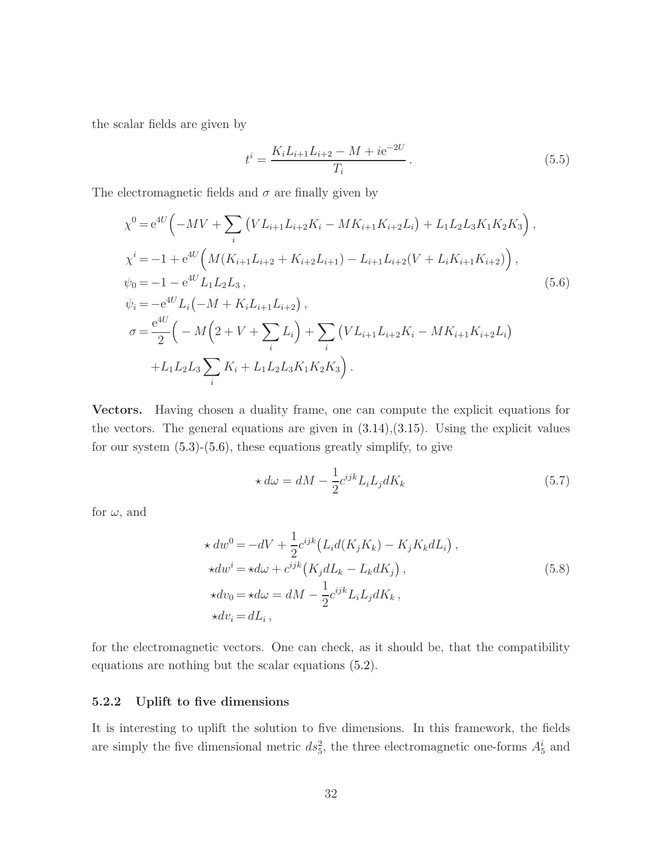the scalar fields are given by

$$
t^{i} = \frac{K_{i}L_{i+1}L_{i+2} - M + ie^{-2U}}{T_{i}}.
$$
\n(5.5)

The electromagnetic fields and  $\sigma$  are finally given by

<span id="page-32-0"></span>
$$
\chi^{0} = e^{4U} \left( -MV + \sum_{i} \left( VL_{i+1}L_{i+2}K_{i} - MK_{i+1}K_{i+2}L_{i} \right) + L_{1}L_{2}L_{3}K_{1}K_{2}K_{3} \right),
$$
  
\n
$$
\chi^{i} = -1 + e^{4U} \left( M(K_{i+1}L_{i+2} + K_{i+2}L_{i+1}) - L_{i+1}L_{i+2}(V + L_{i}K_{i+1}K_{i+2}) \right),
$$
  
\n
$$
\psi_{0} = -1 - e^{4U}L_{1}L_{2}L_{3},
$$
  
\n
$$
\psi_{i} = -e^{4U}L_{i} \left( -M + K_{i}L_{i+1}L_{i+2} \right),
$$
  
\n
$$
\sigma = \frac{e^{4U}}{2} \left( -M \left( 2 + V + \sum_{i} L_{i} \right) + \sum_{i} \left( VL_{i+1}L_{i+2}K_{i} - MK_{i+1}K_{i+2}L_{i} \right) + L_{1}L_{2}L_{3} \sum_{i} K_{i} + L_{1}L_{2}L_{3}K_{1}K_{2}K_{3} \right).
$$
  
\n(5.6)

Vectors. Having chosen a duality frame, one can compute the explicit equations for the vectors. The general equations are given in  $(3.14),(3.15)$  $(3.14),(3.15)$ . Using the explicit values for our system  $(5.3)-(5.6)$  $(5.3)-(5.6)$ , these equations greatly simplify, to give

<span id="page-32-1"></span>
$$
\star d\omega = dM - \frac{1}{2}c^{ijk}L_iL_j dK_k
$$
\n(5.7)

for  $\omega$ , and

<span id="page-32-2"></span>
$$
\star dw^{0} = -dV + \frac{1}{2}c^{ijk}\left(L_{i}d(K_{j}K_{k}) - K_{j}K_{k}dL_{i}\right),
$$
  
\n
$$
\star dw^{i} = \star d\omega + c^{ijk}\left(K_{j}dL_{k} - L_{k}dK_{j}\right),
$$
  
\n
$$
\star dv_{0} = \star d\omega = dM - \frac{1}{2}c^{ijk}L_{i}L_{j}dK_{k},
$$
  
\n
$$
\star dv_{i} = dL_{i},
$$
\n(5.8)

for the electromagnetic vectors. One can check, as it should be, that the compatibility equations are nothing but the scalar equations [\(5.2\)](#page-31-2).

#### 5.2.2 Uplift to five dimensions

It is interesting to uplift the solution to five dimensions. In this framework, the fields are simply the five dimensional metric  $ds_5^2$ , the three electromagnetic one-forms  $A_5^i$  and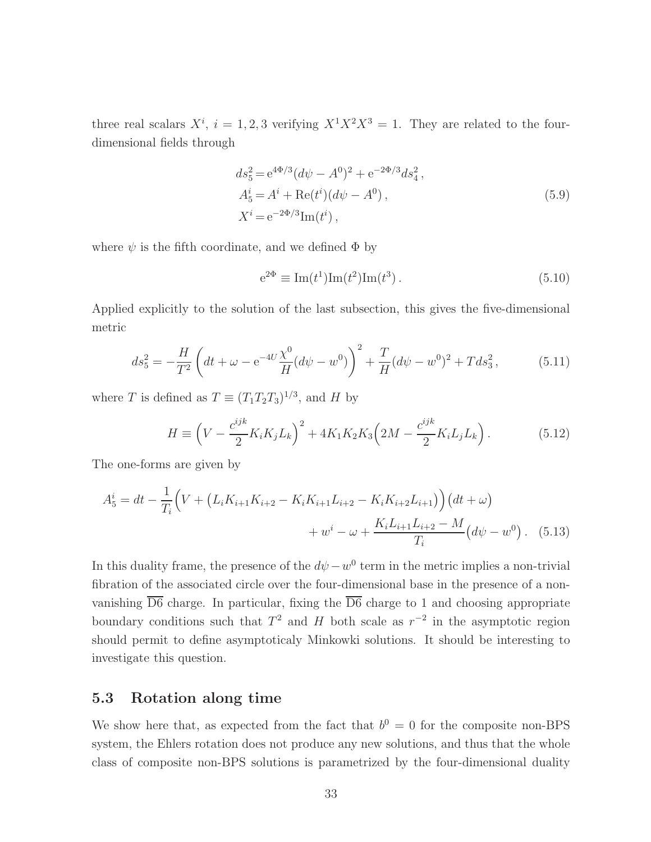three real scalars  $X^i$ ,  $i = 1, 2, 3$  verifying  $X^1 X^2 X^3 = 1$ . They are related to the fourdimensional fields through

$$
ds_5^2 = e^{4\Phi/3} (d\psi - A^0)^2 + e^{-2\Phi/3} ds_4^2,
$$
  
\n
$$
A_5^i = A^i + \text{Re}(t^i) (d\psi - A^0),
$$
  
\n
$$
X^i = e^{-2\Phi/3} \text{Im}(t^i),
$$
\n(5.9)

where  $\psi$  is the fifth coordinate, and we defined  $\Phi$  by

$$
e^{2\Phi} \equiv Im(t^1)Im(t^2)Im(t^3).
$$
 (5.10)

Applied explicitly to the solution of the last subsection, this gives the five-dimensional metric

$$
ds_5^2 = -\frac{H}{T^2} \left( dt + \omega - e^{-4U} \frac{\chi^0}{H} (d\psi - w^0) \right)^2 + \frac{T}{H} (d\psi - w^0)^2 + T ds_3^2, \tag{5.11}
$$

where T is defined as  $T \equiv (T_1 T_2 T_3)^{1/3}$ , and H by

$$
H \equiv \left(V - \frac{c^{ijk}}{2} K_i K_j L_k\right)^2 + 4K_1 K_2 K_3 \left(2M - \frac{c^{ijk}}{2} K_i L_j L_k\right). \tag{5.12}
$$

The one-forms are given by

$$
A_5^i = dt - \frac{1}{T_i} \Big( V + \left( L_i K_{i+1} K_{i+2} - K_i K_{i+1} L_{i+2} - K_i K_{i+2} L_{i+1} \right) \Big) \big( dt + \omega \big) + w^i - \omega + \frac{K_i L_{i+1} L_{i+2} - M}{T_i} \big( d\psi - w^0 \big) .
$$
 (5.13)

In this duality frame, the presence of the  $d\psi - w^0$  term in the metric implies a non-trivial fibration of the associated circle over the four-dimensional base in the presence of a nonvanishing  $\overline{D6}$  charge. In particular, fixing the  $\overline{D6}$  charge to 1 and choosing appropriate boundary conditions such that  $T^2$  and H both scale as  $r^{-2}$  in the asymptotic region should permit to define asymptoticaly Minkowki solutions. It should be interesting to investigate this question.

#### 5.3 Rotation along time

We show here that, as expected from the fact that  $b^0 = 0$  for the composite non-BPS system, the Ehlers rotation does not produce any new solutions, and thus that the whole class of composite non-BPS solutions is parametrized by the four-dimensional duality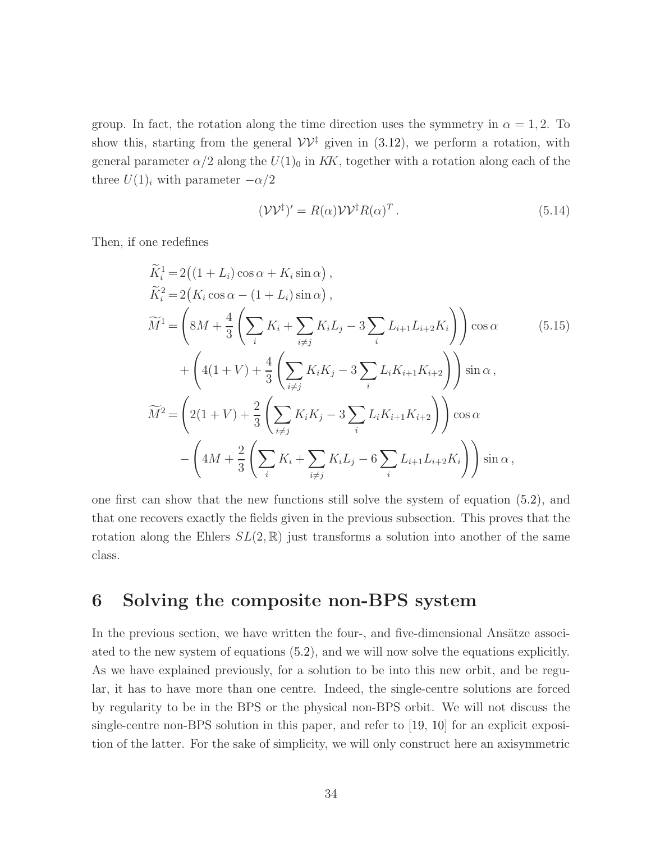group. In fact, the rotation along the time direction uses the symmetry in  $\alpha = 1, 2$ . To show this, starting from the general  $\mathcal{V}\mathcal{V}^{\dagger}$  given in [\(3.12\)](#page-20-1), we perform a rotation, with general parameter  $\alpha/2$  along the  $U(1)_0$  in KK, together with a rotation along each of the three  $U(1)_i$  with parameter  $-\alpha/2$ 

$$
(\mathcal{V}\mathcal{V}^{\dagger})' = R(\alpha)\mathcal{V}\mathcal{V}^{\dagger}R(\alpha)^{T}.
$$
\n(5.14)

Then, if one redefines

$$
\widetilde{K}_{i}^{1} = 2((1 + L_{i}) \cos \alpha + K_{i} \sin \alpha), \n\widetilde{K}_{i}^{2} = 2(K_{i} \cos \alpha - (1 + L_{i}) \sin \alpha), \n\widetilde{M}^{1} = \left( 8M + \frac{4}{3} \left( \sum_{i} K_{i} + \sum_{i \neq j} K_{i} L_{j} - 3 \sum_{i} L_{i+1} L_{i+2} K_{i} \right) \right) \cos \alpha \qquad (5.15)\n+ \left( 4(1 + V) + \frac{4}{3} \left( \sum_{i \neq j} K_{i} K_{j} - 3 \sum_{i} L_{i} K_{i+1} K_{i+2} \right) \right) \sin \alpha, \n\widetilde{M}^{2} = \left( 2(1 + V) + \frac{2}{3} \left( \sum_{i \neq j} K_{i} K_{j} - 3 \sum_{i} L_{i} K_{i+1} K_{i+2} \right) \right) \cos \alpha \n- \left( 4M + \frac{2}{3} \left( \sum_{i} K_{i} + \sum_{i \neq j} K_{i} L_{j} - 6 \sum_{i} L_{i+1} L_{i+2} K_{i} \right) \right) \sin \alpha ,
$$

one first can show that the new functions still solve the system of equation [\(5.2\)](#page-31-2), and that one recovers exactly the fields given in the previous subsection. This proves that the rotation along the Ehlers  $SL(2,\mathbb{R})$  just transforms a solution into another of the same class.

# <span id="page-34-0"></span>6 Solving the composite non-BPS system

In the previous section, we have written the four-, and five-dimensional Ansätze associated to the new system of equations [\(5.2\)](#page-31-2), and we will now solve the equations explicitly. As we have explained previously, for a solution to be into this new orbit, and be regular, it has to have more than one centre. Indeed, the single-centre solutions are forced by regularity to be in the BPS or the physical non-BPS orbit. We will not discuss the single-centre non-BPS solution in this paper, and refer to [\[19,](#page-47-4) [10\]](#page-47-1) for an explicit exposition of the latter. For the sake of simplicity, we will only construct here an axisymmetric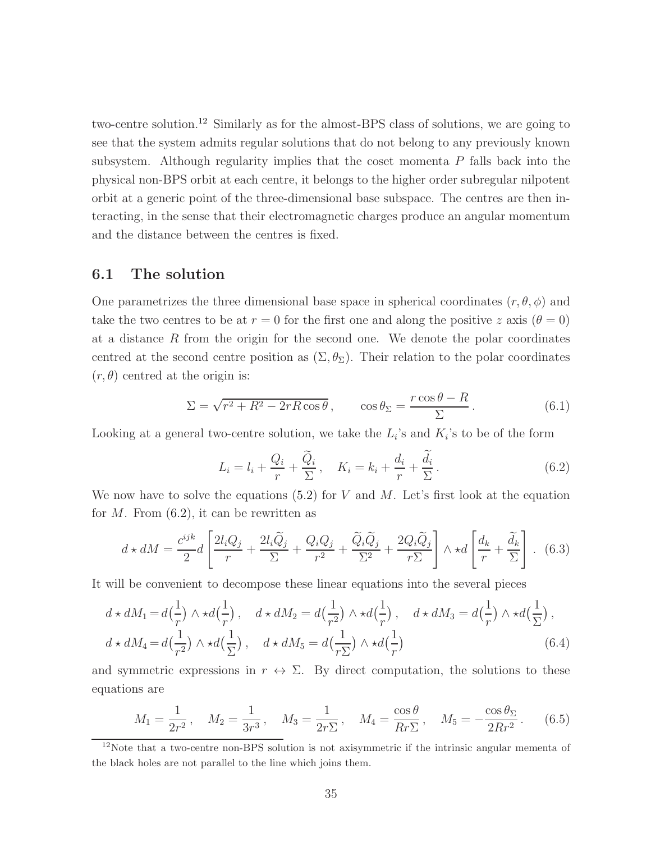two-centre solution.[12](#page-35-0) Similarly as for the almost-BPS class of solutions, we are going to see that the system admits regular solutions that do not belong to any previously known subsystem. Although regularity implies that the coset momenta P falls back into the physical non-BPS orbit at each centre, it belongs to the higher order subregular nilpotent orbit at a generic point of the three-dimensional base subspace. The centres are then interacting, in the sense that their electromagnetic charges produce an angular momentum and the distance between the centres is fixed.

## 6.1 The solution

One parametrizes the three dimensional base space in spherical coordinates  $(r, \theta, \phi)$  and take the two centres to be at  $r = 0$  for the first one and along the positive z axis  $(\theta = 0)$ at a distance  $R$  from the origin for the second one. We denote the polar coordinates centred at the second centre position as  $(\Sigma, \theta_{\Sigma})$ . Their relation to the polar coordinates  $(r, \theta)$  centred at the origin is:

$$
\Sigma = \sqrt{r^2 + R^2 - 2rR\cos\theta}, \qquad \cos\theta_{\Sigma} = \frac{r\cos\theta - R}{\Sigma}.
$$
 (6.1)

Looking at a general two-centre solution, we take the  $L_i$ 's and  $K_i$ 's to be of the form

<span id="page-35-1"></span>
$$
L_i = l_i + \frac{Q_i}{r} + \frac{\tilde{Q}_i}{\Sigma}, \quad K_i = k_i + \frac{d_i}{r} + \frac{\tilde{d}_i}{\Sigma}.
$$
 (6.2)

We now have to solve the equations  $(5.2)$  for V and M. Let's first look at the equation for  $M$ . From  $(6.2)$ , it can be rewritten as

$$
d \star dM = \frac{c^{ijk}}{2}d\left[\frac{2l_iQ_j}{r} + \frac{2l_i\widetilde{Q}_j}{\Sigma} + \frac{Q_iQ_j}{r^2} + \frac{\widetilde{Q}_i\widetilde{Q}_j}{\Sigma^2} + \frac{2Q_i\widetilde{Q}_j}{r\Sigma}\right] \wedge \star d\left[\frac{d_k}{r} + \frac{\widetilde{d}_k}{\Sigma}\right].
$$
 (6.3)

It will be convenient to decompose these linear equations into the several pieces

$$
d \star dM_1 = d\left(\frac{1}{r}\right) \wedge \star d\left(\frac{1}{r}\right), \quad d \star dM_2 = d\left(\frac{1}{r^2}\right) \wedge \star d\left(\frac{1}{r}\right), \quad d \star dM_3 = d\left(\frac{1}{r}\right) \wedge \star d\left(\frac{1}{\Sigma}\right),
$$
  

$$
d \star dM_4 = d\left(\frac{1}{r^2}\right) \wedge \star d\left(\frac{1}{\Sigma}\right), \quad d \star dM_5 = d\left(\frac{1}{r\Sigma}\right) \wedge \star d\left(\frac{1}{r}\right) \tag{6.4}
$$

and symmetric expressions in  $r \leftrightarrow \Sigma$ . By direct computation, the solutions to these equations are

$$
M_1 = \frac{1}{2r^2}
$$
,  $M_2 = \frac{1}{3r^3}$ ,  $M_3 = \frac{1}{2r\Sigma}$ ,  $M_4 = \frac{\cos\theta}{Rr\Sigma}$ ,  $M_5 = -\frac{\cos\theta_\Sigma}{2Rr^2}$ . (6.5)

<span id="page-35-0"></span><sup>12</sup>Note that a two-centre non-BPS solution is not axisymmetric if the intrinsic angular mementa of the black holes are not parallel to the line which joins them.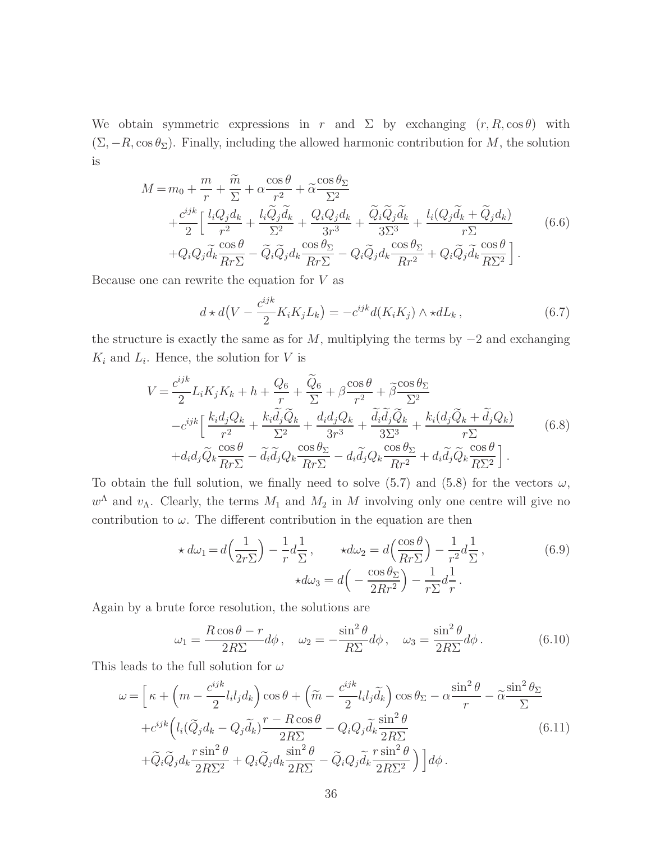We obtain symmetric expressions in r and  $\Sigma$  by exchanging  $(r, R, \cos \theta)$  with  $(\Sigma, -R, \cos \theta_{\Sigma})$ . Finally, including the allowed harmonic contribution for M, the solution is

$$
M = m_0 + \frac{m}{r} + \frac{\tilde{m}}{\Sigma} + \alpha \frac{\cos \theta}{r^2} + \tilde{\alpha} \frac{\cos \theta_{\Sigma}}{\Sigma^2} + \frac{c^{ijk}}{2} \left[ \frac{l_i Q_j d_k}{r^2} + \frac{l_i \tilde{Q}_j \tilde{d}_k}{\Sigma^2} + \frac{Q_i Q_j d_k}{3r^3} + \frac{\tilde{Q}_i \tilde{Q}_j \tilde{d}_k}{3\Sigma^3} + \frac{l_i (Q_j \tilde{d}_k + \tilde{Q}_j d_k)}{r \Sigma} \right] + Q_i Q_j \tilde{d}_k \frac{\cos \theta}{Rr \Sigma} - \tilde{Q}_i \tilde{Q}_j d_k \frac{\cos \theta_{\Sigma}}{Rr \Sigma} - Q_i \tilde{Q}_j d_k \frac{\cos \theta_{\Sigma}}{Rr^2} + Q_i \tilde{Q}_j \tilde{d}_k \frac{\cos \theta}{R\Sigma^2} \right].
$$
\n(6.6)

Because one can rewrite the equation for  $V$  as

$$
d \star d\left(V - \frac{c^{ijk}}{2} K_i K_j L_k\right) = -c^{ijk} d(K_i K_j) \wedge \star dL_k, \qquad (6.7)
$$

the structure is exactly the same as for  $M$ , multiplying the terms by  $-2$  and exchanging  $K_i$  and  $L_i$ . Hence, the solution for V is

$$
V = \frac{c^{ijk}}{2} L_i K_j K_k + h + \frac{Q_6}{r} + \frac{\tilde{Q}_6}{\Sigma} + \beta \frac{\cos \theta}{r^2} + \tilde{\beta} \frac{\cos \theta_{\Sigma}}{\Sigma^2}
$$
  
\n
$$
-c^{ijk} \left[ \frac{k_i d_j Q_k}{r^2} + \frac{k_i \tilde{d}_j \tilde{Q}_k}{\Sigma^2} + \frac{d_i d_j Q_k}{3r^3} + \frac{\tilde{d}_i \tilde{d}_j \tilde{Q}_k}{3\Sigma^3} + \frac{k_i (d_j \tilde{Q}_k + \tilde{d}_j Q_k)}{r \Sigma} + d_i d_j \tilde{Q}_k \frac{\cos \theta}{Rr \Sigma} - \tilde{d}_i \tilde{d}_j Q_k \frac{\cos \theta_{\Sigma}}{Rr \Sigma} - d_i \tilde{d}_j Q_k \frac{\cos \theta_{\Sigma}}{Rr^2} + d_i \tilde{d}_j \tilde{Q}_k \frac{\cos \theta}{R\Sigma^2} \right].
$$
\n(6.8)

To obtain the full solution, we finally need to solve  $(5.7)$  and  $(5.8)$  for the vectors  $\omega$ ,  $w^{\Lambda}$  and  $v_{\Lambda}$ . Clearly, the terms  $M_1$  and  $M_2$  in M involving only one centre will give no contribution to  $\omega$ . The different contribution in the equation are then

$$
\star d\omega_1 = d\left(\frac{1}{2r\Sigma}\right) - \frac{1}{r}d\frac{1}{\Sigma}, \qquad \star d\omega_2 = d\left(\frac{\cos\theta}{Rr\Sigma}\right) - \frac{1}{r^2}d\frac{1}{\Sigma},
$$
\n
$$
\star d\omega_3 = d\left(-\frac{\cos\theta_{\Sigma}}{2Rr^2}\right) - \frac{1}{r\Sigma}d\frac{1}{r}.
$$
\n(6.9)

Again by a brute force resolution, the solutions are

$$
\omega_1 = \frac{R\cos\theta - r}{2R\Sigma}d\phi\,, \quad \omega_2 = -\frac{\sin^2\theta}{R\Sigma}d\phi\,, \quad \omega_3 = \frac{\sin^2\theta}{2R\Sigma}d\phi\,.
$$
 (6.10)

This leads to the full solution for  $\omega$ 

$$
\omega = \left[\kappa + \left(m - \frac{c^{ijk}}{2}l_i l_j d_k\right) \cos\theta + \left(\tilde{m} - \frac{c^{ijk}}{2}l_i l_j \tilde{d}_k\right) \cos\theta_{\Sigma} - \alpha \frac{\sin^2\theta}{r} - \tilde{\alpha} \frac{\sin^2\theta_{\Sigma}}{\Sigma} \n+ c^{ijk} \left(l_i (\tilde{Q}_j d_k - Q_j \tilde{d}_k) \frac{r - R \cos\theta}{2R\Sigma} - Q_i Q_j \tilde{d}_k \frac{\sin^2\theta}{2R\Sigma} \n+ \tilde{Q}_i \tilde{Q}_j d_k \frac{r \sin^2\theta}{2R\Sigma^2} + Q_i \tilde{Q}_j d_k \frac{\sin^2\theta}{2R\Sigma} - \tilde{Q}_i Q_j \tilde{d}_k \frac{r \sin^2\theta}{2R\Sigma^2}\right)\right] d\phi.
$$
\n(6.11)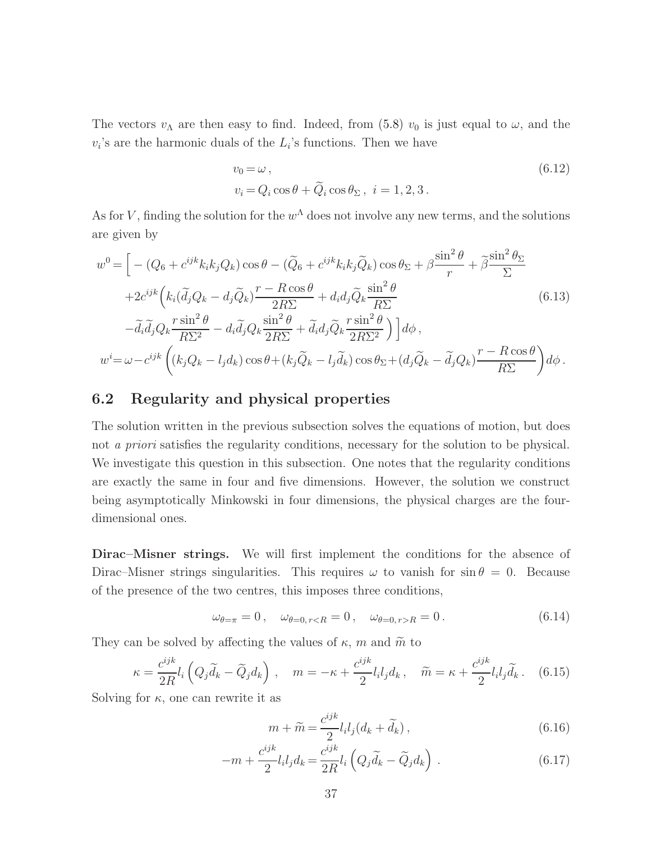The vectors  $v_{\Lambda}$  are then easy to find. Indeed, from [\(5.8\)](#page-32-2)  $v_0$  is just equal to  $\omega$ , and the  $v_i$ 's are the harmonic duals of the  $L_i$ 's functions. Then we have

$$
v_0 = \omega ,
$$
  
\n
$$
v_i = Q_i \cos \theta + \widetilde{Q}_i \cos \theta_{\Sigma}, \quad i = 1, 2, 3.
$$
\n
$$
(6.12)
$$

As for V, finding the solution for the  $w^{\Lambda}$  does not involve any new terms, and the solutions are given by

$$
w^{0} = \left[ -(Q_{6} + c^{ijk}k_{i}k_{j}Q_{k}) \cos \theta - (\widetilde{Q}_{6} + c^{ijk}k_{i}k_{j}\widetilde{Q}_{k}) \cos \theta_{\Sigma} + \beta \frac{\sin^{2} \theta}{r} + \widetilde{\beta} \frac{\sin^{2} \theta_{\Sigma}}{\Sigma} + 2c^{ijk} (k_{i}(\widetilde{d}_{j}Q_{k} - d_{j}\widetilde{Q}_{k}) \frac{r - R \cos \theta}{2R\Sigma} + d_{i}d_{j}\widetilde{Q}_{k} \frac{\sin^{2} \theta}{R\Sigma} - \widetilde{d}_{i}\widetilde{d}_{j}Q_{k} \frac{r \sin^{2} \theta}{R\Sigma^{2}} - d_{i}\widetilde{d}_{j}Q_{k} \frac{\sin^{2} \theta}{2R\Sigma} + \widetilde{d}_{i}d_{j}\widetilde{Q}_{k} \frac{r \sin^{2} \theta}{2R\Sigma^{2}}) \right] d\phi,
$$
  
\n
$$
w^{i} = \omega - c^{ijk} ((k_{j}Q_{k} - l_{j}d_{k}) \cos \theta + (k_{j}\widetilde{Q}_{k} - l_{j}\widetilde{d}_{k}) \cos \theta_{\Sigma} + (d_{j}\widetilde{Q}_{k} - \widetilde{d}_{j}Q_{k}) \frac{r - R \cos \theta}{R\Sigma} d\phi.
$$
\n(6.13)

## 6.2 Regularity and physical properties

The solution written in the previous subsection solves the equations of motion, but does not a priori satisfies the regularity conditions, necessary for the solution to be physical. We investigate this question in this subsection. One notes that the regularity conditions are exactly the same in four and five dimensions. However, the solution we construct being asymptotically Minkowski in four dimensions, the physical charges are the fourdimensional ones.

Dirac–Misner strings. We will first implement the conditions for the absence of Dirac–Misner strings singularities. This requires  $\omega$  to vanish for sin  $\theta = 0$ . Because of the presence of the two centres, this imposes three conditions,

$$
\omega_{\theta=\pi} = 0, \quad \omega_{\theta=0, r < R} = 0, \quad \omega_{\theta=0, r > R} = 0. \tag{6.14}
$$

They can be solved by affecting the values of  $\kappa$ , m and  $\widetilde{m}$  to

$$
\kappa = \frac{c^{ijk}}{2R} l_i \left( Q_j \tilde{d}_k - \tilde{Q}_j d_k \right) , \quad m = -\kappa + \frac{c^{ijk}}{2} l_i l_j d_k , \quad \tilde{m} = \kappa + \frac{c^{ijk}}{2} l_i l_j \tilde{d}_k . \quad (6.15)
$$

Solving for  $\kappa$ , one can rewrite it as

$$
m + \widetilde{m} = \frac{c^{ijk}}{2} l_i l_j (d_k + \widetilde{d}_k), \qquad (6.16)
$$

$$
-m + \frac{c^{ijk}}{2} l_i l_j d_k = \frac{c^{ijk}}{2R} l_i \left( Q_j \widetilde{d}_k - \widetilde{Q}_j d_k \right) . \tag{6.17}
$$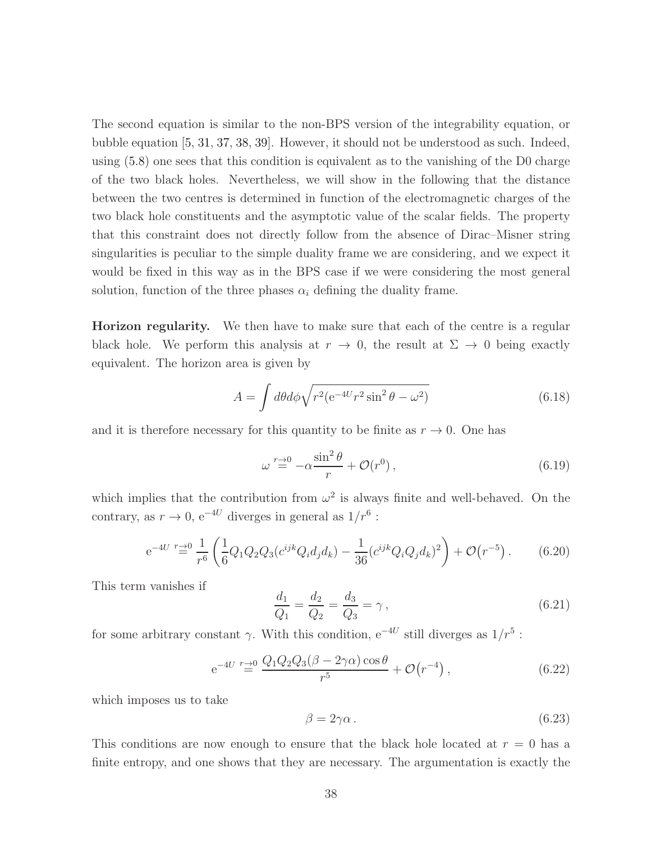The second equation is similar to the non-BPS version of the integrability equation, or bubble equation [\[5,](#page-46-4) [31,](#page-48-6) [37,](#page-49-3) [38,](#page-49-4) [39\]](#page-49-5). However, it should not be understood as such. Indeed, using [\(5.8\)](#page-32-2) one sees that this condition is equivalent as to the vanishing of the D0 charge of the two black holes. Nevertheless, we will show in the following that the distance between the two centres is determined in function of the electromagnetic charges of the two black hole constituents and the asymptotic value of the scalar fields. The property that this constraint does not directly follow from the absence of Dirac–Misner string singularities is peculiar to the simple duality frame we are considering, and we expect it would be fixed in this way as in the BPS case if we were considering the most general solution, function of the three phases  $\alpha_i$  defining the duality frame.

Horizon regularity. We then have to make sure that each of the centre is a regular black hole. We perform this analysis at  $r \to 0$ , the result at  $\Sigma \to 0$  being exactly equivalent. The horizon area is given by

$$
A = \int d\theta d\phi \sqrt{r^2 (e^{-4U}r^2 \sin^2 \theta - \omega^2)}
$$
(6.18)

and it is therefore necessary for this quantity to be finite as  $r \to 0$ . One has

$$
\omega \stackrel{r \to 0}{=} -\alpha \frac{\sin^2 \theta}{r} + \mathcal{O}(r^0), \tag{6.19}
$$

which implies that the contribution from  $\omega^2$  is always finite and well-behaved. On the contrary, as  $r \to 0$ , e<sup>-4*U*</sup> diverges in general as  $1/r^6$ :

$$
e^{-4U} \stackrel{r \to 0}{=} \frac{1}{r^6} \left( \frac{1}{6} Q_1 Q_2 Q_3 (c^{ijk} Q_i d_j d_k) - \frac{1}{36} (c^{ijk} Q_i Q_j d_k)^2 \right) + \mathcal{O}(r^{-5}). \tag{6.20}
$$

This term vanishes if

$$
\frac{d_1}{Q_1} = \frac{d_2}{Q_2} = \frac{d_3}{Q_3} = \gamma\,,\tag{6.21}
$$

for some arbitrary constant  $\gamma$ . With this condition,  $e^{-4U}$  still diverges as  $1/r^5$ :

$$
e^{-4U} \stackrel{r \to 0}{=} \frac{Q_1 Q_2 Q_3 (\beta - 2\gamma \alpha) \cos \theta}{r^5} + \mathcal{O}(r^{-4}), \qquad (6.22)
$$

which imposes us to take

$$
\beta = 2\gamma\alpha. \tag{6.23}
$$

This conditions are now enough to ensure that the black hole located at  $r = 0$  has a finite entropy, and one shows that they are necessary. The argumentation is exactly the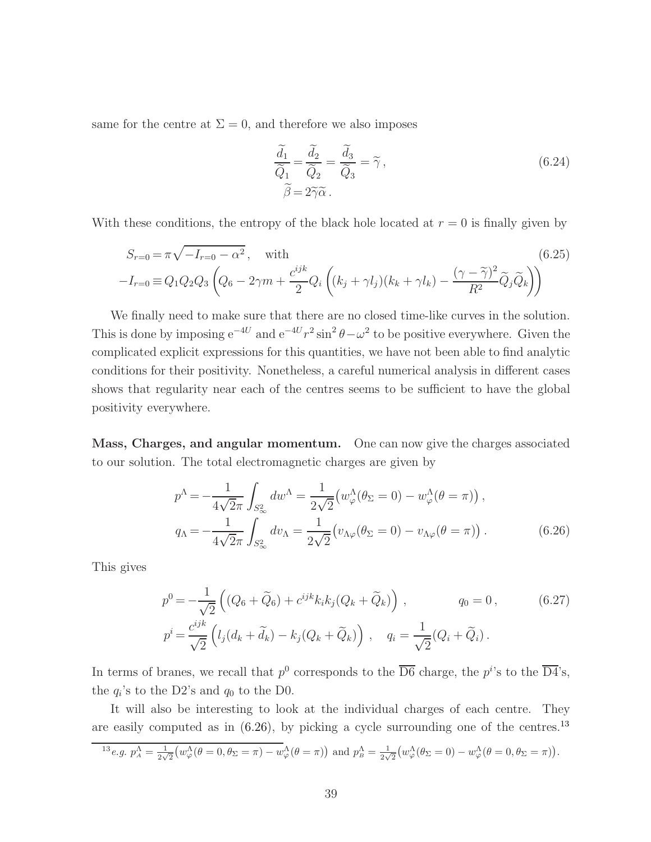same for the centre at  $\Sigma = 0$ , and therefore we also imposes

$$
\frac{\tilde{d}_1}{\tilde{Q}_1} = \frac{\tilde{d}_2}{\tilde{Q}_2} = \frac{\tilde{d}_3}{\tilde{Q}_3} = \tilde{\gamma},
$$
\n
$$
\tilde{\beta} = 2\tilde{\gamma}\tilde{\alpha}.
$$
\n(6.24)

With these conditions, the entropy of the black hole located at  $r = 0$  is finally given by

<span id="page-39-2"></span>
$$
S_{r=0} = \pi \sqrt{-I_{r=0} - \alpha^2}, \quad \text{with}
$$
\n
$$
-I_{r=0} = Q_1 Q_2 Q_3 \left( Q_6 - 2\gamma m + \frac{c^{ijk}}{2} Q_i \left( (k_j + \gamma l_j)(k_k + \gamma l_k) - \frac{(\gamma - \tilde{\gamma})^2}{R^2} \tilde{Q}_j \tilde{Q}_k \right) \right)
$$
\n(6.25)

We finally need to make sure that there are no closed time-like curves in the solution. This is done by imposing  $e^{-4U}$  and  $e^{-4U}r^2 \sin^2 \theta - \omega^2$  to be positive everywhere. Given the complicated explicit expressions for this quantities, we have not been able to find analytic conditions for their positivity. Nonetheless, a careful numerical analysis in different cases shows that regularity near each of the centres seems to be sufficient to have the global positivity everywhere.

Mass, Charges, and angular momentum. One can now give the charges associated to our solution. The total electromagnetic charges are given by

<span id="page-39-0"></span>
$$
p^{\Lambda} = -\frac{1}{4\sqrt{2}\pi} \int_{S_{\infty}^{2}} dw^{\Lambda} = \frac{1}{2\sqrt{2}} \left( w_{\varphi}^{\Lambda}(\theta_{\Sigma} = 0) - w_{\varphi}^{\Lambda}(\theta = \pi) \right),
$$
  
\n
$$
q_{\Lambda} = -\frac{1}{4\sqrt{2}\pi} \int_{S_{\infty}^{2}} dv_{\Lambda} = \frac{1}{2\sqrt{2}} \left( v_{\Lambda\varphi}(\theta_{\Sigma} = 0) - v_{\Lambda\varphi}(\theta = \pi) \right).
$$
\n(6.26)

This gives

$$
p^{0} = -\frac{1}{\sqrt{2}} \left( (Q_{6} + \tilde{Q}_{6}) + c^{ijk} k_{i} k_{j} (Q_{k} + \tilde{Q}_{k}) \right), \qquad q_{0} = 0, \qquad (6.27)
$$
  

$$
p^{i} = \frac{c^{ijk}}{\sqrt{2}} \left( l_{j} (d_{k} + \tilde{d}_{k}) - k_{j} (Q_{k} + \tilde{Q}_{k}) \right), \qquad q_{i} = \frac{1}{\sqrt{2}} (Q_{i} + \tilde{Q}_{i}).
$$

In terms of branes, we recall that  $p^0$  corresponds to the  $\overline{D6}$  charge, the  $p^i$ 's to the  $\overline{D4}$ 's, the  $q_i$ 's to the D2's and  $q_0$  to the D0.

It will also be interesting to look at the individual charges of each centre. They are easily computed as in  $(6.26)$ , by picking a cycle surrounding one of the centres.<sup>[13](#page-39-1)</sup>

<span id="page-39-1"></span>
$$
^{13}e.g. p_A^{\Lambda} = \frac{1}{2\sqrt{2}} \left( w_{\varphi}^{\Lambda}(\theta = 0, \theta_{\Sigma} = \pi) - w_{\varphi}^{\Lambda}(\theta = \pi) \right) \text{ and } p_B^{\Lambda} = \frac{1}{2\sqrt{2}} \left( w_{\varphi}^{\Lambda}(\theta_{\Sigma} = 0) - w_{\varphi}^{\Lambda}(\theta = 0, \theta_{\Sigma} = \pi) \right).
$$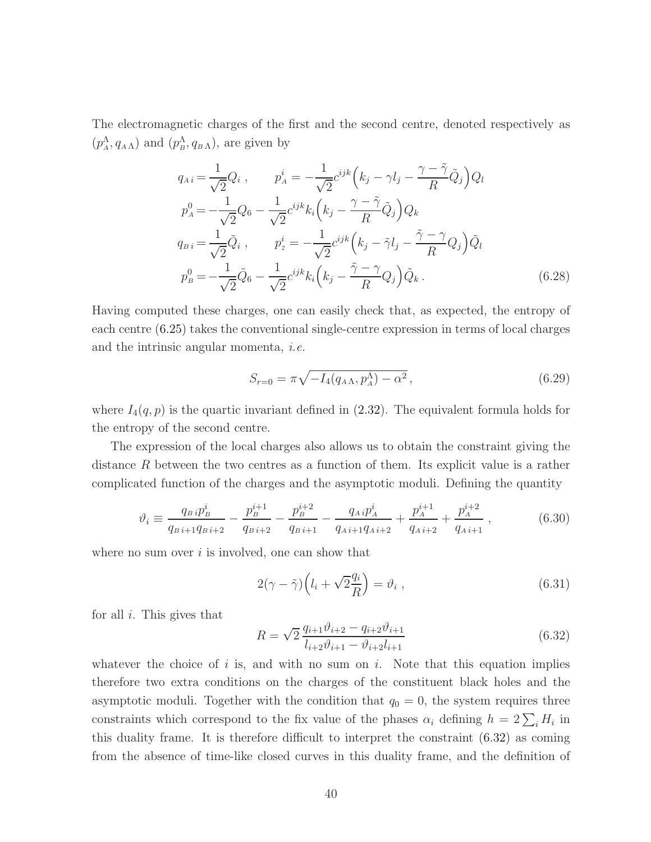The electromagnetic charges of the first and the second centre, denoted respectively as  $(p_A^{\Lambda}, q_{A\Lambda})$  and  $(p_B^{\Lambda}, q_{B\Lambda})$ , are given by

<span id="page-40-1"></span>
$$
q_{Ai} = \frac{1}{\sqrt{2}} Q_i , \qquad p_A^i = -\frac{1}{\sqrt{2}} c^{ijk} \left( k_j - \gamma l_j - \frac{\gamma - \tilde{\gamma}}{R} \tilde{Q}_j \right) Q_l
$$
  
\n
$$
p_A^0 = -\frac{1}{\sqrt{2}} Q_6 - \frac{1}{\sqrt{2}} c^{ijk} k_i \left( k_j - \frac{\gamma - \tilde{\gamma}}{R} \tilde{Q}_j \right) Q_k
$$
  
\n
$$
q_{Bi} = \frac{1}{\sqrt{2}} \tilde{Q}_i , \qquad p_2^i = -\frac{1}{\sqrt{2}} c^{ijk} \left( k_j - \tilde{\gamma} l_j - \frac{\tilde{\gamma} - \gamma}{R} Q_j \right) \tilde{Q}_l
$$
  
\n
$$
p_B^0 = -\frac{1}{\sqrt{2}} \tilde{Q}_6 - \frac{1}{\sqrt{2}} c^{ijk} k_i \left( k_j - \frac{\tilde{\gamma} - \gamma}{R} Q_j \right) \tilde{Q}_k .
$$
\n(6.28)

Having computed these charges, one can easily check that, as expected, the entropy of each centre [\(6.25\)](#page-39-2) takes the conventional single-centre expression in terms of local charges and the intrinsic angular momenta, i.e.

$$
S_{r=0} = \pi \sqrt{-I_4(q_{A\Lambda}, p_A^{\Lambda}) - \alpha^2},\qquad(6.29)
$$

where  $I_4(q, p)$  is the quartic invariant defined in [\(2.32\)](#page-11-0). The equivalent formula holds for the entropy of the second centre.

The expression of the local charges also allows us to obtain the constraint giving the distance R between the two centres as a function of them. Its explicit value is a rather complicated function of the charges and the asymptotic moduli. Defining the quantity

$$
\vartheta_{i} \equiv \frac{q_{B}i p_{B}^{i}}{q_{B}i + 1} - \frac{p_{B}^{i+1}}{q_{B}i + 2} - \frac{p_{B}^{i+2}}{q_{B}i + 1} - \frac{q_{A}i p_{A}^{i}}{q_{A}i + 1} + \frac{p_{A}^{i+1}}{q_{A}i + 2} + \frac{p_{A}^{i+2}}{q_{A}i + 1}, \qquad (6.30)
$$

where no sum over  $i$  is involved, one can show that

$$
2(\gamma - \tilde{\gamma})\left(l_i + \sqrt{2}\frac{q_i}{R}\right) = \vartheta_i , \qquad (6.31)
$$

for all  $i$ . This gives that

<span id="page-40-0"></span>
$$
R = \sqrt{2} \frac{q_{i+1} \vartheta_{i+2} - q_{i+2} \vartheta_{i+1}}{l_{i+2} \vartheta_{i+1} - \vartheta_{i+2} l_{i+1}}
$$
(6.32)

whatever the choice of i is, and with no sum on i. Note that this equation implies therefore two extra conditions on the charges of the constituent black holes and the asymptotic moduli. Together with the condition that  $q_0 = 0$ , the system requires three constraints which correspond to the fix value of the phases  $\alpha_i$  defining  $h = 2\sum_i H_i$  in this duality frame. It is therefore difficult to interpret the constraint [\(6.32\)](#page-40-0) as coming from the absence of time-like closed curves in this duality frame, and the definition of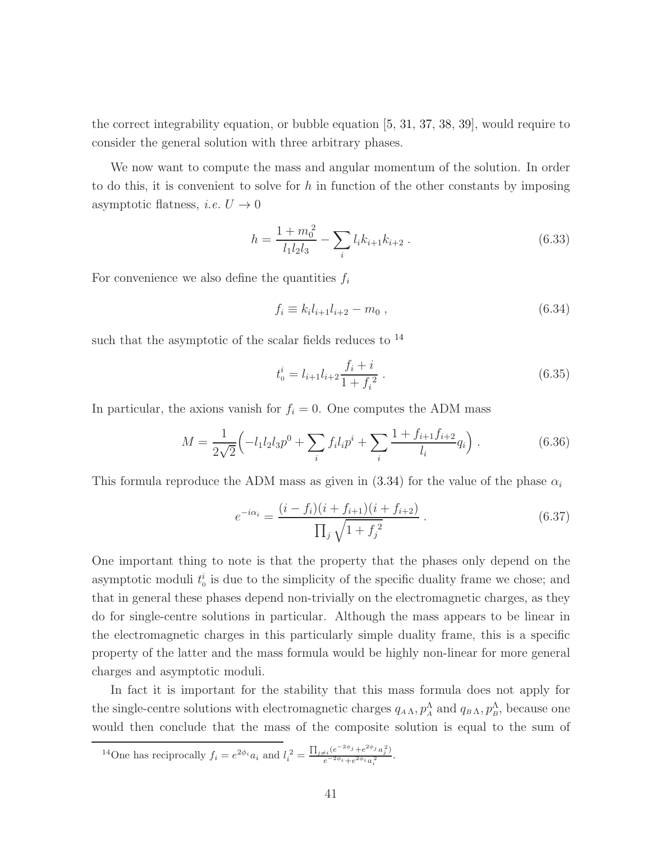the correct integrability equation, or bubble equation [\[5,](#page-46-4) [31,](#page-48-6) [37,](#page-49-3) [38,](#page-49-4) [39\]](#page-49-5), would require to consider the general solution with three arbitrary phases.

We now want to compute the mass and angular momentum of the solution. In order to do this, it is convenient to solve for h in function of the other constants by imposing asymptotic flatness, *i.e.*  $U \rightarrow 0$ 

$$
h = \frac{1 + m_0^2}{l_1 l_2 l_3} - \sum_i l_i k_{i+1} k_{i+2} . \qquad (6.33)
$$

For convenience we also define the quantities  $f_i$ 

$$
f_i \equiv k_i l_{i+1} l_{i+2} - m_0 , \qquad (6.34)
$$

such that the asymptotic of the scalar fields reduces to  $^{14}$  $^{14}$  $^{14}$ 

<span id="page-41-2"></span><span id="page-41-1"></span>
$$
t_0^i = l_{i+1}l_{i+2}\frac{f_i + i}{1 + f_i^2} \tag{6.35}
$$

In particular, the axions vanish for  $f_i = 0$ . One computes the ADM mass

$$
M = \frac{1}{2\sqrt{2}} \left( -l_1 l_2 l_3 p^0 + \sum_i f_i l_i p^i + \sum_i \frac{1 + f_{i+1} f_{i+2}}{l_i} q_i \right). \tag{6.36}
$$

This formula reproduce the ADM mass as given in [\(3.34\)](#page-25-0) for the value of the phase  $\alpha_i$ 

$$
e^{-i\alpha_i} = \frac{(i - f_i)(i + f_{i+1})(i + f_{i+2})}{\prod_j \sqrt{1 + f_j^2}}.
$$
\n(6.37)

One important thing to note is that the property that the phases only depend on the asymptotic moduli  $t_0^i$  is due to the simplicity of the specific duality frame we chose; and that in general these phases depend non-trivially on the electromagnetic charges, as they do for single-centre solutions in particular. Although the mass appears to be linear in the electromagnetic charges in this particularly simple duality frame, this is a specific property of the latter and the mass formula would be highly non-linear for more general charges and asymptotic moduli.

In fact it is important for the stability that this mass formula does not apply for the single-centre solutions with electromagnetic charges  $q_{A\Lambda}, p_A^{\Lambda}$  and  $q_{B\Lambda}, p_B^{\Lambda}$ , because one would then conclude that the mass of the composite solution is equal to the sum of

<span id="page-41-0"></span>
$$
^{14}\text{One has reciprocally } f_i = e^{2\phi_i} a_i \text{ and } l_i^2 = \frac{\prod_{j \neq i} (e^{-2\phi_j} + e^{2\phi_j} a_j^2)}{e^{-2\phi_i} + e^{2\phi_i} a_i^2}.
$$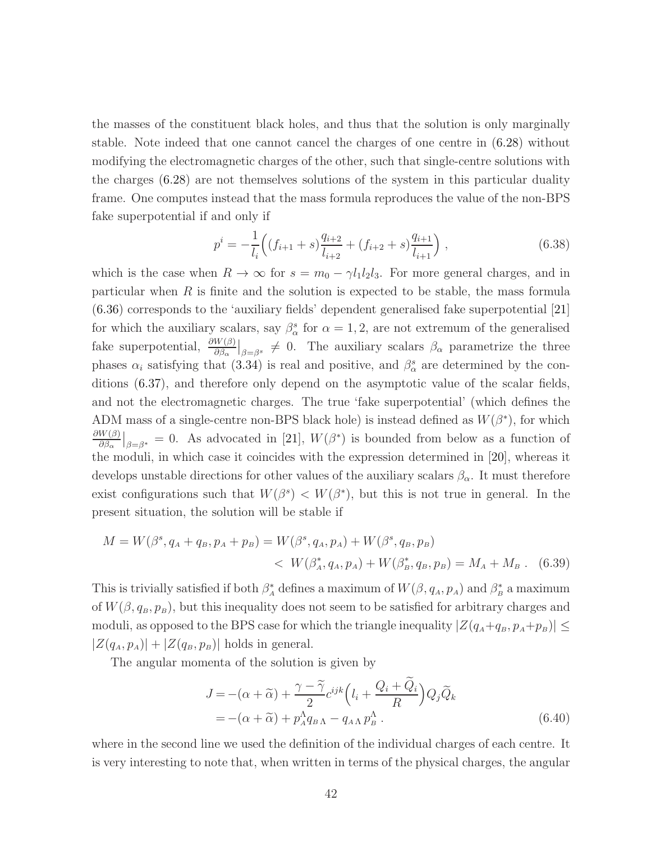the masses of the constituent black holes, and thus that the solution is only marginally stable. Note indeed that one cannot cancel the charges of one centre in [\(6.28\)](#page-40-1) without modifying the electromagnetic charges of the other, such that single-centre solutions with the charges [\(6.28\)](#page-40-1) are not themselves solutions of the system in this particular duality frame. One computes instead that the mass formula reproduces the value of the non-BPS fake superpotential if and only if

$$
p^{i} = -\frac{1}{l_{i}} \left( (f_{i+1} + s) \frac{q_{i+2}}{l_{i+2}} + (f_{i+2} + s) \frac{q_{i+1}}{l_{i+1}} \right),
$$
\n(6.38)

which is the case when  $R \to \infty$  for  $s = m_0 - \gamma l_1 l_2 l_3$ . For more general charges, and in particular when  $R$  is finite and the solution is expected to be stable, the mass formula [\(6.36\)](#page-41-1) corresponds to the 'auxiliary fields' dependent generalised fake superpotential [\[21\]](#page-48-7) for which the auxiliary scalars, say  $\beta^s_\alpha$  for  $\alpha = 1, 2$ , are not extremum of the generalised fake superpotential,  $\frac{\partial W(\beta)}{\partial \beta_{\alpha}}|_{\beta=\beta^{s}} \neq 0$ . The auxiliary scalars  $\beta_{\alpha}$  parametrize the three phases  $\alpha_i$  satisfying that [\(3.34\)](#page-25-0) is real and positive, and  $\beta_\alpha^s$  are determined by the conditions [\(6.37\)](#page-41-2), and therefore only depend on the asymptotic value of the scalar fields, and not the electromagnetic charges. The true 'fake superpotential' (which defines the ADM mass of a single-centre non-BPS black hole) is instead defined as  $W(\beta^*)$ , for which  $\partial W(\beta)$  $\frac{W(\beta)}{\partial \beta_{\alpha}}|_{\beta=\beta^*}=0$ . As advocated in [\[21\]](#page-48-7),  $W(\beta^*)$  is bounded from below as a function of the moduli, in which case it coincides with the expression determined in [\[20\]](#page-47-5), whereas it develops unstable directions for other values of the auxiliary scalars  $\beta_{\alpha}$ . It must therefore exist configurations such that  $W(\beta^s) < W(\beta^*)$ , but this is not true in general. In the present situation, the solution will be stable if

$$
M = W(\beta^s, q_A + q_B, p_A + p_B) = W(\beta^s, q_A, p_A) + W(\beta^s, q_B, p_B)
$$
  

$$
< W(\beta^*_A, q_A, p_A) + W(\beta^*_B, q_B, p_B) = M_A + M_B.
$$
 (6.39)

This is trivially satisfied if both  $\beta_A^*$  defines a maximum of  $W(\beta, q_A, p_A)$  and  $\beta_B^*$  a maximum of  $W(\beta, q_B, p_B)$ , but this inequality does not seem to be satisfied for arbitrary charges and moduli, as opposed to the BPS case for which the triangle inequality  $|Z(q_A+q_B, p_A+p_B)| \leq$  $|Z(q_A, p_A)| + |Z(q_B, p_B)|$  holds in general.

The angular momenta of the solution is given by

$$
J = -(\alpha + \widetilde{\alpha}) + \frac{\gamma - \widetilde{\gamma}}{2} c^{ijk} \left( l_i + \frac{Q_i + \widetilde{Q}_i}{R} \right) Q_j \widetilde{Q}_k
$$
  
= -(\alpha + \widetilde{\alpha}) + p\_A^{\Lambda} q\_{BA} - q\_{AA} p\_B^{\Lambda} . \t(6.40)

where in the second line we used the definition of the individual charges of each centre. It is very interesting to note that, when written in terms of the physical charges, the angular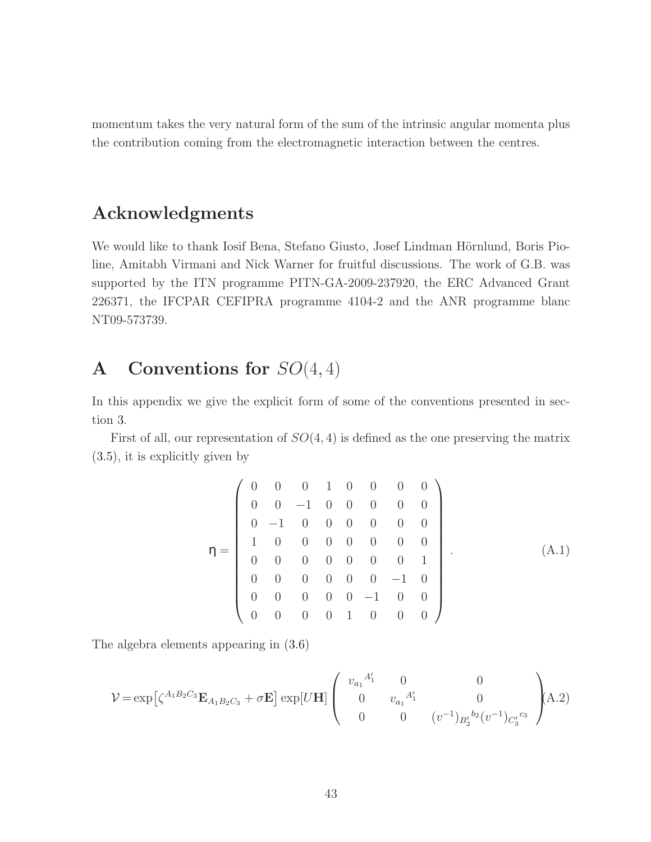momentum takes the very natural form of the sum of the intrinsic angular momenta plus the contribution coming from the electromagnetic interaction between the centres.

# Acknowledgments

We would like to thank Iosif Bena, Stefano Giusto, Josef Lindman Hörnlund, Boris Pioline, Amitabh Virmani and Nick Warner for fruitful discussions. The work of G.B. was supported by the ITN programme PITN-GA-2009-237920, the ERC Advanced Grant 226371, the IFCPAR CEFIPRA programme 4104-2 and the ANR programme blanc NT09-573739.

# A Conventions for  $SO(4,4)$

In this appendix we give the explicit form of some of the conventions presented in section [3.](#page-18-0)

First of all, our representation of  $SO(4,4)$  is defined as the one preserving the matrix [\(3.5\)](#page-19-3), it is explicitly given by

$$
\eta = \left(\begin{array}{ccccccccc} 0 & 0 & 0 & 1 & 0 & 0 & 0 & 0 \\ 0 & 0 & -1 & 0 & 0 & 0 & 0 & 0 \\ 0 & -1 & 0 & 0 & 0 & 0 & 0 & 0 \\ 1 & 0 & 0 & 0 & 0 & 0 & 0 & 0 \\ 0 & 0 & 0 & 0 & 0 & 0 & 0 & 1 \\ 0 & 0 & 0 & 0 & 0 & -1 & 0 & 0 \\ 0 & 0 & 0 & 0 & 0 & -1 & 0 & 0 \\ 0 & 0 & 0 & 0 & 1 & 0 & 0 & 0 \end{array}\right).
$$
(A.1)

The algebra elements appearing in [\(3.6\)](#page-19-4)

$$
\mathcal{V} = \exp\left[\zeta^{A_1 B_2 C_3} \mathbf{E}_{A_1 B_2 C_3} + \sigma \mathbf{E}\right] \exp[U\mathbf{H}] \begin{pmatrix} v_{a_1}^{A'_1} & 0 & 0 \\ 0 & v_{a_1}^{A'_1} & 0 \\ 0 & 0 & (v^{-1})_{B'_2}^{b_2} (v^{-1})_{C'_3}^{c_3} \end{pmatrix} \tag{A.2}
$$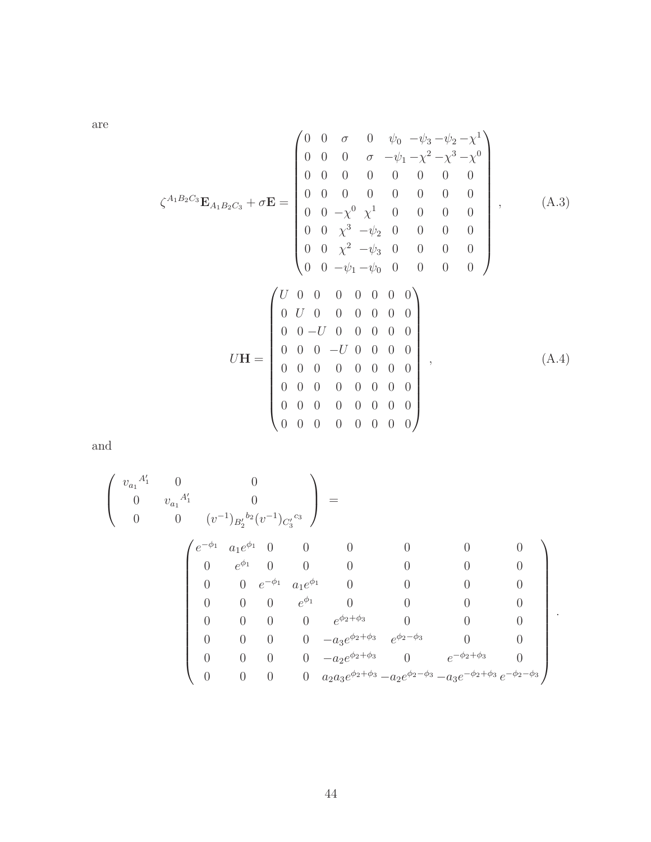are

$$
\zeta^{A_1 B_2 C_3} \mathbf{E}_{A_1 B_2 C_3} + \sigma \mathbf{E} = \begin{pmatrix} 0 & 0 & \sigma & 0 & \psi_0 & -\psi_3 - \psi_2 - \chi^1 \\ 0 & 0 & 0 & \sigma & -\psi_1 - \chi^2 - \chi^3 - \chi^0 \\ 0 & 0 & 0 & 0 & 0 & 0 & 0 \\ 0 & 0 & 0 & 0 & 0 & 0 & 0 \\ 0 & 0 & -\chi^0 & \chi^1 & 0 & 0 & 0 & 0 \\ 0 & 0 & \chi^3 & -\psi_2 & 0 & 0 & 0 & 0 \\ 0 & 0 & \chi^2 & -\psi_3 & 0 & 0 & 0 & 0 \\ 0 & 0 & -\psi_1 - \psi_0 & 0 & 0 & 0 & 0 \\ 0 & 0 & -U & 0 & 0 & 0 & 0 & 0 \\ 0 & 0 & -U & 0 & 0 & 0 & 0 & 0 \\ 0 & 0 & 0 & -U & 0 & 0 & 0 & 0 \\ 0 & 0 & 0 & 0 & 0 & 0 & 0 & 0 \\ 0 & 0 & 0 & 0 & 0 & 0 & 0 & 0 \\ 0 & 0 & 0 & 0 & 0 & 0 & 0 & 0 \\ 0 & 0 & 0 & 0 & 0 & 0 & 0 & 0 \end{pmatrix}, \quad (A.4)
$$

and

$$
\begin{pmatrix}\nv_{a_1}^{A'_1} & 0 & 0 \\
0 & v_{a_1}^{A'_1} & 0 \\
0 & 0 & (v^{-1})_{B'_2}^{b_2}(v^{-1})_{C'_3}^{c_3}\n\end{pmatrix} = \n\begin{pmatrix}\ne^{-\phi_1} & a_1 e^{\phi_1} & 0 & 0 & 0 & 0 & 0 \\
0 & e^{\phi_1} & 0 & 0 & 0 & 0 & 0 & 0 \\
0 & 0 & e^{-\phi_1} & a_1 e^{\phi_1} & 0 & 0 & 0 & 0 \\
0 & 0 & 0 & e^{\phi_1} & 0 & 0 & 0 & 0 \\
0 & 0 & 0 & e^{\phi_1} & 0 & 0 & 0 & 0 \\
0 & 0 & 0 & 0 & e^{\phi_2+\phi_3} & 0 & 0 & 0 \\
0 & 0 & 0 & 0 & -a_3 e^{\phi_2+\phi_3} & e^{\phi_2-\phi_3} & 0 & 0 \\
0 & 0 & 0 & 0 & -a_2 e^{\phi_2+\phi_3} & e^{-\phi_2-\phi_3} & 0 \\
0 & 0 & 0 & 0 & a_2 a_3 e^{\phi_2+\phi_3} - a_2 e^{\phi_2-\phi_3} - a_3 e^{-\phi_2+\phi_3} e^{-\phi_2-\phi_3}\n\end{pmatrix}.
$$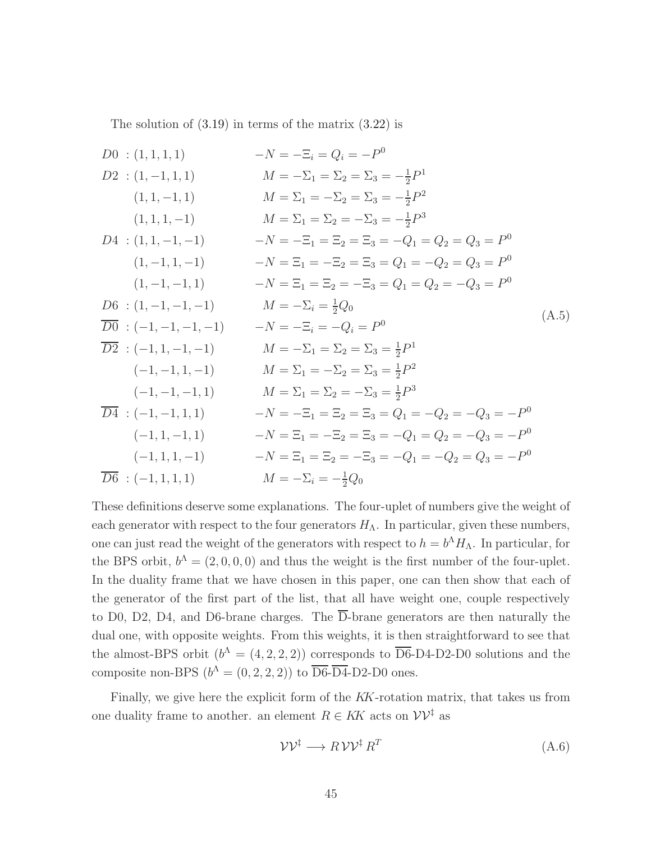<span id="page-45-0"></span>The solution of  $(3.19)$  in terms of the matrix  $(3.22)$  is

$$
D0 : (1,1,1,1) \t -N = -\Xi_i = Q_i = -P^0
$$
  
\n
$$
D2 : (1,-1,1,1) \t M = -\Sigma_1 = \Sigma_2 = \Sigma_3 = -\frac{1}{2}P^1
$$
  
\n
$$
(1,1,-1,1) \t M = \Sigma_1 = -\Sigma_2 = \Sigma_3 = -\frac{1}{2}P^2
$$
  
\n
$$
D4 : (1,1,-1,-1) \t -N = -\Xi_1 = \Xi_2 = \Xi_3 = -Q_1 = Q_2 = Q_3 = P^0
$$
  
\n
$$
(1,-1,1,-1,1) \t -N = \Xi_1 = -\Xi_2 = \Xi_3 = Q_1 = -Q_2 = Q_3 = P^0
$$
  
\n
$$
(1,-1,-1,1) \t -N = \Xi_1 = \Xi_2 = -\Xi_3 = Q_1 = Q_2 = -Q_3 = P^0
$$
  
\n
$$
D6 : (1,-1,-1,-1,-1) \t M = -\Sigma_i = \frac{1}{2}Q_0
$$
  
\n
$$
\overline{D0} : (-1,-1,-1,-1) \t M = -\Xi_1 = \Sigma_2 = \Sigma_3 = \frac{1}{2}P^1
$$
  
\n
$$
(-1,-1,1,-1,-1) \t M = -\Sigma_1 = \Sigma_2 = \Sigma_3 = \frac{1}{2}P^1
$$
  
\n
$$
(-1,-1,1,-1,1) \t M = \Sigma_1 = -\Sigma_2 = \Sigma_3 = \frac{1}{2}P^2
$$
  
\n
$$
(-1,-1,-1,1,1) \t M = \Sigma_1 = \Sigma_2 = -\Sigma_3 = \frac{1}{2}P^3
$$
  
\n
$$
\overline{D4} : (-1,-1,1,1,1) \t -N = -\Xi_1 = \Xi_2 = \Xi_3 = Q_1 = -Q_2 = -Q_3 = -P^0
$$
  
\n
$$
(-1,1,1,-1,1) \t -N = \Xi_1 = -\Xi_2 = \Xi_3 = -Q_1 = Q_2 = -Q_3 = -P^0
$$
  
\n
$$
(-1,1,1,-1) \t M = \Sigma_1 = \Xi_2 = -\Xi_3 = -Q_1 = Q_2 = -Q_3
$$

These definitions deserve some explanations. The four-uplet of numbers give the weight of each generator with respect to the four generators  $H_{\Lambda}$ . In particular, given these numbers, one can just read the weight of the generators with respect to  $h = b^{\Lambda} H_{\Lambda}$ . In particular, for the BPS orbit,  $b^{\Lambda} = (2, 0, 0, 0)$  and thus the weight is the first number of the four-uplet. In the duality frame that we have chosen in this paper, one can then show that each of the generator of the first part of the list, that all have weight one, couple respectively to D0, D2, D4, and D6-brane charges. The  $\overline{D}$ -brane generators are then naturally the dual one, with opposite weights. From this weights, it is then straightforward to see that the almost-BPS orbit  $(b^{\Lambda} = (4, 2, 2, 2))$  corresponds to  $\overline{\text{D6}}$ -D4-D2-D0 solutions and the composite non-BPS  $(b^{\Lambda} = (0, 2, 2, 2))$  to  $\overline{\text{D6}}$ - $\overline{\text{D4}}$ -D2-D0 ones.

Finally, we give here the explicit form of the KK-rotation matrix, that takes us from one duality frame to another. an element  $R \in K\mathbb{K}$  acts on  $\mathcal{V} \mathcal{V}^{\dagger}$  as

$$
\mathcal{V}\mathcal{V}^{\dagger} \longrightarrow R\mathcal{V}\mathcal{V}^{\dagger}R^{T} \tag{A.6}
$$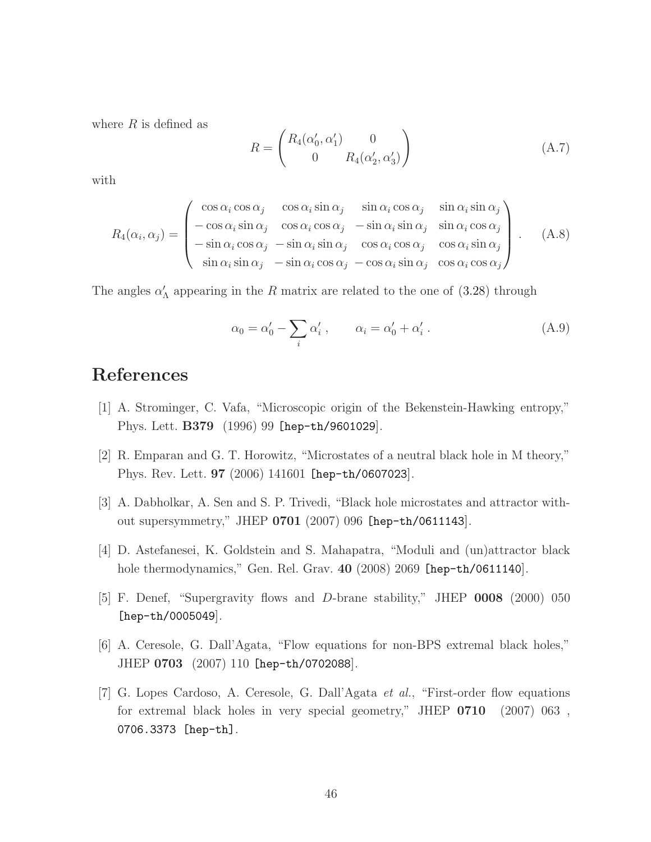where  $R$  is defined as

$$
R = \begin{pmatrix} R_4(\alpha'_0, \alpha'_1) & 0 \\ 0 & R_4(\alpha'_2, \alpha'_3) \end{pmatrix}
$$
 (A.7)

with

$$
R_4(\alpha_i, \alpha_j) = \begin{pmatrix} \cos \alpha_i \cos \alpha_j & \cos \alpha_i \sin \alpha_j & \sin \alpha_i \cos \alpha_j & \sin \alpha_i \sin \alpha_j \\ -\cos \alpha_i \sin \alpha_j & \cos \alpha_i \cos \alpha_j & -\sin \alpha_i \sin \alpha_j & \sin \alpha_i \cos \alpha_j \\ -\sin \alpha_i \cos \alpha_j & -\sin \alpha_i \sin \alpha_j & \cos \alpha_i \cos \alpha_j & \cos \alpha_i \sin \alpha_j \\ \sin \alpha_i \sin \alpha_j & -\sin \alpha_i \cos \alpha_j & -\cos \alpha_i \sin \alpha_j & \cos \alpha_i \cos \alpha_j \end{pmatrix} .
$$
 (A.8)

The angles  $\alpha'_{\Lambda}$  appearing in the R matrix are related to the one of [\(3.28\)](#page-24-1) through

$$
\alpha_0 = \alpha'_0 - \sum_i \alpha'_i , \qquad \alpha_i = \alpha'_0 + \alpha'_i . \tag{A.9}
$$

# <span id="page-46-0"></span>References

- <span id="page-46-1"></span>[1] A. Strominger, C. Vafa, "Microscopic origin of the Bekenstein-Hawking entropy," Phys. Lett. B379 (1996) 99 [\[hep-th/9601029](http://arxiv.org/abs/hep-th/9601029)].
- <span id="page-46-2"></span>[2] R. Emparan and G. T. Horowitz, "Microstates of a neutral black hole in M theory," Phys. Rev. Lett. 97 (2006) 141601 [\[hep-th/0607023](http://arxiv.org/abs/hep-th/0607023)].
- <span id="page-46-3"></span>[3] A. Dabholkar, A. Sen and S. P. Trivedi, "Black hole microstates and attractor without supersymmetry," JHEP 0701 (2007) 096 [\[hep-th/0611143](http://arxiv.org/abs/hep-th/0611143)].
- <span id="page-46-4"></span>[4] D. Astefanesei, K. Goldstein and S. Mahapatra, "Moduli and (un)attractor black hole thermodynamics," Gen. Rel. Grav. 40 (2008) 2069 [\[hep-th/0611140](http://arxiv.org/abs/hep-th/0611140)].
- <span id="page-46-5"></span>[5] F. Denef, "Supergravity flows and D-brane stability," JHEP 0008 (2000) 050 [\[hep-th/0005049](http://arxiv.org/abs/hep-th/0005049)].
- [6] A. Ceresole, G. Dall'Agata, "Flow equations for non-BPS extremal black holes," JHEP 0703 (2007) 110 [\[hep-th/0702088](http://arxiv.org/abs/hep-th/0702088)].
- [7] G. Lopes Cardoso, A. Ceresole, G. Dall'Agata et al., "First-order flow equations for extremal black holes in very special geometry," JHEP 0710 (2007) 063 , [0706.3373 \[hep-th\]](http://arxiv.org/abs/0706.3373).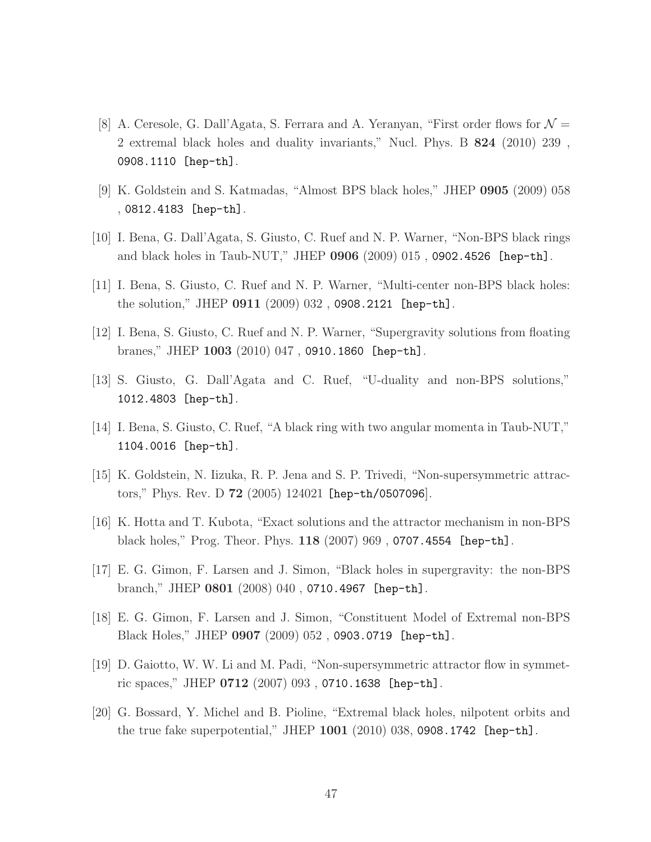- [8] A. Ceresole, G. Dall'Agata, S. Ferrara and A. Yeranyan, "First order flows for  $\mathcal{N} =$ 2 extremal black holes and duality invariants," Nucl. Phys. B 824 (2010) 239 , [0908.1110 \[hep-th\]](http://arxiv.org/abs/0908.1110).
- <span id="page-47-3"></span><span id="page-47-1"></span>[9] K. Goldstein and S. Katmadas, "Almost BPS black holes," JHEP 0905 (2009) 058 , [0812.4183 \[hep-th\]](http://arxiv.org/abs/0812.4183).
- <span id="page-47-2"></span>[10] I. Bena, G. Dall'Agata, S. Giusto, C. Ruef and N. P. Warner, "Non-BPS black rings and black holes in Taub-NUT," JHEP 0906 (2009) 015 , [0902.4526 \[hep-th\]](http://arxiv.org/abs/0902.4526).
- <span id="page-47-0"></span>[11] I. Bena, S. Giusto, C. Ruef and N. P. Warner, "Multi-center non-BPS black holes: the solution," JHEP 0911 (2009) 032 , [0908.2121 \[hep-th\]](http://arxiv.org/abs/0908.2121).
- <span id="page-47-6"></span>[12] I. Bena, S. Giusto, C. Ruef and N. P. Warner, "Supergravity solutions from floating branes," JHEP 1003 (2010) 047 , [0910.1860 \[hep-th\]](http://arxiv.org/abs/0910.1860).
- <span id="page-47-8"></span>[13] S. Giusto, G. Dall'Agata and C. Ruef, "U-duality and non-BPS solutions," [1012.4803 \[hep-th\]](http://arxiv.org/abs/1012.4803).
- [14] I. Bena, S. Giusto, C. Ruef, "A black ring with two angular momenta in Taub-NUT," [1104.0016 \[hep-th\]](http://arxiv.org/abs/1104.0016).
- [15] K. Goldstein, N. Iizuka, R. P. Jena and S. P. Trivedi, "Non-supersymmetric attractors," Phys. Rev. D 72 (2005) 124021 [\[hep-th/0507096](http://arxiv.org/abs/hep-th/0507096)].
- <span id="page-47-7"></span>[16] K. Hotta and T. Kubota, "Exact solutions and the attractor mechanism in non-BPS black holes," Prog. Theor. Phys. 118 (2007) 969 , [0707.4554 \[hep-th\]](http://arxiv.org/abs/0707.4554).
- [17] E. G. Gimon, F. Larsen and J. Simon, "Black holes in supergravity: the non-BPS branch," JHEP 0801 (2008) 040 , [0710.4967 \[hep-th\]](http://arxiv.org/abs/0710.4967).
- <span id="page-47-4"></span>[18] E. G. Gimon, F. Larsen and J. Simon, "Constituent Model of Extremal non-BPS Black Holes," JHEP 0907 (2009) 052 , [0903.0719 \[hep-th\]](http://arxiv.org/abs/0903.0719).
- <span id="page-47-5"></span>[19] D. Gaiotto, W. W. Li and M. Padi, "Non-supersymmetric attractor flow in symmetric spaces," JHEP 0712 (2007) 093 , [0710.1638 \[hep-th\]](http://arxiv.org/abs/0710.1638).
- [20] G. Bossard, Y. Michel and B. Pioline, "Extremal black holes, nilpotent orbits and the true fake superpotential," JHEP 1001 (2010) 038, [0908.1742 \[hep-th\]](http://arxiv.org/abs/0908.1742).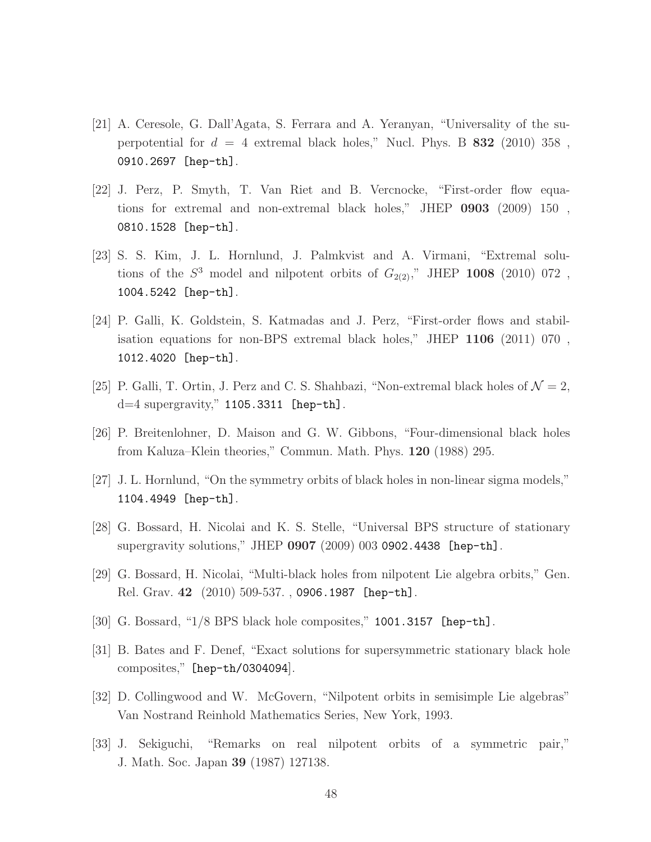- <span id="page-48-7"></span>[21] A. Ceresole, G. Dall'Agata, S. Ferrara and A. Yeranyan, "Universality of the superpotential for  $d = 4$  extremal black holes," Nucl. Phys. B 832 (2010) 358, [0910.2697 \[hep-th\]](http://arxiv.org/abs/0910.2697).
- [22] J. Perz, P. Smyth, T. Van Riet and B. Vercnocke, "First-order flow equations for extremal and non-extremal black holes," JHEP 0903 (2009) 150 , [0810.1528 \[hep-th\]](http://arxiv.org/abs/0810.1528).
- [23] S. S. Kim, J. L. Hornlund, J. Palmkvist and A. Virmani, "Extremal solutions of the  $S^3$  model and nilpotent orbits of  $G_{2(2)}$ ," JHEP 1008 (2010) 072, [1004.5242 \[hep-th\]](http://arxiv.org/abs/1004.5242).
- [24] P. Galli, K. Goldstein, S. Katmadas and J. Perz, "First-order flows and stabilisation equations for non-BPS extremal black holes," JHEP 1106 (2011) 070 , [1012.4020 \[hep-th\]](http://arxiv.org/abs/1012.4020).
- <span id="page-48-1"></span><span id="page-48-0"></span>[25] P. Galli, T. Ortin, J. Perz and C. S. Shahbazi, "Non-extremal black holes of  $\mathcal{N}=2$ ,  $d=4$  supergravity," [1105.3311 \[hep-th\]](http://arxiv.org/abs/1105.3311).
- <span id="page-48-2"></span>[26] P. Breitenlohner, D. Maison and G. W. Gibbons, "Four-dimensional black holes from Kaluza–Klein theories," Commun. Math. Phys. 120 (1988) 295.
- <span id="page-48-3"></span>[27] J. L. Hornlund, "On the symmetry orbits of black holes in non-linear sigma models," [1104.4949 \[hep-th\]](http://arxiv.org/abs/1104.4949).
- <span id="page-48-4"></span>[28] G. Bossard, H. Nicolai and K. S. Stelle, "Universal BPS structure of stationary supergravity solutions," JHEP 0907 (2009) 003 [0902.4438 \[hep-th\]](http://arxiv.org/abs/0902.4438).
- <span id="page-48-5"></span>[29] G. Bossard, H. Nicolai, "Multi-black holes from nilpotent Lie algebra orbits," Gen. Rel. Grav. 42 (2010) 509-537. , [0906.1987 \[hep-th\]](http://arxiv.org/abs/0906.1987).
- <span id="page-48-6"></span>[30] G. Bossard, "1/8 BPS black hole composites," [1001.3157 \[hep-th\]](http://arxiv.org/abs/1001.3157).
- <span id="page-48-8"></span>[31] B. Bates and F. Denef, "Exact solutions for supersymmetric stationary black hole composites," [\[hep-th/0304094](http://arxiv.org/abs/hep-th/0304094)].
- <span id="page-48-9"></span>[32] D. Collingwood and W. McGovern, "Nilpotent orbits in semisimple Lie algebras" Van Nostrand Reinhold Mathematics Series, New York, 1993.
- [33] J. Sekiguchi, "Remarks on real nilpotent orbits of a symmetric pair," J. Math. Soc. Japan 39 (1987) 127138.